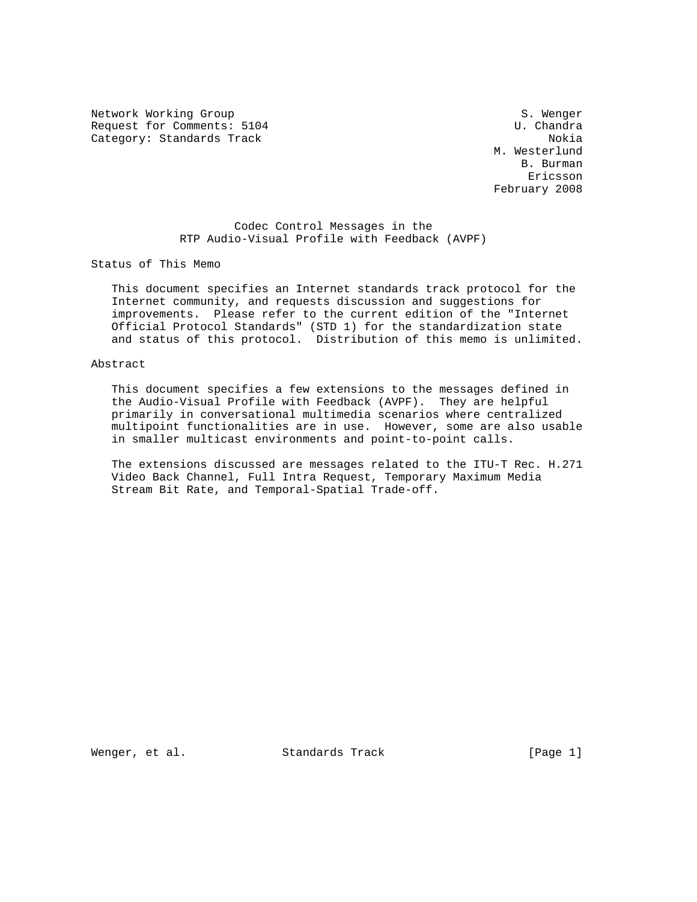Network Working Group S. Wenger Request for Comments: 5104 U.Chandra Category: Standards Track Nokia Nokia Nokia Nokia Nokia Nokia Nokia Nokia Nokia Nokia Nokia Nokia Nokia Nokia

 M. Westerlund B. Burman Ericsson February 2008

# Codec Control Messages in the RTP Audio-Visual Profile with Feedback (AVPF)

Status of This Memo

 This document specifies an Internet standards track protocol for the Internet community, and requests discussion and suggestions for improvements. Please refer to the current edition of the "Internet Official Protocol Standards" (STD 1) for the standardization state and status of this protocol. Distribution of this memo is unlimited.

# Abstract

 This document specifies a few extensions to the messages defined in the Audio-Visual Profile with Feedback (AVPF). They are helpful primarily in conversational multimedia scenarios where centralized multipoint functionalities are in use. However, some are also usable in smaller multicast environments and point-to-point calls.

 The extensions discussed are messages related to the ITU-T Rec. H.271 Video Back Channel, Full Intra Request, Temporary Maximum Media Stream Bit Rate, and Temporal-Spatial Trade-off.

Wenger, et al. Standards Track [Page 1]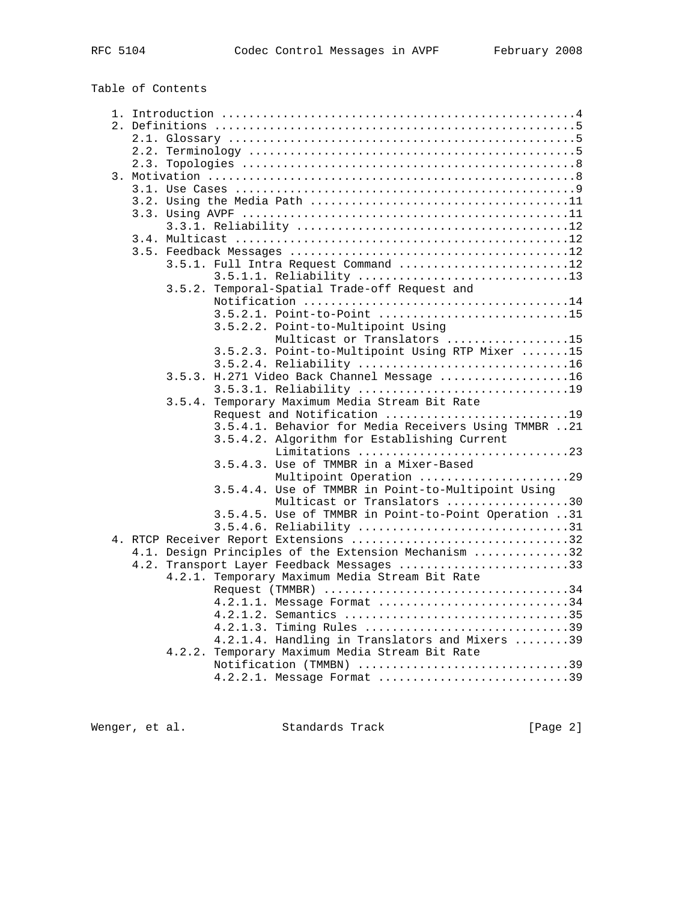# Table of Contents

|  |  | 3.5.1. Full Intra Request Command 12                 |
|--|--|------------------------------------------------------|
|  |  | 3.5.1.1. Reliability 13                              |
|  |  | 3.5.2. Temporal-Spatial Trade-off Request and        |
|  |  |                                                      |
|  |  | 3.5.2.1. Point-to-Point 15                           |
|  |  | 3.5.2.2. Point-to-Multipoint Using                   |
|  |  | Multicast or Translators 15                          |
|  |  | 3.5.2.3. Point-to-Multipoint Using RTP Mixer 15      |
|  |  | 3.5.2.4. Reliability 16                              |
|  |  | 3.5.3. H.271 Video Back Channel Message 16           |
|  |  | 3.5.3.1. Reliability 19                              |
|  |  | 3.5.4. Temporary Maximum Media Stream Bit Rate       |
|  |  | Request and Notification 19                          |
|  |  | 3.5.4.1. Behavior for Media Receivers Using TMMBR 21 |
|  |  | 3.5.4.2. Algorithm for Establishing Current          |
|  |  | Limitations 23                                       |
|  |  | 3.5.4.3. Use of TMMBR in a Mixer-Based               |
|  |  | Multipoint Operation 29                              |
|  |  | 3.5.4.4. Use of TMMBR in Point-to-Multipoint Using   |
|  |  | Multicast or Translators 30                          |
|  |  | 3.5.4.5. Use of TMMBR in Point-to-Point Operation 31 |
|  |  | 3.5.4.6. Reliability 31                              |
|  |  | 4. RTCP Receiver Report Extensions 32                |
|  |  | 4.1. Design Principles of the Extension Mechanism 32 |
|  |  | 4.2. Transport Layer Feedback Messages 33            |
|  |  | 4.2.1. Temporary Maximum Media Stream Bit Rate       |
|  |  |                                                      |
|  |  |                                                      |
|  |  | 4.2.1.1. Message Format 34                           |
|  |  | 4.2.1.2. Semantics 35                                |
|  |  | 4.2.1.3. Timing Rules 39                             |
|  |  | 4.2.1.4. Handling in Translators and Mixers 39       |
|  |  | 4.2.2. Temporary Maximum Media Stream Bit Rate       |
|  |  | Notification (TMMBN) 39                              |
|  |  | 4.2.2.1. Message Format 39                           |

Wenger, et al. Standards Track [Page 2]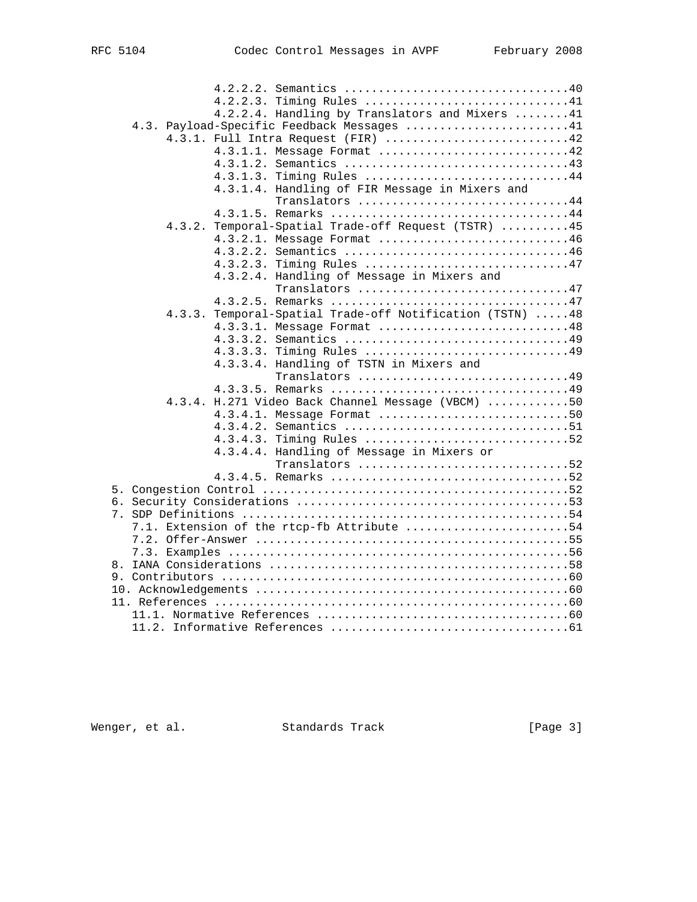| Timing Rules 41<br>4.2.2.3.<br>4.2.2.4. Handling by Translators and Mixers 41<br>4.3. Payload-Specific Feedback Messages 41<br>4.3.1. Full Intra Request (FIR) 42<br>4.3.1.1. Message Format 42<br>4.3.1.3.<br>Timing Rules 44<br>4.3.1.4. Handling of FIR Message in Mixers and |
|----------------------------------------------------------------------------------------------------------------------------------------------------------------------------------------------------------------------------------------------------------------------------------|
| Translators 44<br>4.3.2. Temporal-Spatial Trade-off Request (TSTR) 45<br>4.3.2.1. Message Format 46<br>4.3.2.2.<br>Semantics 46<br>4.3.2.3. Timing Rules 47                                                                                                                      |
| 4.3.2.4. Handling of Message in Mixers and<br>Translators 47<br>4.3.3. Temporal-Spatial Trade-off Notification (TSTN) 48<br>4.3.3.1. Message Format 48                                                                                                                           |
| Timing Rules 49<br>4.3.3.3.<br>4.3.3.4. Handling of TSTN in Mixers and<br>Translators 49                                                                                                                                                                                         |
| 4.3.4. H.271 Video Back Channel Message (VBCM) 50<br>4.3.4.1. Message Format 50<br>4.3.4.2. Semantics 51<br>4.3.4.3. Timing Rules 52<br>4.3.4.4. Handling of Message in Mixers or                                                                                                |
| Translators 52                                                                                                                                                                                                                                                                   |
| 7.1. Extension of the rtcp-fb Attribute 54                                                                                                                                                                                                                                       |
|                                                                                                                                                                                                                                                                                  |

Wenger, et al. Standards Track [Page 3]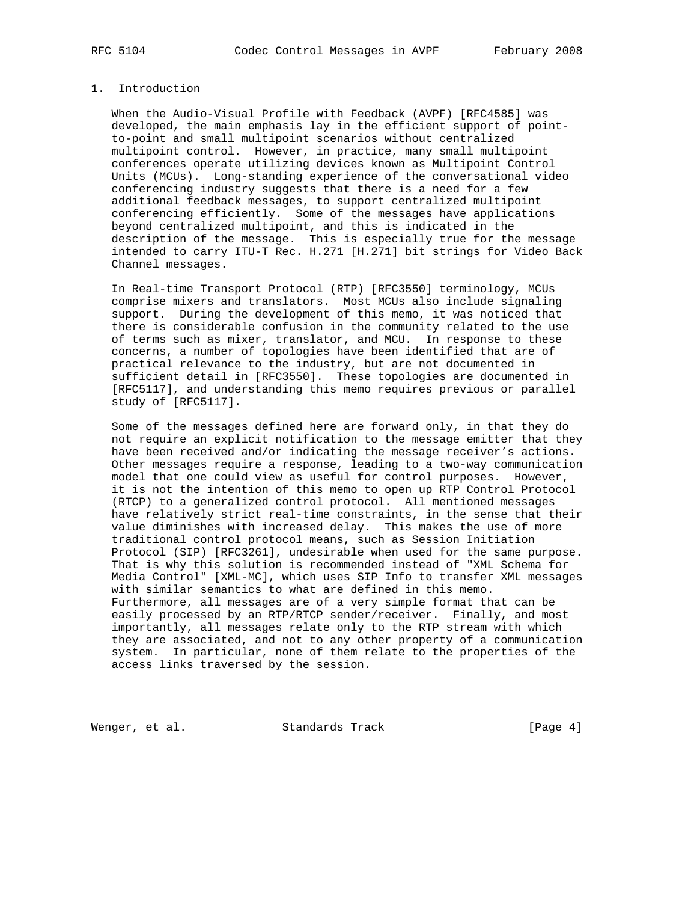# 1. Introduction

 When the Audio-Visual Profile with Feedback (AVPF) [RFC4585] was developed, the main emphasis lay in the efficient support of point to-point and small multipoint scenarios without centralized multipoint control. However, in practice, many small multipoint conferences operate utilizing devices known as Multipoint Control Units (MCUs). Long-standing experience of the conversational video conferencing industry suggests that there is a need for a few additional feedback messages, to support centralized multipoint conferencing efficiently. Some of the messages have applications beyond centralized multipoint, and this is indicated in the description of the message. This is especially true for the message intended to carry ITU-T Rec. H.271 [H.271] bit strings for Video Back Channel messages.

 In Real-time Transport Protocol (RTP) [RFC3550] terminology, MCUs comprise mixers and translators. Most MCUs also include signaling support. During the development of this memo, it was noticed that there is considerable confusion in the community related to the use of terms such as mixer, translator, and MCU. In response to these concerns, a number of topologies have been identified that are of practical relevance to the industry, but are not documented in sufficient detail in [RFC3550]. These topologies are documented in [RFC5117], and understanding this memo requires previous or parallel study of [RFC5117].

 Some of the messages defined here are forward only, in that they do not require an explicit notification to the message emitter that they have been received and/or indicating the message receiver's actions. Other messages require a response, leading to a two-way communication model that one could view as useful for control purposes. However, it is not the intention of this memo to open up RTP Control Protocol (RTCP) to a generalized control protocol. All mentioned messages have relatively strict real-time constraints, in the sense that their value diminishes with increased delay. This makes the use of more traditional control protocol means, such as Session Initiation Protocol (SIP) [RFC3261], undesirable when used for the same purpose. That is why this solution is recommended instead of "XML Schema for Media Control" [XML-MC], which uses SIP Info to transfer XML messages with similar semantics to what are defined in this memo. Furthermore, all messages are of a very simple format that can be easily processed by an RTP/RTCP sender/receiver. Finally, and most importantly, all messages relate only to the RTP stream with which they are associated, and not to any other property of a communication system. In particular, none of them relate to the properties of the access links traversed by the session.

Wenger, et al. Standards Track [Page 4]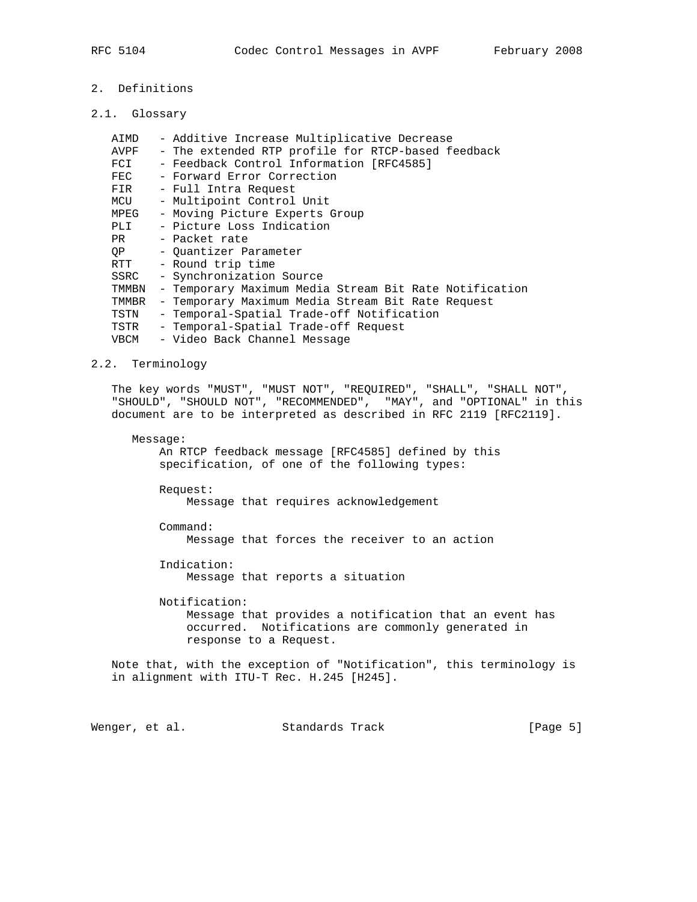- 2. Definitions
- 2.1. Glossary

| AIMD  | - Additive Increase Multiplicative Decrease            |
|-------|--------------------------------------------------------|
| AVPF  | - The extended RTP profile for RTCP-based feedback     |
| FCI   | - Feedback Control Information [RFC4585]               |
| FEC   | - Forward Error Correction                             |
| FIR   | - Full Intra Request                                   |
| MCU   | - Multipoint Control Unit                              |
| MPEG  | - Moving Picture Experts Group                         |
| PLI   | - Picture Loss Indication                              |
| PR    | - Packet rate                                          |
| OP    | - Ouantizer Parameter                                  |
| RTT   | - Round trip time                                      |
| SSRC  | - Synchronization Source                               |
| TMMBN | - Temporary Maximum Media Stream Bit Rate Notification |
| TMMBR | - Temporary Maximum Media Stream Bit Rate Request      |
| TSTN  | - Temporal-Spatial Trade-off Notification              |
| TSTR  | - Temporal-Spatial Trade-off Request                   |
| VBCM  | - Video Back Channel Message                           |
|       |                                                        |

# 2.2. Terminology

 The key words "MUST", "MUST NOT", "REQUIRED", "SHALL", "SHALL NOT", "SHOULD", "SHOULD NOT", "RECOMMENDED", "MAY", and "OPTIONAL" in this document are to be interpreted as described in RFC 2119 [RFC2119].

#### Message:

 An RTCP feedback message [RFC4585] defined by this specification, of one of the following types:

 Request: Message that requires acknowledgement

Command:

Message that forces the receiver to an action

 Indication: Message that reports a situation

 Notification: Message that provides a notification that an event has occurred. Notifications are commonly generated in response to a Request.

 Note that, with the exception of "Notification", this terminology is in alignment with ITU-T Rec. H.245 [H245].

Wenger, et al. Standards Track [Page 5]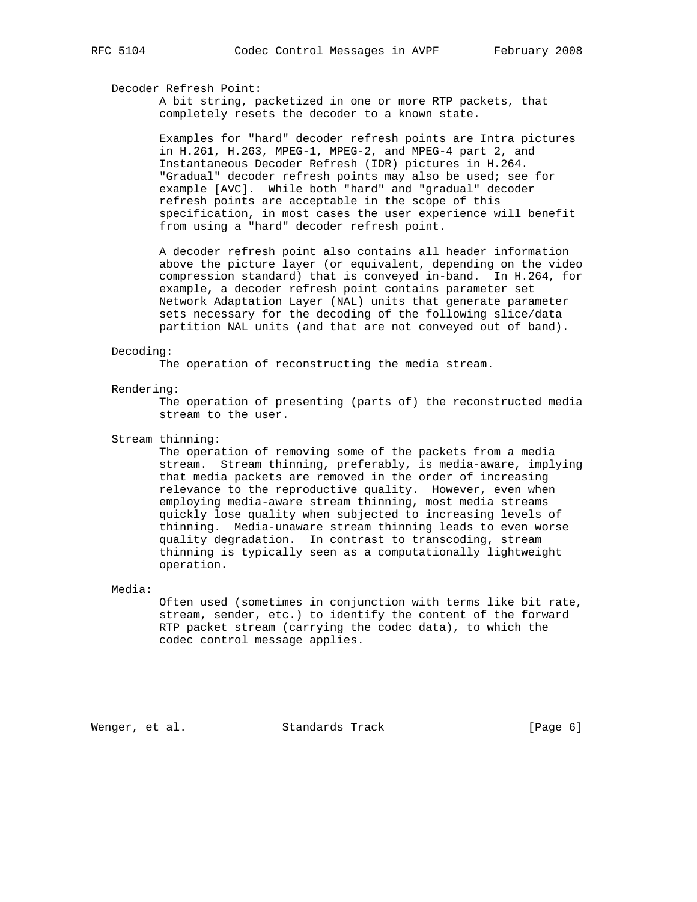# Decoder Refresh Point:

 A bit string, packetized in one or more RTP packets, that completely resets the decoder to a known state.

 Examples for "hard" decoder refresh points are Intra pictures in H.261, H.263, MPEG-1, MPEG-2, and MPEG-4 part 2, and Instantaneous Decoder Refresh (IDR) pictures in H.264. "Gradual" decoder refresh points may also be used; see for example [AVC]. While both "hard" and "gradual" decoder refresh points are acceptable in the scope of this specification, in most cases the user experience will benefit from using a "hard" decoder refresh point.

 A decoder refresh point also contains all header information above the picture layer (or equivalent, depending on the video compression standard) that is conveyed in-band. In H.264, for example, a decoder refresh point contains parameter set Network Adaptation Layer (NAL) units that generate parameter sets necessary for the decoding of the following slice/data partition NAL units (and that are not conveyed out of band).

# Decoding:

The operation of reconstructing the media stream.

#### Rendering:

 The operation of presenting (parts of) the reconstructed media stream to the user.

### Stream thinning:

 The operation of removing some of the packets from a media stream. Stream thinning, preferably, is media-aware, implying that media packets are removed in the order of increasing relevance to the reproductive quality. However, even when employing media-aware stream thinning, most media streams quickly lose quality when subjected to increasing levels of thinning. Media-unaware stream thinning leads to even worse quality degradation. In contrast to transcoding, stream thinning is typically seen as a computationally lightweight operation.

#### Media:

 Often used (sometimes in conjunction with terms like bit rate, stream, sender, etc.) to identify the content of the forward RTP packet stream (carrying the codec data), to which the codec control message applies.

Wenger, et al. Standards Track [Page 6]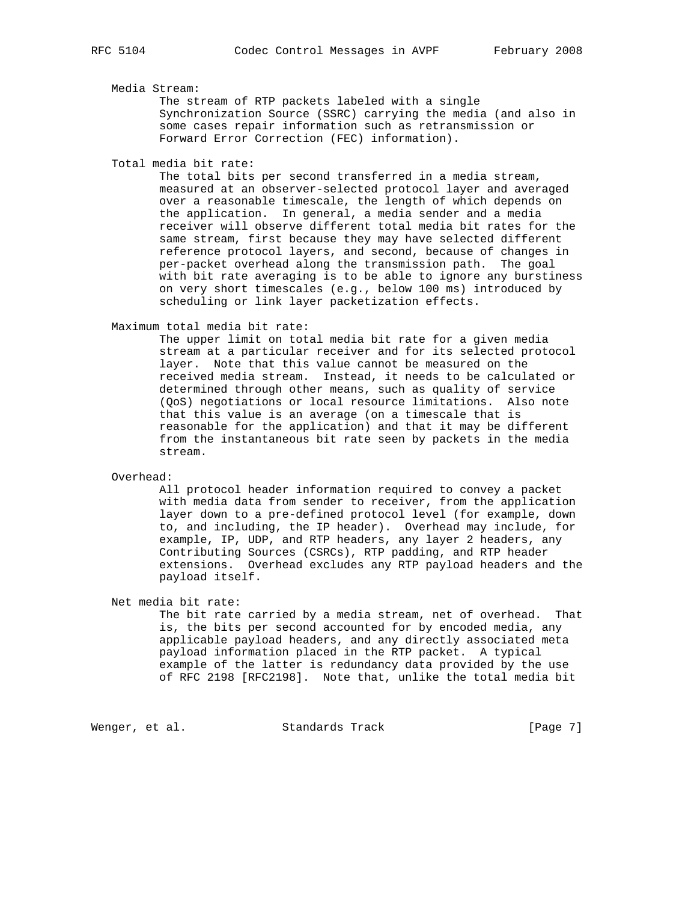## Media Stream:

 The stream of RTP packets labeled with a single Synchronization Source (SSRC) carrying the media (and also in some cases repair information such as retransmission or Forward Error Correction (FEC) information).

Total media bit rate:

 The total bits per second transferred in a media stream, measured at an observer-selected protocol layer and averaged over a reasonable timescale, the length of which depends on the application. In general, a media sender and a media receiver will observe different total media bit rates for the same stream, first because they may have selected different reference protocol layers, and second, because of changes in per-packet overhead along the transmission path. The goal with bit rate averaging is to be able to ignore any burstiness on very short timescales (e.g., below 100 ms) introduced by scheduling or link layer packetization effects.

Maximum total media bit rate:

 The upper limit on total media bit rate for a given media stream at a particular receiver and for its selected protocol layer. Note that this value cannot be measured on the received media stream. Instead, it needs to be calculated or determined through other means, such as quality of service (QoS) negotiations or local resource limitations. Also note that this value is an average (on a timescale that is reasonable for the application) and that it may be different from the instantaneous bit rate seen by packets in the media stream.

Overhead:

 All protocol header information required to convey a packet with media data from sender to receiver, from the application layer down to a pre-defined protocol level (for example, down to, and including, the IP header). Overhead may include, for example, IP, UDP, and RTP headers, any layer 2 headers, any Contributing Sources (CSRCs), RTP padding, and RTP header extensions. Overhead excludes any RTP payload headers and the payload itself.

Net media bit rate:

 The bit rate carried by a media stream, net of overhead. That is, the bits per second accounted for by encoded media, any applicable payload headers, and any directly associated meta payload information placed in the RTP packet. A typical example of the latter is redundancy data provided by the use of RFC 2198 [RFC2198]. Note that, unlike the total media bit

Wenger, et al. Standards Track (Page 7)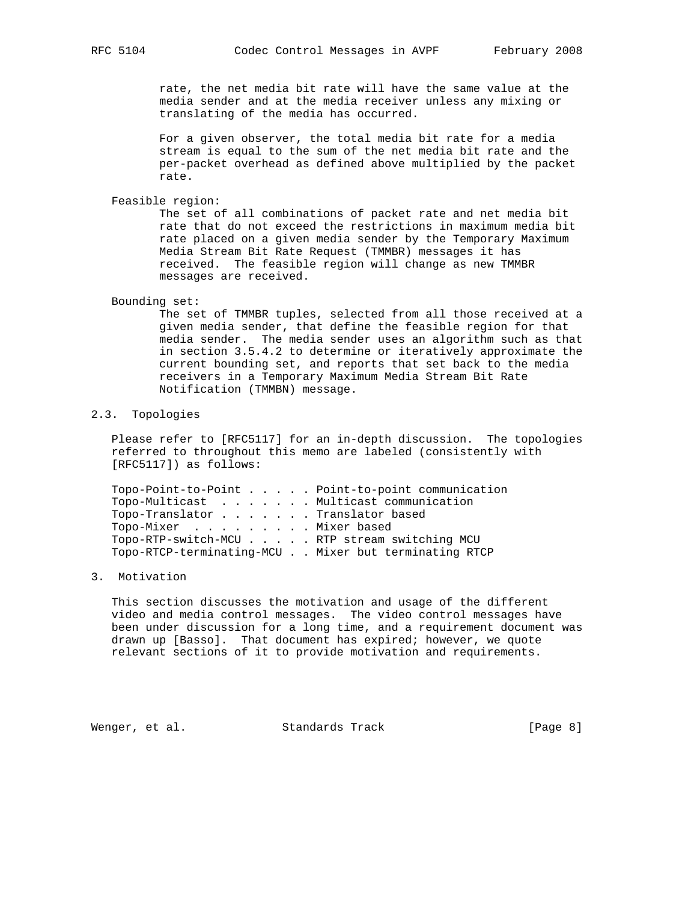rate, the net media bit rate will have the same value at the media sender and at the media receiver unless any mixing or translating of the media has occurred.

 For a given observer, the total media bit rate for a media stream is equal to the sum of the net media bit rate and the per-packet overhead as defined above multiplied by the packet rate.

Feasible region:

 The set of all combinations of packet rate and net media bit rate that do not exceed the restrictions in maximum media bit rate placed on a given media sender by the Temporary Maximum Media Stream Bit Rate Request (TMMBR) messages it has received. The feasible region will change as new TMMBR messages are received.

#### Bounding set:

 The set of TMMBR tuples, selected from all those received at a given media sender, that define the feasible region for that media sender. The media sender uses an algorithm such as that in section 3.5.4.2 to determine or iteratively approximate the current bounding set, and reports that set back to the media receivers in a Temporary Maximum Media Stream Bit Rate Notification (TMMBN) message.

# 2.3. Topologies

 Please refer to [RFC5117] for an in-depth discussion. The topologies referred to throughout this memo are labeled (consistently with [RFC5117]) as follows:

|                                              |  | Topo-Point-to-Point Point-to-point communication     |
|----------------------------------------------|--|------------------------------------------------------|
| Topo-Multicast Multicast communication       |  |                                                      |
| Topo-Translator Translator based             |  |                                                      |
| Topo-Mixer Mixer based                       |  |                                                      |
| Topo-RTP-switch-MCU RTP stream switching MCU |  |                                                      |
|                                              |  | Topo-RTCP-terminating-MCU Mixer but terminating RTCP |
|                                              |  |                                                      |

#### 3. Motivation

 This section discusses the motivation and usage of the different video and media control messages. The video control messages have been under discussion for a long time, and a requirement document was drawn up [Basso]. That document has expired; however, we quote relevant sections of it to provide motivation and requirements.

Wenger, et al. Standards Track (Page 8)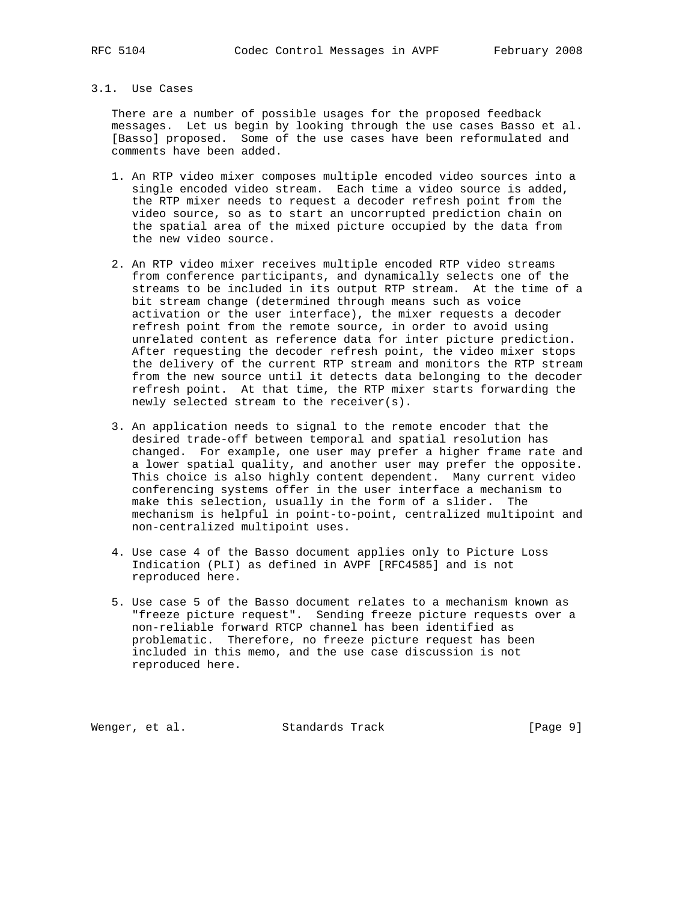# 3.1. Use Cases

 There are a number of possible usages for the proposed feedback messages. Let us begin by looking through the use cases Basso et al. [Basso] proposed. Some of the use cases have been reformulated and comments have been added.

- 1. An RTP video mixer composes multiple encoded video sources into a single encoded video stream. Each time a video source is added, the RTP mixer needs to request a decoder refresh point from the video source, so as to start an uncorrupted prediction chain on the spatial area of the mixed picture occupied by the data from the new video source.
- 2. An RTP video mixer receives multiple encoded RTP video streams from conference participants, and dynamically selects one of the streams to be included in its output RTP stream. At the time of a bit stream change (determined through means such as voice activation or the user interface), the mixer requests a decoder refresh point from the remote source, in order to avoid using unrelated content as reference data for inter picture prediction. After requesting the decoder refresh point, the video mixer stops the delivery of the current RTP stream and monitors the RTP stream from the new source until it detects data belonging to the decoder refresh point. At that time, the RTP mixer starts forwarding the newly selected stream to the receiver(s).
- 3. An application needs to signal to the remote encoder that the desired trade-off between temporal and spatial resolution has changed. For example, one user may prefer a higher frame rate and a lower spatial quality, and another user may prefer the opposite. This choice is also highly content dependent. Many current video conferencing systems offer in the user interface a mechanism to make this selection, usually in the form of a slider. The mechanism is helpful in point-to-point, centralized multipoint and non-centralized multipoint uses.
- 4. Use case 4 of the Basso document applies only to Picture Loss Indication (PLI) as defined in AVPF [RFC4585] and is not reproduced here.
- 5. Use case 5 of the Basso document relates to a mechanism known as "freeze picture request". Sending freeze picture requests over a non-reliable forward RTCP channel has been identified as problematic. Therefore, no freeze picture request has been included in this memo, and the use case discussion is not reproduced here.

Wenger, et al. Standards Track [Page 9]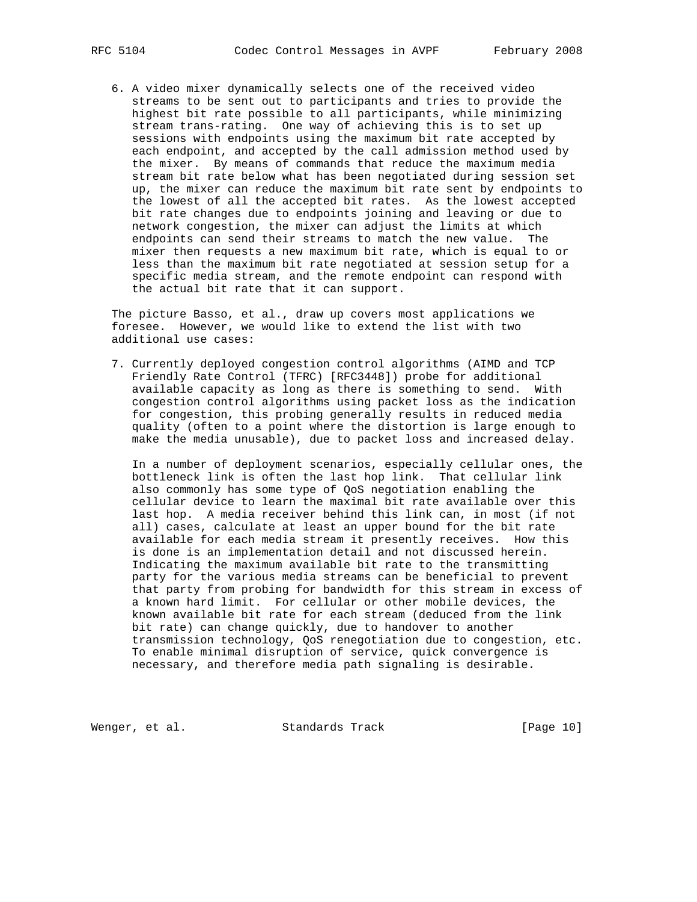6. A video mixer dynamically selects one of the received video streams to be sent out to participants and tries to provide the highest bit rate possible to all participants, while minimizing stream trans-rating. One way of achieving this is to set up sessions with endpoints using the maximum bit rate accepted by each endpoint, and accepted by the call admission method used by the mixer. By means of commands that reduce the maximum media stream bit rate below what has been negotiated during session set up, the mixer can reduce the maximum bit rate sent by endpoints to the lowest of all the accepted bit rates. As the lowest accepted bit rate changes due to endpoints joining and leaving or due to network congestion, the mixer can adjust the limits at which endpoints can send their streams to match the new value. The mixer then requests a new maximum bit rate, which is equal to or less than the maximum bit rate negotiated at session setup for a specific media stream, and the remote endpoint can respond with the actual bit rate that it can support.

 The picture Basso, et al., draw up covers most applications we foresee. However, we would like to extend the list with two additional use cases:

 7. Currently deployed congestion control algorithms (AIMD and TCP Friendly Rate Control (TFRC) [RFC3448]) probe for additional available capacity as long as there is something to send. With congestion control algorithms using packet loss as the indication for congestion, this probing generally results in reduced media quality (often to a point where the distortion is large enough to make the media unusable), due to packet loss and increased delay.

 In a number of deployment scenarios, especially cellular ones, the bottleneck link is often the last hop link. That cellular link also commonly has some type of QoS negotiation enabling the cellular device to learn the maximal bit rate available over this last hop. A media receiver behind this link can, in most (if not all) cases, calculate at least an upper bound for the bit rate available for each media stream it presently receives. How this is done is an implementation detail and not discussed herein. Indicating the maximum available bit rate to the transmitting party for the various media streams can be beneficial to prevent that party from probing for bandwidth for this stream in excess of a known hard limit. For cellular or other mobile devices, the known available bit rate for each stream (deduced from the link bit rate) can change quickly, due to handover to another transmission technology, QoS renegotiation due to congestion, etc. To enable minimal disruption of service, quick convergence is necessary, and therefore media path signaling is desirable.

Wenger, et al. Standards Track [Page 10]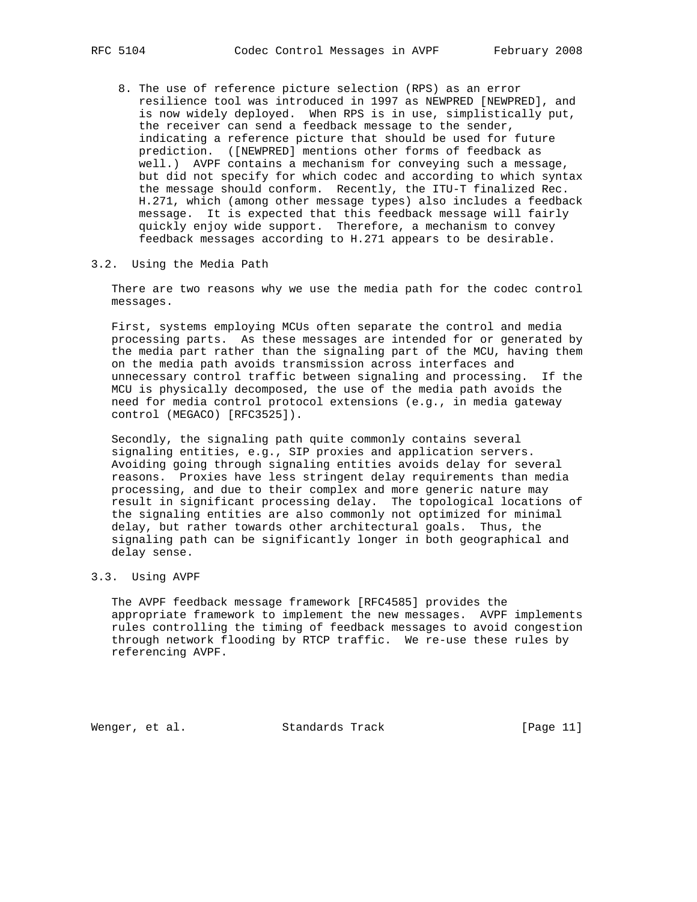- - 8. The use of reference picture selection (RPS) as an error resilience tool was introduced in 1997 as NEWPRED [NEWPRED], and is now widely deployed. When RPS is in use, simplistically put, the receiver can send a feedback message to the sender, indicating a reference picture that should be used for future prediction. ([NEWPRED] mentions other forms of feedback as well.) AVPF contains a mechanism for conveying such a message, but did not specify for which codec and according to which syntax the message should conform. Recently, the ITU-T finalized Rec. H.271, which (among other message types) also includes a feedback message. It is expected that this feedback message will fairly quickly enjoy wide support. Therefore, a mechanism to convey feedback messages according to H.271 appears to be desirable.

#### 3.2. Using the Media Path

 There are two reasons why we use the media path for the codec control messages.

 First, systems employing MCUs often separate the control and media processing parts. As these messages are intended for or generated by the media part rather than the signaling part of the MCU, having them on the media path avoids transmission across interfaces and unnecessary control traffic between signaling and processing. If the MCU is physically decomposed, the use of the media path avoids the need for media control protocol extensions (e.g., in media gateway control (MEGACO) [RFC3525]).

 Secondly, the signaling path quite commonly contains several signaling entities, e.g., SIP proxies and application servers. Avoiding going through signaling entities avoids delay for several reasons. Proxies have less stringent delay requirements than media processing, and due to their complex and more generic nature may result in significant processing delay. The topological locations of the signaling entities are also commonly not optimized for minimal delay, but rather towards other architectural goals. Thus, the signaling path can be significantly longer in both geographical and delay sense.

#### 3.3. Using AVPF

 The AVPF feedback message framework [RFC4585] provides the appropriate framework to implement the new messages. AVPF implements rules controlling the timing of feedback messages to avoid congestion through network flooding by RTCP traffic. We re-use these rules by referencing AVPF.

Wenger, et al. Standards Track [Page 11]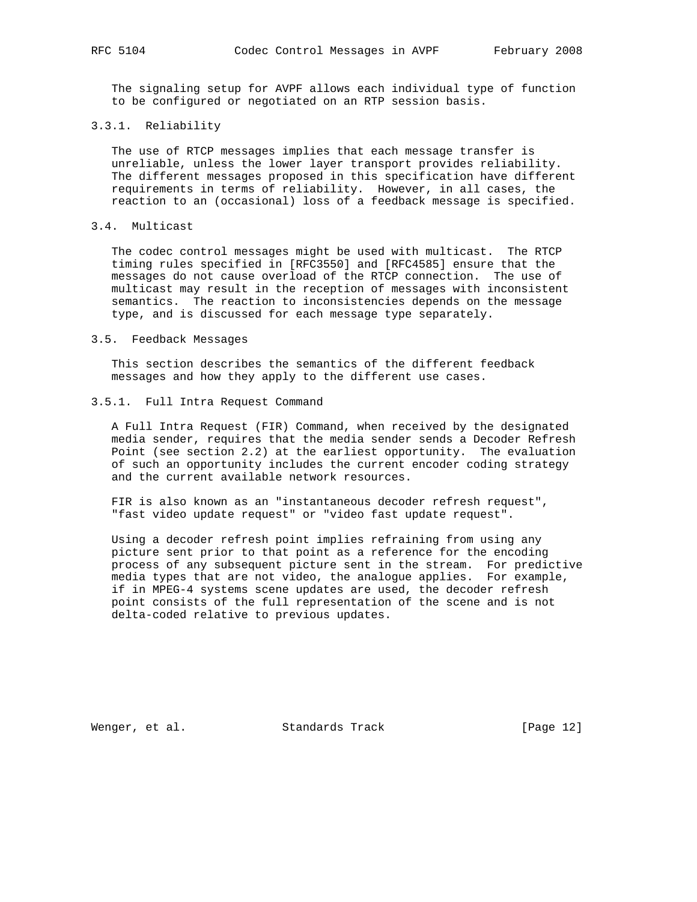The signaling setup for AVPF allows each individual type of function to be configured or negotiated on an RTP session basis.

# 3.3.1. Reliability

 The use of RTCP messages implies that each message transfer is unreliable, unless the lower layer transport provides reliability. The different messages proposed in this specification have different requirements in terms of reliability. However, in all cases, the reaction to an (occasional) loss of a feedback message is specified.

# 3.4. Multicast

 The codec control messages might be used with multicast. The RTCP timing rules specified in [RFC3550] and [RFC4585] ensure that the messages do not cause overload of the RTCP connection. The use of multicast may result in the reception of messages with inconsistent semantics. The reaction to inconsistencies depends on the message type, and is discussed for each message type separately.

#### 3.5. Feedback Messages

 This section describes the semantics of the different feedback messages and how they apply to the different use cases.

#### 3.5.1. Full Intra Request Command

 A Full Intra Request (FIR) Command, when received by the designated media sender, requires that the media sender sends a Decoder Refresh Point (see section 2.2) at the earliest opportunity. The evaluation of such an opportunity includes the current encoder coding strategy and the current available network resources.

 FIR is also known as an "instantaneous decoder refresh request", "fast video update request" or "video fast update request".

 Using a decoder refresh point implies refraining from using any picture sent prior to that point as a reference for the encoding process of any subsequent picture sent in the stream. For predictive media types that are not video, the analogue applies. For example, if in MPEG-4 systems scene updates are used, the decoder refresh point consists of the full representation of the scene and is not delta-coded relative to previous updates.

Wenger, et al. Standards Track [Page 12]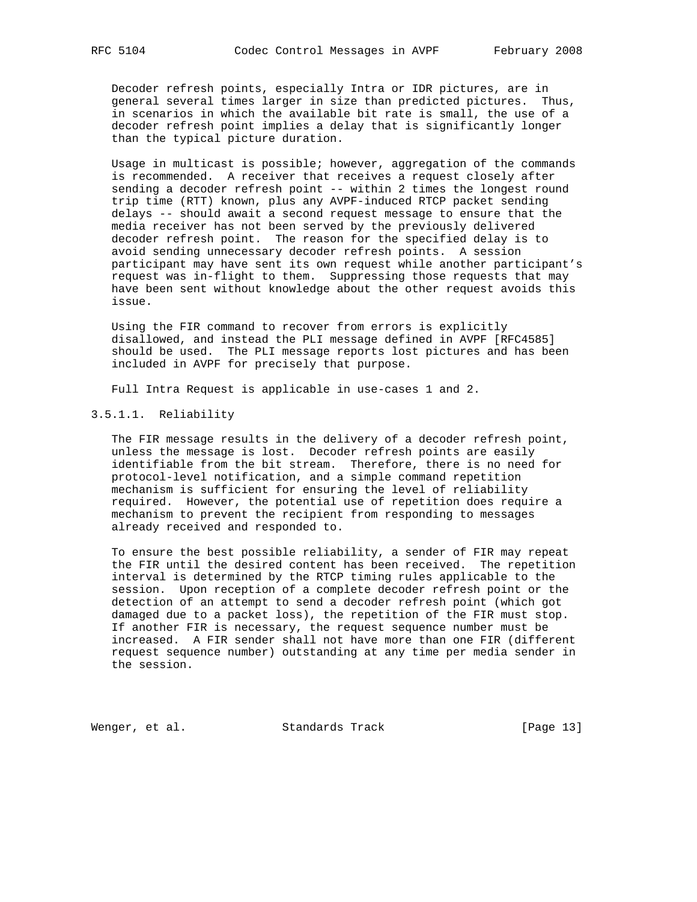Decoder refresh points, especially Intra or IDR pictures, are in general several times larger in size than predicted pictures. Thus, in scenarios in which the available bit rate is small, the use of a decoder refresh point implies a delay that is significantly longer than the typical picture duration.

 Usage in multicast is possible; however, aggregation of the commands is recommended. A receiver that receives a request closely after sending a decoder refresh point -- within 2 times the longest round trip time (RTT) known, plus any AVPF-induced RTCP packet sending delays -- should await a second request message to ensure that the media receiver has not been served by the previously delivered decoder refresh point. The reason for the specified delay is to avoid sending unnecessary decoder refresh points. A session participant may have sent its own request while another participant's request was in-flight to them. Suppressing those requests that may have been sent without knowledge about the other request avoids this issue.

 Using the FIR command to recover from errors is explicitly disallowed, and instead the PLI message defined in AVPF [RFC4585] should be used. The PLI message reports lost pictures and has been included in AVPF for precisely that purpose.

Full Intra Request is applicable in use-cases 1 and 2.

# 3.5.1.1. Reliability

 The FIR message results in the delivery of a decoder refresh point, unless the message is lost. Decoder refresh points are easily identifiable from the bit stream. Therefore, there is no need for protocol-level notification, and a simple command repetition mechanism is sufficient for ensuring the level of reliability required. However, the potential use of repetition does require a mechanism to prevent the recipient from responding to messages already received and responded to.

 To ensure the best possible reliability, a sender of FIR may repeat the FIR until the desired content has been received. The repetition interval is determined by the RTCP timing rules applicable to the session. Upon reception of a complete decoder refresh point or the detection of an attempt to send a decoder refresh point (which got damaged due to a packet loss), the repetition of the FIR must stop. If another FIR is necessary, the request sequence number must be increased. A FIR sender shall not have more than one FIR (different request sequence number) outstanding at any time per media sender in the session.

Wenger, et al. Standards Track [Page 13]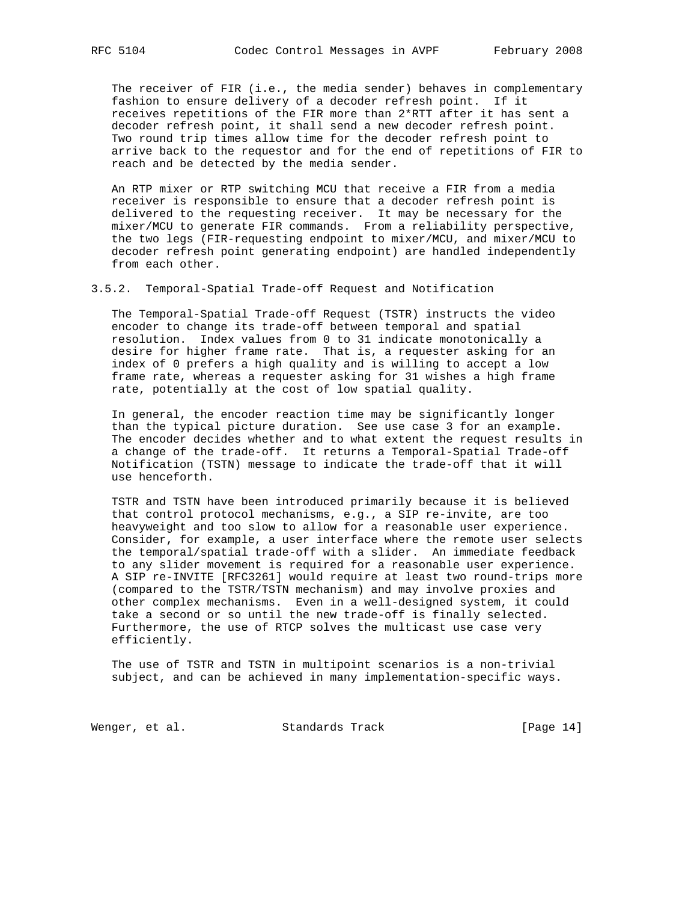The receiver of FIR (i.e., the media sender) behaves in complementary fashion to ensure delivery of a decoder refresh point. If it receives repetitions of the FIR more than 2\*RTT after it has sent a decoder refresh point, it shall send a new decoder refresh point. Two round trip times allow time for the decoder refresh point to arrive back to the requestor and for the end of repetitions of FIR to reach and be detected by the media sender.

 An RTP mixer or RTP switching MCU that receive a FIR from a media receiver is responsible to ensure that a decoder refresh point is delivered to the requesting receiver. It may be necessary for the mixer/MCU to generate FIR commands. From a reliability perspective, the two legs (FIR-requesting endpoint to mixer/MCU, and mixer/MCU to decoder refresh point generating endpoint) are handled independently from each other.

3.5.2. Temporal-Spatial Trade-off Request and Notification

 The Temporal-Spatial Trade-off Request (TSTR) instructs the video encoder to change its trade-off between temporal and spatial resolution. Index values from 0 to 31 indicate monotonically a desire for higher frame rate. That is, a requester asking for an index of 0 prefers a high quality and is willing to accept a low frame rate, whereas a requester asking for 31 wishes a high frame rate, potentially at the cost of low spatial quality.

 In general, the encoder reaction time may be significantly longer than the typical picture duration. See use case 3 for an example. The encoder decides whether and to what extent the request results in a change of the trade-off. It returns a Temporal-Spatial Trade-off Notification (TSTN) message to indicate the trade-off that it will use henceforth.

 TSTR and TSTN have been introduced primarily because it is believed that control protocol mechanisms, e.g., a SIP re-invite, are too heavyweight and too slow to allow for a reasonable user experience. Consider, for example, a user interface where the remote user selects the temporal/spatial trade-off with a slider. An immediate feedback to any slider movement is required for a reasonable user experience. A SIP re-INVITE [RFC3261] would require at least two round-trips more (compared to the TSTR/TSTN mechanism) and may involve proxies and other complex mechanisms. Even in a well-designed system, it could take a second or so until the new trade-off is finally selected. Furthermore, the use of RTCP solves the multicast use case very efficiently.

 The use of TSTR and TSTN in multipoint scenarios is a non-trivial subject, and can be achieved in many implementation-specific ways.

Wenger, et al. Standards Track [Page 14]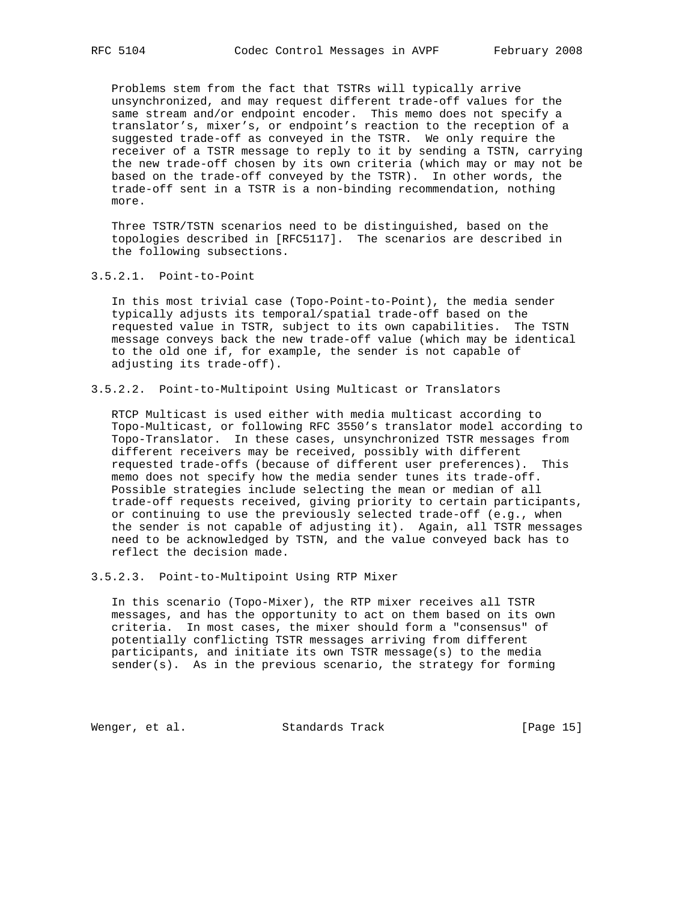Problems stem from the fact that TSTRs will typically arrive unsynchronized, and may request different trade-off values for the same stream and/or endpoint encoder. This memo does not specify a translator's, mixer's, or endpoint's reaction to the reception of a suggested trade-off as conveyed in the TSTR. We only require the receiver of a TSTR message to reply to it by sending a TSTN, carrying the new trade-off chosen by its own criteria (which may or may not be based on the trade-off conveyed by the TSTR). In other words, the trade-off sent in a TSTR is a non-binding recommendation, nothing more.

 Three TSTR/TSTN scenarios need to be distinguished, based on the topologies described in [RFC5117]. The scenarios are described in the following subsections.

3.5.2.1. Point-to-Point

 In this most trivial case (Topo-Point-to-Point), the media sender typically adjusts its temporal/spatial trade-off based on the requested value in TSTR, subject to its own capabilities. The TSTN message conveys back the new trade-off value (which may be identical to the old one if, for example, the sender is not capable of adjusting its trade-off).

# 3.5.2.2. Point-to-Multipoint Using Multicast or Translators

 RTCP Multicast is used either with media multicast according to Topo-Multicast, or following RFC 3550's translator model according to Topo-Translator. In these cases, unsynchronized TSTR messages from different receivers may be received, possibly with different requested trade-offs (because of different user preferences). This memo does not specify how the media sender tunes its trade-off. Possible strategies include selecting the mean or median of all trade-off requests received, giving priority to certain participants, or continuing to use the previously selected trade-off (e.g., when the sender is not capable of adjusting it). Again, all TSTR messages need to be acknowledged by TSTN, and the value conveyed back has to reflect the decision made.

3.5.2.3. Point-to-Multipoint Using RTP Mixer

 In this scenario (Topo-Mixer), the RTP mixer receives all TSTR messages, and has the opportunity to act on them based on its own criteria. In most cases, the mixer should form a "consensus" of potentially conflicting TSTR messages arriving from different participants, and initiate its own TSTR message(s) to the media sender(s). As in the previous scenario, the strategy for forming

Wenger, et al. Standards Track [Page 15]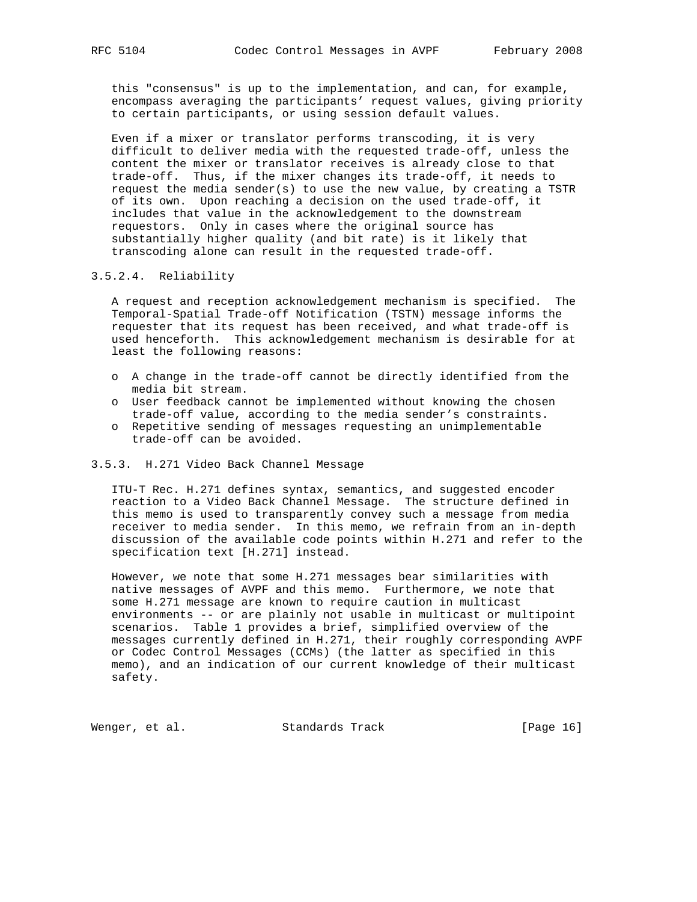this "consensus" is up to the implementation, and can, for example, encompass averaging the participants' request values, giving priority to certain participants, or using session default values.

 Even if a mixer or translator performs transcoding, it is very difficult to deliver media with the requested trade-off, unless the content the mixer or translator receives is already close to that trade-off. Thus, if the mixer changes its trade-off, it needs to request the media sender(s) to use the new value, by creating a TSTR of its own. Upon reaching a decision on the used trade-off, it includes that value in the acknowledgement to the downstream requestors. Only in cases where the original source has substantially higher quality (and bit rate) is it likely that transcoding alone can result in the requested trade-off.

# 3.5.2.4. Reliability

 A request and reception acknowledgement mechanism is specified. The Temporal-Spatial Trade-off Notification (TSTN) message informs the requester that its request has been received, and what trade-off is used henceforth. This acknowledgement mechanism is desirable for at least the following reasons:

- o A change in the trade-off cannot be directly identified from the media bit stream.
- o User feedback cannot be implemented without knowing the chosen trade-off value, according to the media sender's constraints.
- o Repetitive sending of messages requesting an unimplementable trade-off can be avoided.

# 3.5.3. H.271 Video Back Channel Message

 ITU-T Rec. H.271 defines syntax, semantics, and suggested encoder reaction to a Video Back Channel Message. The structure defined in this memo is used to transparently convey such a message from media receiver to media sender. In this memo, we refrain from an in-depth discussion of the available code points within H.271 and refer to the specification text [H.271] instead.

 However, we note that some H.271 messages bear similarities with native messages of AVPF and this memo. Furthermore, we note that some H.271 message are known to require caution in multicast environments -- or are plainly not usable in multicast or multipoint scenarios. Table 1 provides a brief, simplified overview of the messages currently defined in H.271, their roughly corresponding AVPF or Codec Control Messages (CCMs) (the latter as specified in this memo), and an indication of our current knowledge of their multicast safety.

Wenger, et al. Standards Track [Page 16]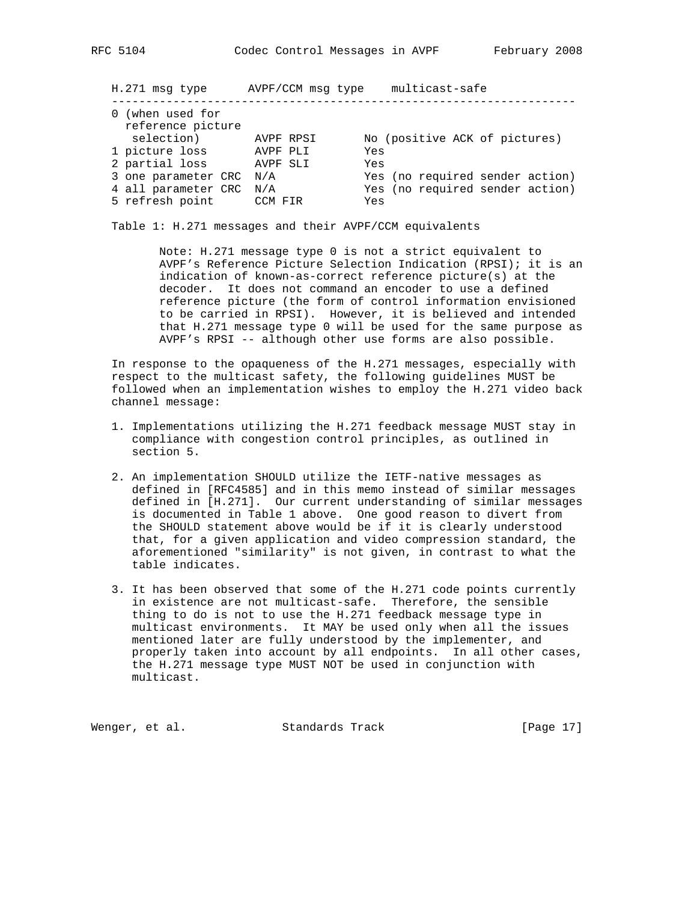H.271 msg type AVPF/CCM msg type multicast-safe

| 0 (when used for<br>reference picture | AVPF RPSI |                                 |
|---------------------------------------|-----------|---------------------------------|
| selection)                            |           | No (positive ACK of pictures)   |
| 1 picture loss                        | AVPF PLI  | Yes                             |
| 2 partial loss                        | AVPF SLI  | Yes                             |
| 3 one parameter CRC N/A               |           | Yes (no required sender action) |
| 4 all parameter CRC N/A               |           | Yes (no required sender action) |
| 5 refresh point                       | CCM FIR   | Yes                             |

--------------------------------------------------------------------

Table 1: H.271 messages and their AVPF/CCM equivalents

 Note: H.271 message type 0 is not a strict equivalent to AVPF's Reference Picture Selection Indication (RPSI); it is an indication of known-as-correct reference picture(s) at the decoder. It does not command an encoder to use a defined reference picture (the form of control information envisioned to be carried in RPSI). However, it is believed and intended that H.271 message type 0 will be used for the same purpose as AVPF's RPSI -- although other use forms are also possible.

 In response to the opaqueness of the H.271 messages, especially with respect to the multicast safety, the following guidelines MUST be followed when an implementation wishes to employ the H.271 video back channel message:

- 1. Implementations utilizing the H.271 feedback message MUST stay in compliance with congestion control principles, as outlined in section 5.
- 2. An implementation SHOULD utilize the IETF-native messages as defined in [RFC4585] and in this memo instead of similar messages defined in [H.271]. Our current understanding of similar messages is documented in Table 1 above. One good reason to divert from the SHOULD statement above would be if it is clearly understood that, for a given application and video compression standard, the aforementioned "similarity" is not given, in contrast to what the table indicates.
- 3. It has been observed that some of the H.271 code points currently in existence are not multicast-safe. Therefore, the sensible thing to do is not to use the H.271 feedback message type in multicast environments. It MAY be used only when all the issues mentioned later are fully understood by the implementer, and properly taken into account by all endpoints. In all other cases, the H.271 message type MUST NOT be used in conjunction with multicast.

Wenger, et al. Standards Track [Page 17]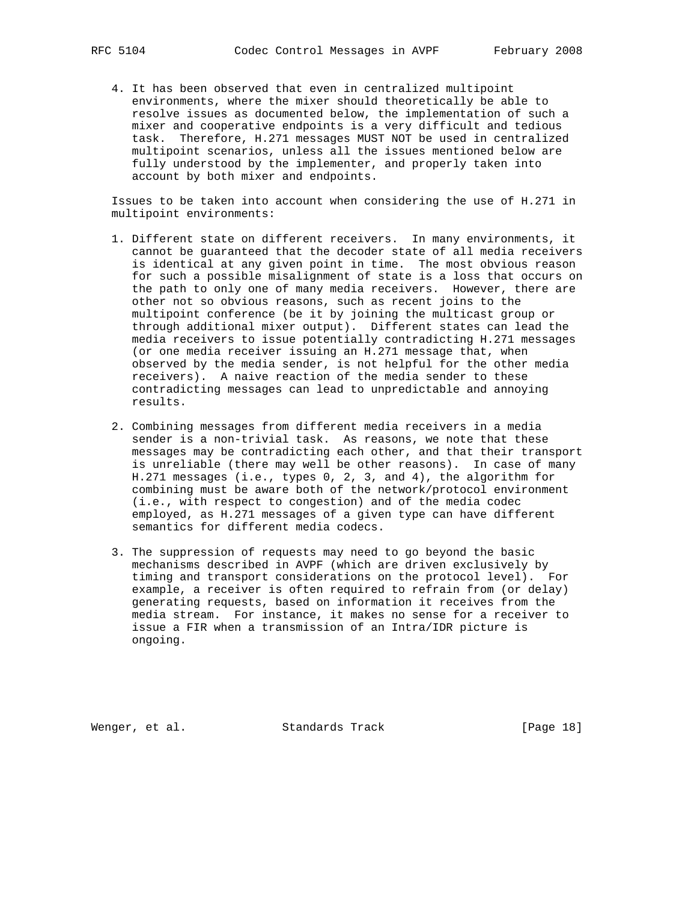4. It has been observed that even in centralized multipoint environments, where the mixer should theoretically be able to resolve issues as documented below, the implementation of such a mixer and cooperative endpoints is a very difficult and tedious task. Therefore, H.271 messages MUST NOT be used in centralized multipoint scenarios, unless all the issues mentioned below are fully understood by the implementer, and properly taken into account by both mixer and endpoints.

 Issues to be taken into account when considering the use of H.271 in multipoint environments:

- 1. Different state on different receivers. In many environments, it cannot be guaranteed that the decoder state of all media receivers is identical at any given point in time. The most obvious reason for such a possible misalignment of state is a loss that occurs on the path to only one of many media receivers. However, there are other not so obvious reasons, such as recent joins to the multipoint conference (be it by joining the multicast group or through additional mixer output). Different states can lead the media receivers to issue potentially contradicting H.271 messages (or one media receiver issuing an H.271 message that, when observed by the media sender, is not helpful for the other media receivers). A naive reaction of the media sender to these contradicting messages can lead to unpredictable and annoying results.
- 2. Combining messages from different media receivers in a media sender is a non-trivial task. As reasons, we note that these messages may be contradicting each other, and that their transport is unreliable (there may well be other reasons). In case of many H.271 messages (i.e., types 0, 2, 3, and 4), the algorithm for combining must be aware both of the network/protocol environment (i.e., with respect to congestion) and of the media codec employed, as H.271 messages of a given type can have different semantics for different media codecs.
- 3. The suppression of requests may need to go beyond the basic mechanisms described in AVPF (which are driven exclusively by timing and transport considerations on the protocol level). For example, a receiver is often required to refrain from (or delay) generating requests, based on information it receives from the media stream. For instance, it makes no sense for a receiver to issue a FIR when a transmission of an Intra/IDR picture is ongoing.

Wenger, et al. Standards Track [Page 18]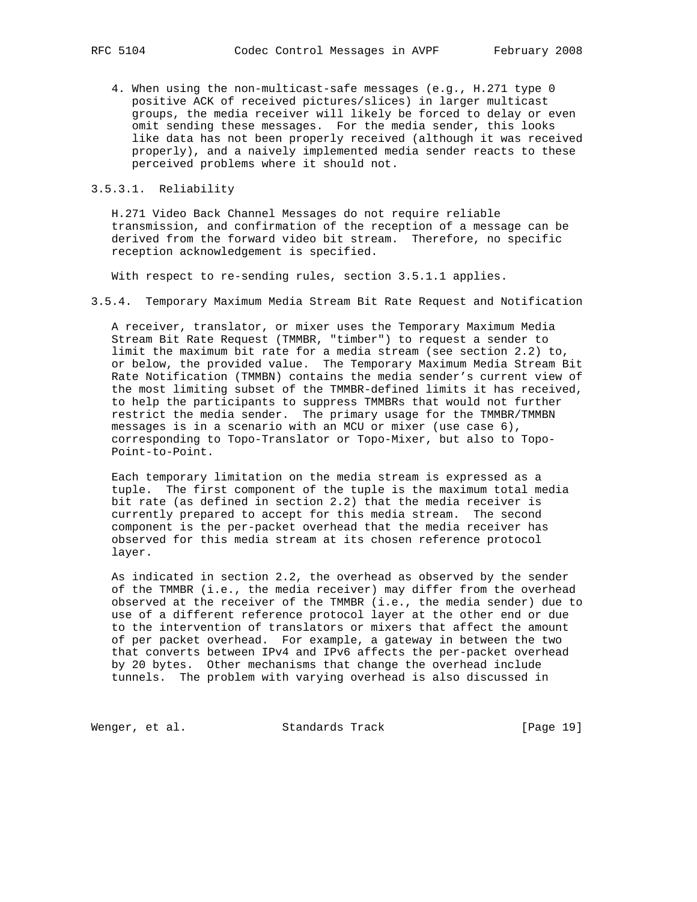4. When using the non-multicast-safe messages (e.g., H.271 type 0 positive ACK of received pictures/slices) in larger multicast groups, the media receiver will likely be forced to delay or even omit sending these messages. For the media sender, this looks like data has not been properly received (although it was received properly), and a naively implemented media sender reacts to these perceived problems where it should not.

# 3.5.3.1. Reliability

 H.271 Video Back Channel Messages do not require reliable transmission, and confirmation of the reception of a message can be derived from the forward video bit stream. Therefore, no specific reception acknowledgement is specified.

With respect to re-sending rules, section 3.5.1.1 applies.

3.5.4. Temporary Maximum Media Stream Bit Rate Request and Notification

 A receiver, translator, or mixer uses the Temporary Maximum Media Stream Bit Rate Request (TMMBR, "timber") to request a sender to limit the maximum bit rate for a media stream (see section 2.2) to, or below, the provided value. The Temporary Maximum Media Stream Bit Rate Notification (TMMBN) contains the media sender's current view of the most limiting subset of the TMMBR-defined limits it has received, to help the participants to suppress TMMBRs that would not further restrict the media sender. The primary usage for the TMMBR/TMMBN messages is in a scenario with an MCU or mixer (use case 6), corresponding to Topo-Translator or Topo-Mixer, but also to Topo- Point-to-Point.

 Each temporary limitation on the media stream is expressed as a tuple. The first component of the tuple is the maximum total media bit rate (as defined in section 2.2) that the media receiver is currently prepared to accept for this media stream. The second component is the per-packet overhead that the media receiver has observed for this media stream at its chosen reference protocol layer.

 As indicated in section 2.2, the overhead as observed by the sender of the TMMBR (i.e., the media receiver) may differ from the overhead observed at the receiver of the TMMBR (i.e., the media sender) due to use of a different reference protocol layer at the other end or due to the intervention of translators or mixers that affect the amount of per packet overhead. For example, a gateway in between the two that converts between IPv4 and IPv6 affects the per-packet overhead by 20 bytes. Other mechanisms that change the overhead include tunnels. The problem with varying overhead is also discussed in

Wenger, et al. Standards Track [Page 19]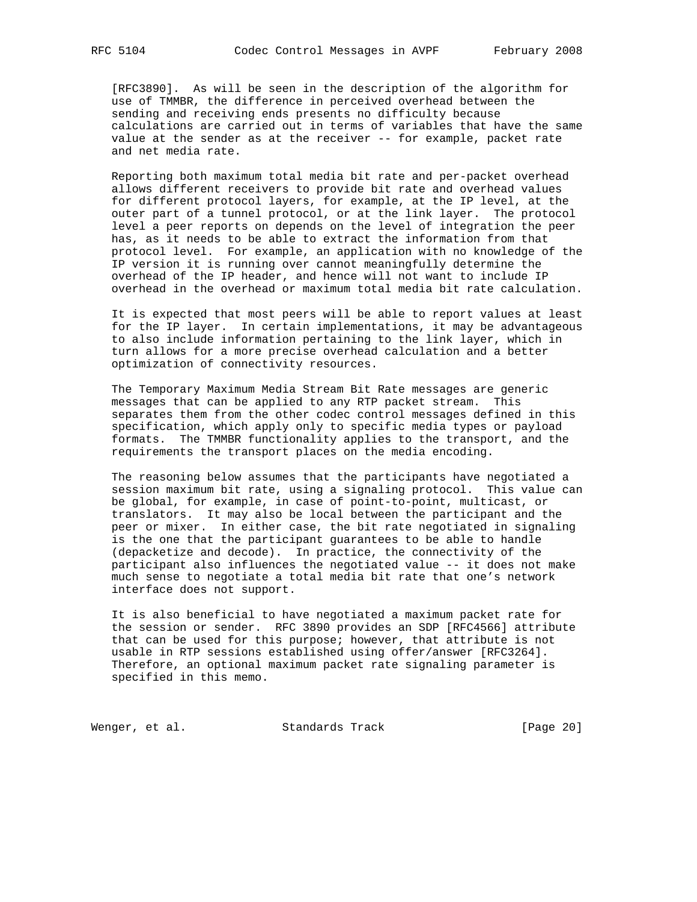[RFC3890]. As will be seen in the description of the algorithm for use of TMMBR, the difference in perceived overhead between the sending and receiving ends presents no difficulty because calculations are carried out in terms of variables that have the same value at the sender as at the receiver -- for example, packet rate and net media rate.

 Reporting both maximum total media bit rate and per-packet overhead allows different receivers to provide bit rate and overhead values for different protocol layers, for example, at the IP level, at the outer part of a tunnel protocol, or at the link layer. The protocol level a peer reports on depends on the level of integration the peer has, as it needs to be able to extract the information from that protocol level. For example, an application with no knowledge of the IP version it is running over cannot meaningfully determine the overhead of the IP header, and hence will not want to include IP overhead in the overhead or maximum total media bit rate calculation.

 It is expected that most peers will be able to report values at least for the IP layer. In certain implementations, it may be advantageous to also include information pertaining to the link layer, which in turn allows for a more precise overhead calculation and a better optimization of connectivity resources.

 The Temporary Maximum Media Stream Bit Rate messages are generic messages that can be applied to any RTP packet stream. This separates them from the other codec control messages defined in this specification, which apply only to specific media types or payload formats. The TMMBR functionality applies to the transport, and the requirements the transport places on the media encoding.

 The reasoning below assumes that the participants have negotiated a session maximum bit rate, using a signaling protocol. This value can be global, for example, in case of point-to-point, multicast, or translators. It may also be local between the participant and the peer or mixer. In either case, the bit rate negotiated in signaling is the one that the participant guarantees to be able to handle (depacketize and decode). In practice, the connectivity of the participant also influences the negotiated value -- it does not make much sense to negotiate a total media bit rate that one's network interface does not support.

 It is also beneficial to have negotiated a maximum packet rate for the session or sender. RFC 3890 provides an SDP [RFC4566] attribute that can be used for this purpose; however, that attribute is not usable in RTP sessions established using offer/answer [RFC3264]. Therefore, an optional maximum packet rate signaling parameter is specified in this memo.

Wenger, et al. Standards Track [Page 20]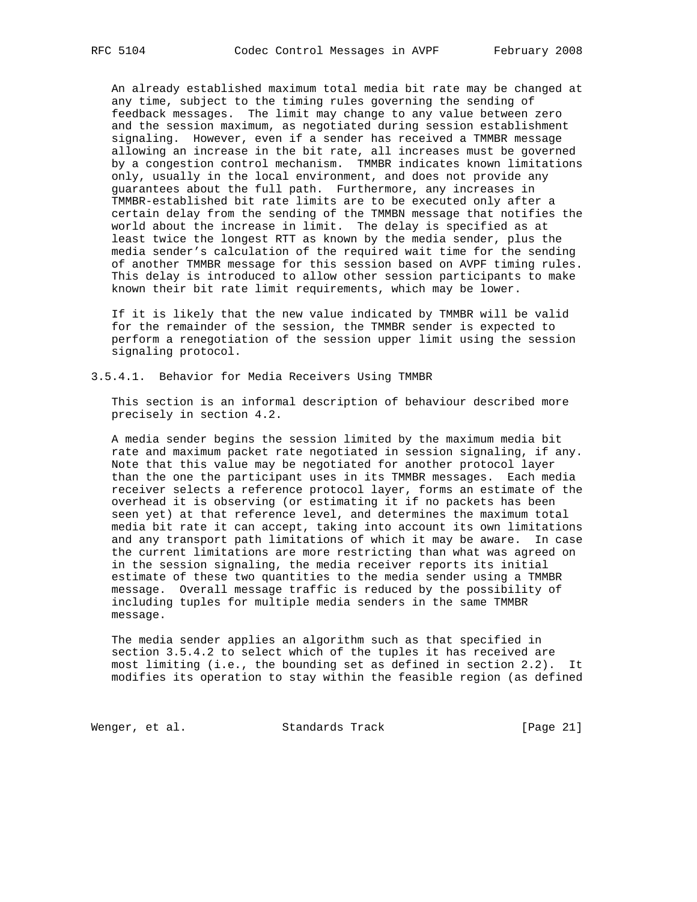An already established maximum total media bit rate may be changed at any time, subject to the timing rules governing the sending of feedback messages. The limit may change to any value between zero and the session maximum, as negotiated during session establishment signaling. However, even if a sender has received a TMMBR message allowing an increase in the bit rate, all increases must be governed by a congestion control mechanism. TMMBR indicates known limitations only, usually in the local environment, and does not provide any guarantees about the full path. Furthermore, any increases in TMMBR-established bit rate limits are to be executed only after a certain delay from the sending of the TMMBN message that notifies the world about the increase in limit. The delay is specified as at least twice the longest RTT as known by the media sender, plus the media sender's calculation of the required wait time for the sending of another TMMBR message for this session based on AVPF timing rules. This delay is introduced to allow other session participants to make known their bit rate limit requirements, which may be lower.

 If it is likely that the new value indicated by TMMBR will be valid for the remainder of the session, the TMMBR sender is expected to perform a renegotiation of the session upper limit using the session signaling protocol.

3.5.4.1. Behavior for Media Receivers Using TMMBR

 This section is an informal description of behaviour described more precisely in section 4.2.

 A media sender begins the session limited by the maximum media bit rate and maximum packet rate negotiated in session signaling, if any. Note that this value may be negotiated for another protocol layer than the one the participant uses in its TMMBR messages. Each media receiver selects a reference protocol layer, forms an estimate of the overhead it is observing (or estimating it if no packets has been seen yet) at that reference level, and determines the maximum total media bit rate it can accept, taking into account its own limitations and any transport path limitations of which it may be aware. In case the current limitations are more restricting than what was agreed on in the session signaling, the media receiver reports its initial estimate of these two quantities to the media sender using a TMMBR message. Overall message traffic is reduced by the possibility of including tuples for multiple media senders in the same TMMBR message.

 The media sender applies an algorithm such as that specified in section 3.5.4.2 to select which of the tuples it has received are most limiting (i.e., the bounding set as defined in section 2.2). It modifies its operation to stay within the feasible region (as defined

Wenger, et al. Standards Track [Page 21]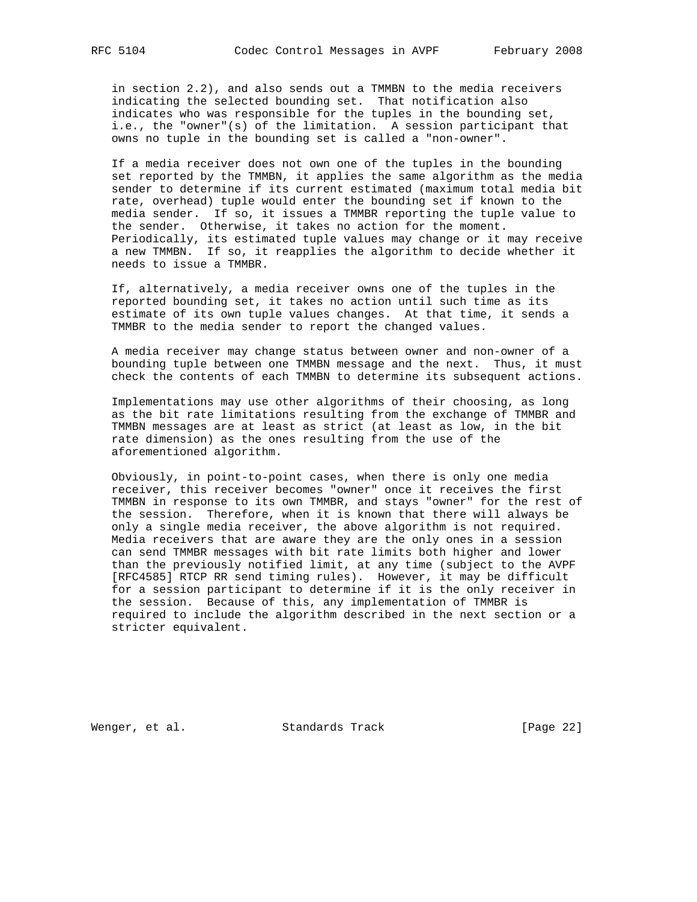in section 2.2), and also sends out a TMMBN to the media receivers indicating the selected bounding set. That notification also indicates who was responsible for the tuples in the bounding set, i.e., the "owner"(s) of the limitation. A session participant that owns no tuple in the bounding set is called a "non-owner".

 If a media receiver does not own one of the tuples in the bounding set reported by the TMMBN, it applies the same algorithm as the media sender to determine if its current estimated (maximum total media bit rate, overhead) tuple would enter the bounding set if known to the media sender. If so, it issues a TMMBR reporting the tuple value to the sender. Otherwise, it takes no action for the moment. Periodically, its estimated tuple values may change or it may receive a new TMMBN. If so, it reapplies the algorithm to decide whether it needs to issue a TMMBR.

 If, alternatively, a media receiver owns one of the tuples in the reported bounding set, it takes no action until such time as its estimate of its own tuple values changes. At that time, it sends a TMMBR to the media sender to report the changed values.

 A media receiver may change status between owner and non-owner of a bounding tuple between one TMMBN message and the next. Thus, it must check the contents of each TMMBN to determine its subsequent actions.

 Implementations may use other algorithms of their choosing, as long as the bit rate limitations resulting from the exchange of TMMBR and TMMBN messages are at least as strict (at least as low, in the bit rate dimension) as the ones resulting from the use of the aforementioned algorithm.

 Obviously, in point-to-point cases, when there is only one media receiver, this receiver becomes "owner" once it receives the first TMMBN in response to its own TMMBR, and stays "owner" for the rest of the session. Therefore, when it is known that there will always be only a single media receiver, the above algorithm is not required. Media receivers that are aware they are the only ones in a session can send TMMBR messages with bit rate limits both higher and lower than the previously notified limit, at any time (subject to the AVPF [RFC4585] RTCP RR send timing rules). However, it may be difficult for a session participant to determine if it is the only receiver in the session. Because of this, any implementation of TMMBR is required to include the algorithm described in the next section or a stricter equivalent.

Wenger, et al. Standards Track [Page 22]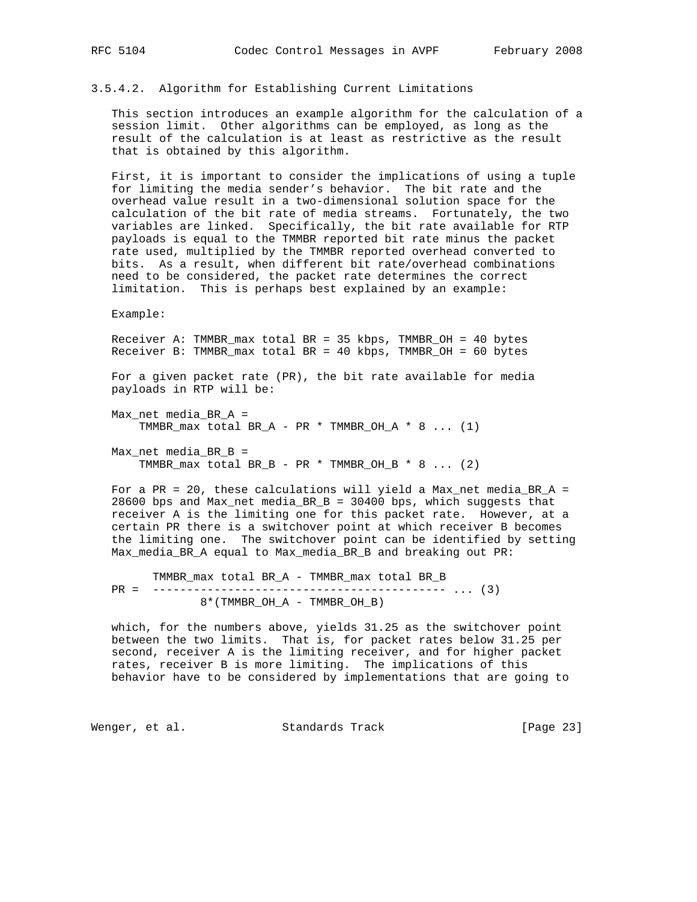#### 3.5.4.2. Algorithm for Establishing Current Limitations

 This section introduces an example algorithm for the calculation of a session limit. Other algorithms can be employed, as long as the result of the calculation is at least as restrictive as the result that is obtained by this algorithm.

 First, it is important to consider the implications of using a tuple for limiting the media sender's behavior. The bit rate and the overhead value result in a two-dimensional solution space for the calculation of the bit rate of media streams. Fortunately, the two variables are linked. Specifically, the bit rate available for RTP payloads is equal to the TMMBR reported bit rate minus the packet rate used, multiplied by the TMMBR reported overhead converted to bits. As a result, when different bit rate/overhead combinations need to be considered, the packet rate determines the correct limitation. This is perhaps best explained by an example:

Example:

 Receiver A: TMMBR\_max total BR = 35 kbps, TMMBR\_OH = 40 bytes Receiver B: TMMBR\_max total BR = 40 kbps, TMMBR\_OH = 60 bytes

 For a given packet rate (PR), the bit rate available for media payloads in RTP will be:

 Max\_net media\_BR\_A = TMMBR\_max total  $BR_A - PR * TMMBR_OH_A * 8 ... (1)$ 

 Max\_net media\_BR\_B = TMMBR max total BR B - PR \* TMMBR OH B \* 8 ... (2)

For a PR = 20, these calculations will yield a Max\_net media\_BR\_A = 28600 bps and Max\_net media\_BR\_B = 30400 bps, which suggests that receiver A is the limiting one for this packet rate. However, at a certain PR there is a switchover point at which receiver B becomes the limiting one. The switchover point can be identified by setting Max\_media\_BR\_A equal to Max\_media\_BR\_B and breaking out PR:

 TMMBR\_max total BR\_A - TMMBR\_max total BR\_B PR = ------------------------------------------- ... (3) 8\*(TMMBR\_OH\_A - TMMBR\_OH\_B)

 which, for the numbers above, yields 31.25 as the switchover point between the two limits. That is, for packet rates below 31.25 per second, receiver A is the limiting receiver, and for higher packet rates, receiver B is more limiting. The implications of this behavior have to be considered by implementations that are going to

Wenger, et al. Standards Track [Page 23]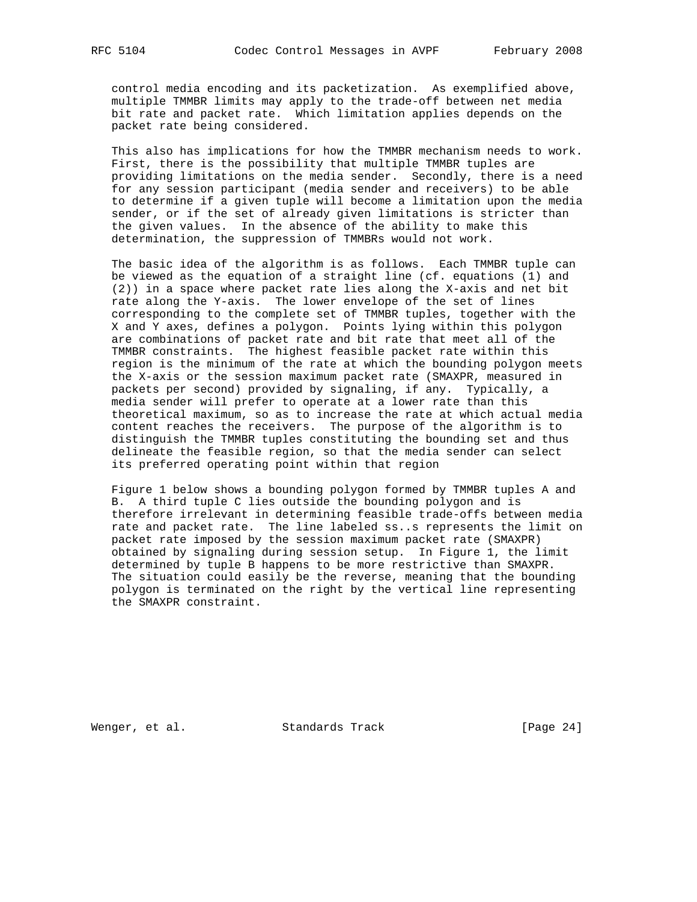control media encoding and its packetization. As exemplified above, multiple TMMBR limits may apply to the trade-off between net media bit rate and packet rate. Which limitation applies depends on the packet rate being considered.

 This also has implications for how the TMMBR mechanism needs to work. First, there is the possibility that multiple TMMBR tuples are providing limitations on the media sender. Secondly, there is a need for any session participant (media sender and receivers) to be able to determine if a given tuple will become a limitation upon the media sender, or if the set of already given limitations is stricter than the given values. In the absence of the ability to make this determination, the suppression of TMMBRs would not work.

 The basic idea of the algorithm is as follows. Each TMMBR tuple can be viewed as the equation of a straight line (cf. equations (1) and (2)) in a space where packet rate lies along the X-axis and net bit rate along the Y-axis. The lower envelope of the set of lines corresponding to the complete set of TMMBR tuples, together with the X and Y axes, defines a polygon. Points lying within this polygon are combinations of packet rate and bit rate that meet all of the TMMBR constraints. The highest feasible packet rate within this region is the minimum of the rate at which the bounding polygon meets the X-axis or the session maximum packet rate (SMAXPR, measured in packets per second) provided by signaling, if any. Typically, a media sender will prefer to operate at a lower rate than this theoretical maximum, so as to increase the rate at which actual media content reaches the receivers. The purpose of the algorithm is to distinguish the TMMBR tuples constituting the bounding set and thus delineate the feasible region, so that the media sender can select its preferred operating point within that region

 Figure 1 below shows a bounding polygon formed by TMMBR tuples A and B. A third tuple C lies outside the bounding polygon and is therefore irrelevant in determining feasible trade-offs between media rate and packet rate. The line labeled ss..s represents the limit on packet rate imposed by the session maximum packet rate (SMAXPR) obtained by signaling during session setup. In Figure 1, the limit determined by tuple B happens to be more restrictive than SMAXPR. The situation could easily be the reverse, meaning that the bounding polygon is terminated on the right by the vertical line representing the SMAXPR constraint.

Wenger, et al. Standards Track [Page 24]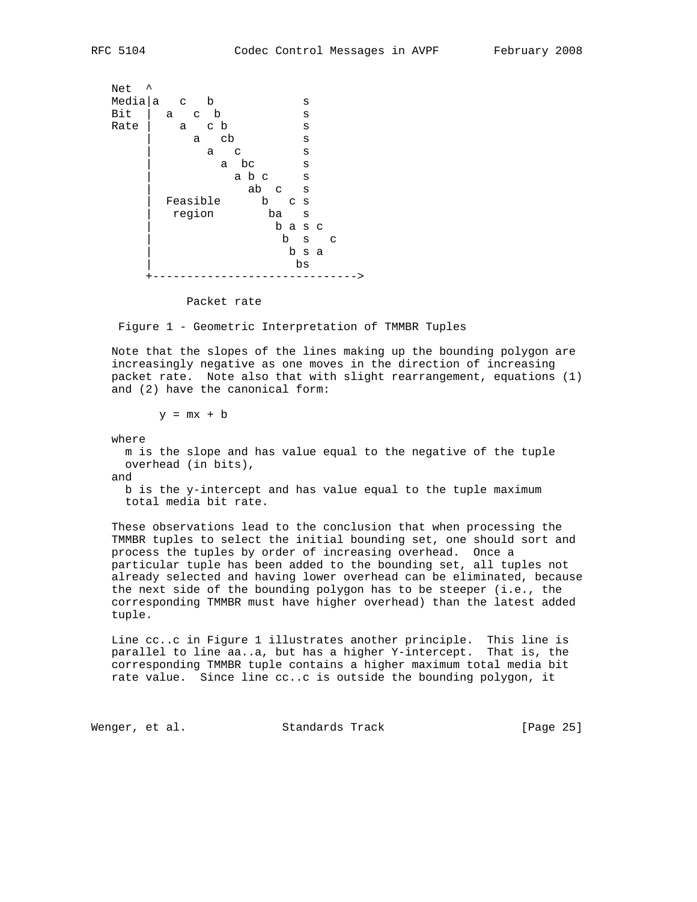```
Net ^<br>Media|a c b
 Media|a c b s
Bit | a c b s
Rate | a c b s
        a cb s
         a c s
          a bc s
           a bcs<br>abcs
              | ab c s
 | Feasible b c s
 | region ba s
                | b a s c
                 | b s c
                 | b s a
 | bs
       +------------------------------>
```
Packet rate

Figure 1 - Geometric Interpretation of TMMBR Tuples

 Note that the slopes of the lines making up the bounding polygon are increasingly negative as one moves in the direction of increasing packet rate. Note also that with slight rearrangement, equations (1) and (2) have the canonical form:

 $y = mx + b$ 

where

 m is the slope and has value equal to the negative of the tuple overhead (in bits),

and

 b is the y-intercept and has value equal to the tuple maximum total media bit rate.

 These observations lead to the conclusion that when processing the TMMBR tuples to select the initial bounding set, one should sort and process the tuples by order of increasing overhead. Once a particular tuple has been added to the bounding set, all tuples not already selected and having lower overhead can be eliminated, because the next side of the bounding polygon has to be steeper (i.e., the corresponding TMMBR must have higher overhead) than the latest added tuple.

 Line cc..c in Figure 1 illustrates another principle. This line is parallel to line aa..a, but has a higher Y-intercept. That is, the corresponding TMMBR tuple contains a higher maximum total media bit rate value. Since line cc..c is outside the bounding polygon, it

Wenger, et al. Standards Track [Page 25]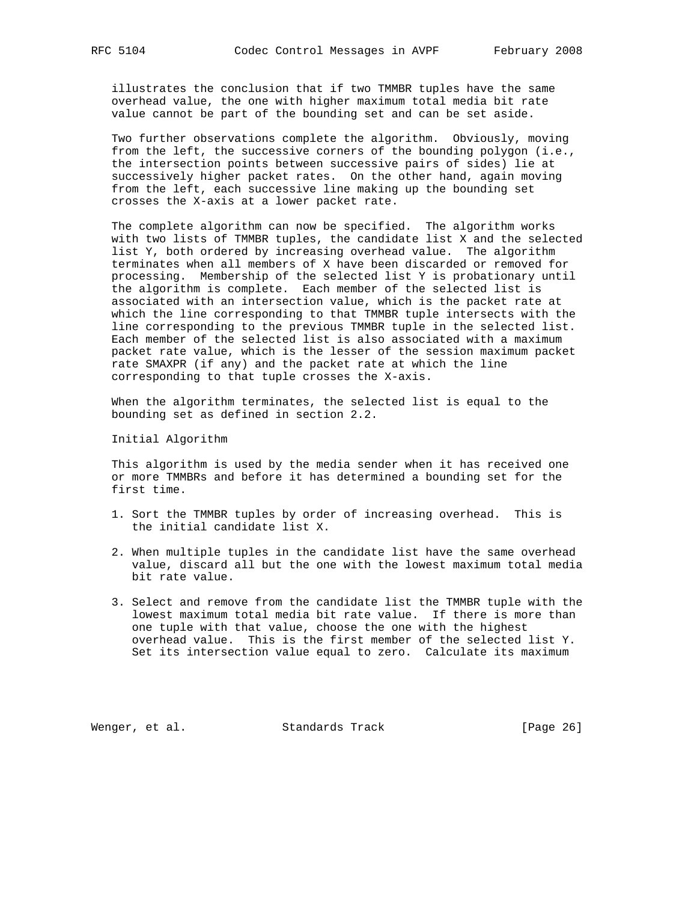illustrates the conclusion that if two TMMBR tuples have the same overhead value, the one with higher maximum total media bit rate value cannot be part of the bounding set and can be set aside.

 Two further observations complete the algorithm. Obviously, moving from the left, the successive corners of the bounding polygon (i.e., the intersection points between successive pairs of sides) lie at successively higher packet rates. On the other hand, again moving from the left, each successive line making up the bounding set crosses the X-axis at a lower packet rate.

 The complete algorithm can now be specified. The algorithm works with two lists of TMMBR tuples, the candidate list X and the selected list Y, both ordered by increasing overhead value. The algorithm terminates when all members of X have been discarded or removed for processing. Membership of the selected list Y is probationary until the algorithm is complete. Each member of the selected list is associated with an intersection value, which is the packet rate at which the line corresponding to that TMMBR tuple intersects with the line corresponding to the previous TMMBR tuple in the selected list. Each member of the selected list is also associated with a maximum packet rate value, which is the lesser of the session maximum packet rate SMAXPR (if any) and the packet rate at which the line corresponding to that tuple crosses the X-axis.

 When the algorithm terminates, the selected list is equal to the bounding set as defined in section 2.2.

Initial Algorithm

 This algorithm is used by the media sender when it has received one or more TMMBRs and before it has determined a bounding set for the first time.

- 1. Sort the TMMBR tuples by order of increasing overhead. This is the initial candidate list X.
- 2. When multiple tuples in the candidate list have the same overhead value, discard all but the one with the lowest maximum total media bit rate value.
- 3. Select and remove from the candidate list the TMMBR tuple with the lowest maximum total media bit rate value. If there is more than one tuple with that value, choose the one with the highest overhead value. This is the first member of the selected list Y. Set its intersection value equal to zero. Calculate its maximum

Wenger, et al. Standards Track [Page 26]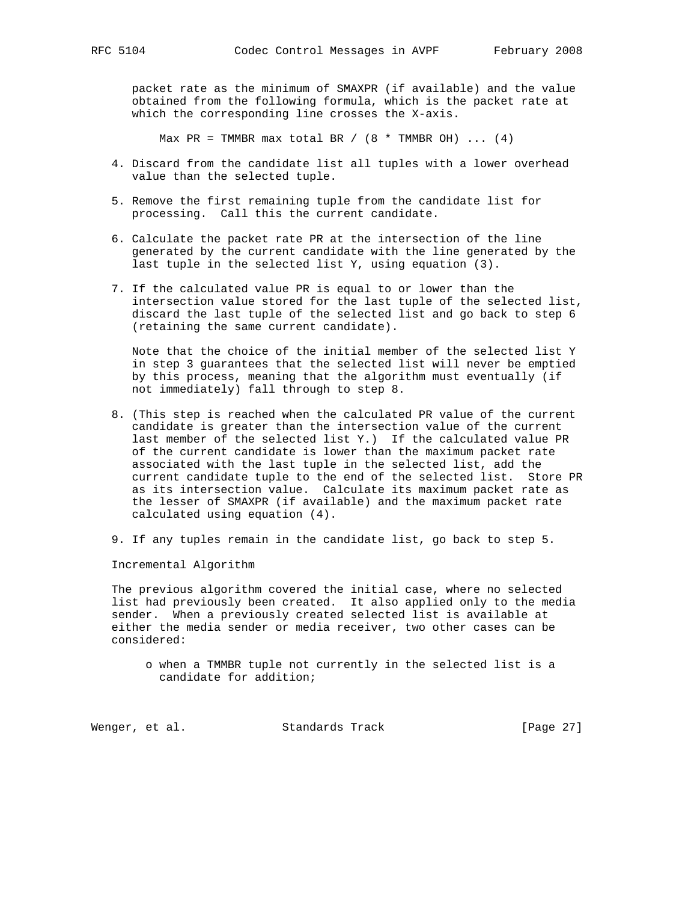packet rate as the minimum of SMAXPR (if available) and the value obtained from the following formula, which is the packet rate at which the corresponding line crosses the X-axis.

Max PR = TMMBR max total BR /  $(8 * TMMBR OH) \ldots (4)$ 

- 4. Discard from the candidate list all tuples with a lower overhead value than the selected tuple.
- 5. Remove the first remaining tuple from the candidate list for processing. Call this the current candidate.
- 6. Calculate the packet rate PR at the intersection of the line generated by the current candidate with the line generated by the last tuple in the selected list Y, using equation (3).
- 7. If the calculated value PR is equal to or lower than the intersection value stored for the last tuple of the selected list, discard the last tuple of the selected list and go back to step 6 (retaining the same current candidate).

 Note that the choice of the initial member of the selected list Y in step 3 guarantees that the selected list will never be emptied by this process, meaning that the algorithm must eventually (if not immediately) fall through to step 8.

- 8. (This step is reached when the calculated PR value of the current candidate is greater than the intersection value of the current last member of the selected list Y.) If the calculated value PR of the current candidate is lower than the maximum packet rate associated with the last tuple in the selected list, add the current candidate tuple to the end of the selected list. Store PR as its intersection value. Calculate its maximum packet rate as the lesser of SMAXPR (if available) and the maximum packet rate calculated using equation (4).
- 9. If any tuples remain in the candidate list, go back to step 5.

Incremental Algorithm

 The previous algorithm covered the initial case, where no selected list had previously been created. It also applied only to the media sender. When a previously created selected list is available at either the media sender or media receiver, two other cases can be considered:

 o when a TMMBR tuple not currently in the selected list is a candidate for addition;

Wenger, et al. Standards Track [Page 27]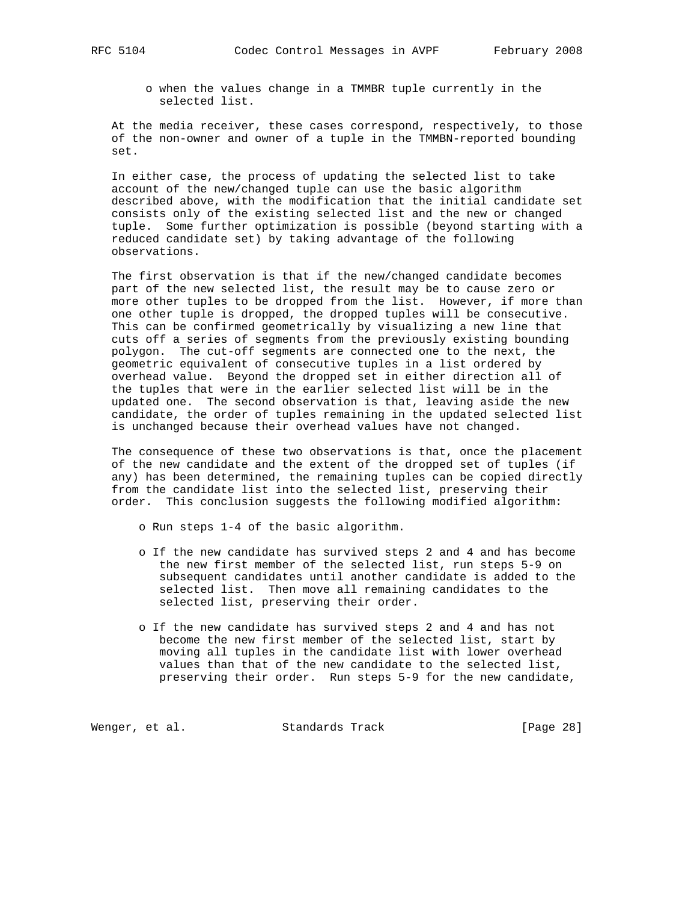o when the values change in a TMMBR tuple currently in the selected list.

 At the media receiver, these cases correspond, respectively, to those of the non-owner and owner of a tuple in the TMMBN-reported bounding set.

 In either case, the process of updating the selected list to take account of the new/changed tuple can use the basic algorithm described above, with the modification that the initial candidate set consists only of the existing selected list and the new or changed tuple. Some further optimization is possible (beyond starting with a reduced candidate set) by taking advantage of the following observations.

 The first observation is that if the new/changed candidate becomes part of the new selected list, the result may be to cause zero or more other tuples to be dropped from the list. However, if more than one other tuple is dropped, the dropped tuples will be consecutive. This can be confirmed geometrically by visualizing a new line that cuts off a series of segments from the previously existing bounding polygon. The cut-off segments are connected one to the next, the geometric equivalent of consecutive tuples in a list ordered by overhead value. Beyond the dropped set in either direction all of the tuples that were in the earlier selected list will be in the updated one. The second observation is that, leaving aside the new candidate, the order of tuples remaining in the updated selected list is unchanged because their overhead values have not changed.

 The consequence of these two observations is that, once the placement of the new candidate and the extent of the dropped set of tuples (if any) has been determined, the remaining tuples can be copied directly from the candidate list into the selected list, preserving their order. This conclusion suggests the following modified algorithm:

- o Run steps 1-4 of the basic algorithm.
- o If the new candidate has survived steps 2 and 4 and has become the new first member of the selected list, run steps 5-9 on subsequent candidates until another candidate is added to the selected list. Then move all remaining candidates to the selected list, preserving their order.
- o If the new candidate has survived steps 2 and 4 and has not become the new first member of the selected list, start by moving all tuples in the candidate list with lower overhead values than that of the new candidate to the selected list, preserving their order. Run steps 5-9 for the new candidate,

Wenger, et al. Standards Track [Page 28]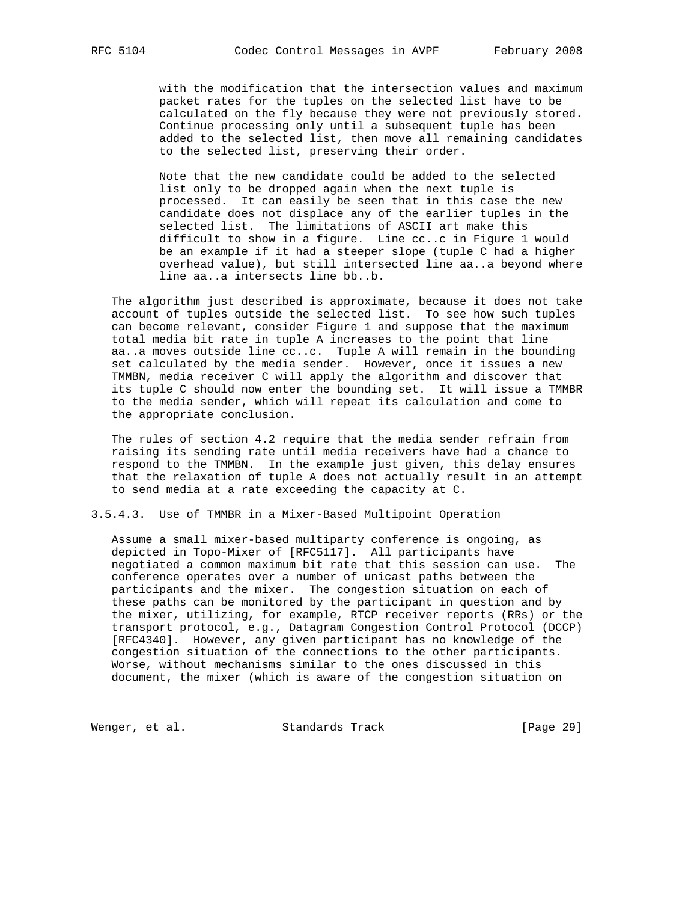with the modification that the intersection values and maximum packet rates for the tuples on the selected list have to be calculated on the fly because they were not previously stored. Continue processing only until a subsequent tuple has been added to the selected list, then move all remaining candidates to the selected list, preserving their order.

 Note that the new candidate could be added to the selected list only to be dropped again when the next tuple is processed. It can easily be seen that in this case the new candidate does not displace any of the earlier tuples in the selected list. The limitations of ASCII art make this difficult to show in a figure. Line cc..c in Figure 1 would be an example if it had a steeper slope (tuple C had a higher overhead value), but still intersected line aa..a beyond where line aa..a intersects line bb..b.

 The algorithm just described is approximate, because it does not take account of tuples outside the selected list. To see how such tuples can become relevant, consider Figure 1 and suppose that the maximum total media bit rate in tuple A increases to the point that line aa..a moves outside line cc..c. Tuple A will remain in the bounding set calculated by the media sender. However, once it issues a new TMMBN, media receiver C will apply the algorithm and discover that its tuple C should now enter the bounding set. It will issue a TMMBR to the media sender, which will repeat its calculation and come to the appropriate conclusion.

 The rules of section 4.2 require that the media sender refrain from raising its sending rate until media receivers have had a chance to respond to the TMMBN. In the example just given, this delay ensures that the relaxation of tuple A does not actually result in an attempt to send media at a rate exceeding the capacity at C.

3.5.4.3. Use of TMMBR in a Mixer-Based Multipoint Operation

 Assume a small mixer-based multiparty conference is ongoing, as depicted in Topo-Mixer of [RFC5117]. All participants have negotiated a common maximum bit rate that this session can use. The conference operates over a number of unicast paths between the participants and the mixer. The congestion situation on each of these paths can be monitored by the participant in question and by the mixer, utilizing, for example, RTCP receiver reports (RRs) or the transport protocol, e.g., Datagram Congestion Control Protocol (DCCP) [RFC4340]. However, any given participant has no knowledge of the congestion situation of the connections to the other participants. Worse, without mechanisms similar to the ones discussed in this document, the mixer (which is aware of the congestion situation on

Wenger, et al. Standards Track [Page 29]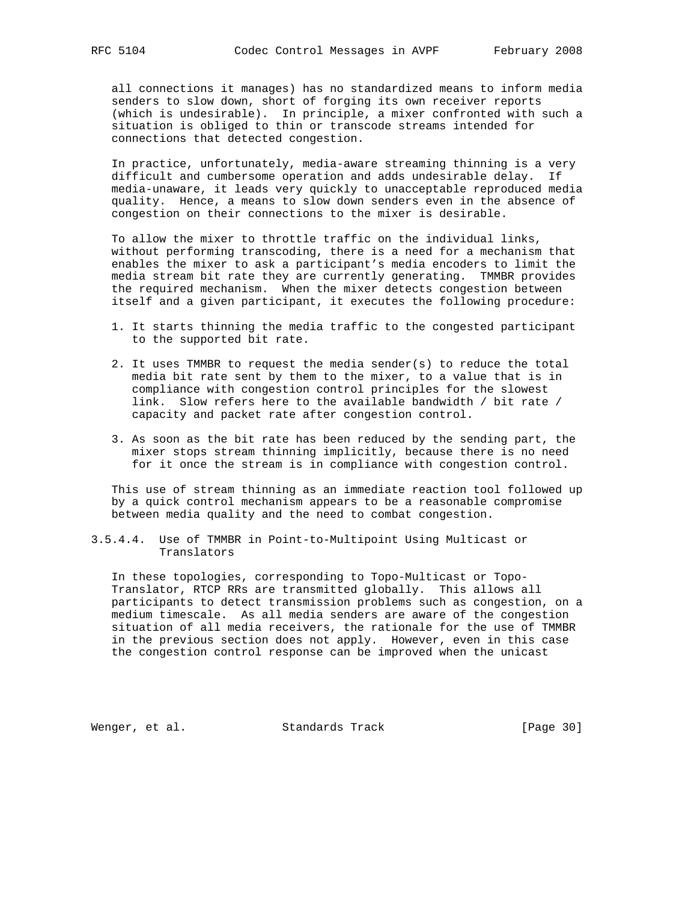all connections it manages) has no standardized means to inform media senders to slow down, short of forging its own receiver reports (which is undesirable). In principle, a mixer confronted with such a situation is obliged to thin or transcode streams intended for connections that detected congestion.

 In practice, unfortunately, media-aware streaming thinning is a very difficult and cumbersome operation and adds undesirable delay. If media-unaware, it leads very quickly to unacceptable reproduced media quality. Hence, a means to slow down senders even in the absence of congestion on their connections to the mixer is desirable.

 To allow the mixer to throttle traffic on the individual links, without performing transcoding, there is a need for a mechanism that enables the mixer to ask a participant's media encoders to limit the media stream bit rate they are currently generating. TMMBR provides the required mechanism. When the mixer detects congestion between itself and a given participant, it executes the following procedure:

- 1. It starts thinning the media traffic to the congested participant to the supported bit rate.
- 2. It uses TMMBR to request the media sender(s) to reduce the total media bit rate sent by them to the mixer, to a value that is in compliance with congestion control principles for the slowest link. Slow refers here to the available bandwidth / bit rate / capacity and packet rate after congestion control.
- 3. As soon as the bit rate has been reduced by the sending part, the mixer stops stream thinning implicitly, because there is no need for it once the stream is in compliance with congestion control.

 This use of stream thinning as an immediate reaction tool followed up by a quick control mechanism appears to be a reasonable compromise between media quality and the need to combat congestion.

3.5.4.4. Use of TMMBR in Point-to-Multipoint Using Multicast or Translators

 In these topologies, corresponding to Topo-Multicast or Topo- Translator, RTCP RRs are transmitted globally. This allows all participants to detect transmission problems such as congestion, on a medium timescale. As all media senders are aware of the congestion situation of all media receivers, the rationale for the use of TMMBR in the previous section does not apply. However, even in this case the congestion control response can be improved when the unicast

Wenger, et al. Standards Track [Page 30]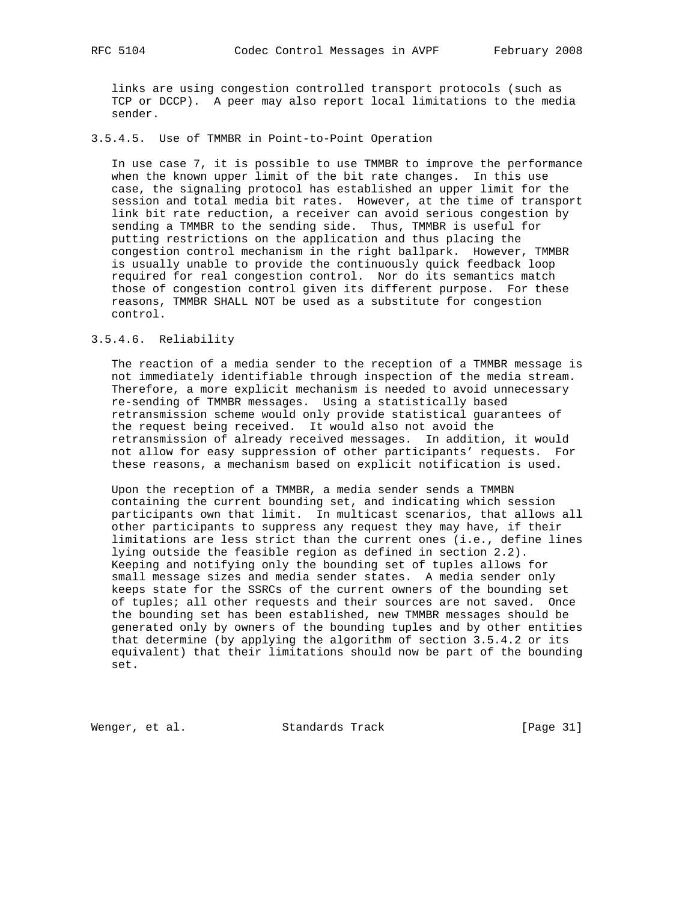links are using congestion controlled transport protocols (such as TCP or DCCP). A peer may also report local limitations to the media sender.

# 3.5.4.5. Use of TMMBR in Point-to-Point Operation

 In use case 7, it is possible to use TMMBR to improve the performance when the known upper limit of the bit rate changes. In this use case, the signaling protocol has established an upper limit for the session and total media bit rates. However, at the time of transport link bit rate reduction, a receiver can avoid serious congestion by sending a TMMBR to the sending side. Thus, TMMBR is useful for putting restrictions on the application and thus placing the congestion control mechanism in the right ballpark. However, TMMBR is usually unable to provide the continuously quick feedback loop required for real congestion control. Nor do its semantics match those of congestion control given its different purpose. For these reasons, TMMBR SHALL NOT be used as a substitute for congestion control.

# 3.5.4.6. Reliability

 The reaction of a media sender to the reception of a TMMBR message is not immediately identifiable through inspection of the media stream. Therefore, a more explicit mechanism is needed to avoid unnecessary re-sending of TMMBR messages. Using a statistically based retransmission scheme would only provide statistical guarantees of the request being received. It would also not avoid the retransmission of already received messages. In addition, it would not allow for easy suppression of other participants' requests. For these reasons, a mechanism based on explicit notification is used.

 Upon the reception of a TMMBR, a media sender sends a TMMBN containing the current bounding set, and indicating which session participants own that limit. In multicast scenarios, that allows all other participants to suppress any request they may have, if their limitations are less strict than the current ones (i.e., define lines lying outside the feasible region as defined in section 2.2). Keeping and notifying only the bounding set of tuples allows for small message sizes and media sender states. A media sender only keeps state for the SSRCs of the current owners of the bounding set of tuples; all other requests and their sources are not saved. Once the bounding set has been established, new TMMBR messages should be generated only by owners of the bounding tuples and by other entities that determine (by applying the algorithm of section 3.5.4.2 or its equivalent) that their limitations should now be part of the bounding set.

Wenger, et al. Standards Track [Page 31]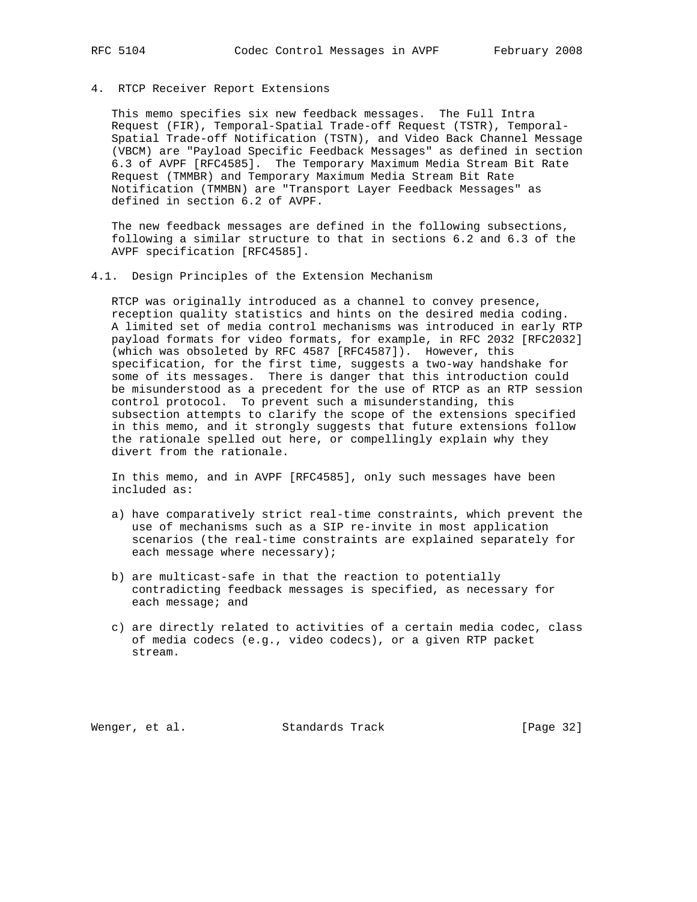## 4. RTCP Receiver Report Extensions

 This memo specifies six new feedback messages. The Full Intra Request (FIR), Temporal-Spatial Trade-off Request (TSTR), Temporal- Spatial Trade-off Notification (TSTN), and Video Back Channel Message (VBCM) are "Payload Specific Feedback Messages" as defined in section 6.3 of AVPF [RFC4585]. The Temporary Maximum Media Stream Bit Rate Request (TMMBR) and Temporary Maximum Media Stream Bit Rate Notification (TMMBN) are "Transport Layer Feedback Messages" as defined in section 6.2 of AVPF.

 The new feedback messages are defined in the following subsections, following a similar structure to that in sections 6.2 and 6.3 of the AVPF specification [RFC4585].

# 4.1. Design Principles of the Extension Mechanism

 RTCP was originally introduced as a channel to convey presence, reception quality statistics and hints on the desired media coding. A limited set of media control mechanisms was introduced in early RTP payload formats for video formats, for example, in RFC 2032 [RFC2032] (which was obsoleted by RFC 4587 [RFC4587]). However, this specification, for the first time, suggests a two-way handshake for some of its messages. There is danger that this introduction could be misunderstood as a precedent for the use of RTCP as an RTP session control protocol. To prevent such a misunderstanding, this subsection attempts to clarify the scope of the extensions specified in this memo, and it strongly suggests that future extensions follow the rationale spelled out here, or compellingly explain why they divert from the rationale.

 In this memo, and in AVPF [RFC4585], only such messages have been included as:

- a) have comparatively strict real-time constraints, which prevent the use of mechanisms such as a SIP re-invite in most application scenarios (the real-time constraints are explained separately for each message where necessary);
- b) are multicast-safe in that the reaction to potentially contradicting feedback messages is specified, as necessary for each message; and
- c) are directly related to activities of a certain media codec, class of media codecs (e.g., video codecs), or a given RTP packet stream.

Wenger, et al. Standards Track [Page 32]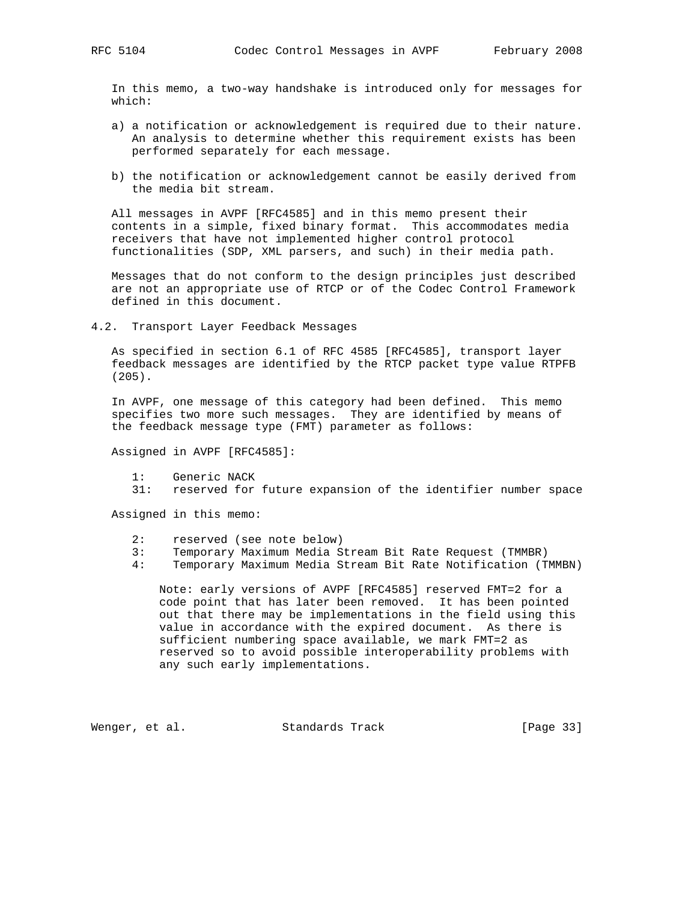In this memo, a two-way handshake is introduced only for messages for which:

- a) a notification or acknowledgement is required due to their nature. An analysis to determine whether this requirement exists has been performed separately for each message.
- b) the notification or acknowledgement cannot be easily derived from the media bit stream.

 All messages in AVPF [RFC4585] and in this memo present their contents in a simple, fixed binary format. This accommodates media receivers that have not implemented higher control protocol functionalities (SDP, XML parsers, and such) in their media path.

 Messages that do not conform to the design principles just described are not an appropriate use of RTCP or of the Codec Control Framework defined in this document.

4.2. Transport Layer Feedback Messages

 As specified in section 6.1 of RFC 4585 [RFC4585], transport layer feedback messages are identified by the RTCP packet type value RTPFB (205).

 In AVPF, one message of this category had been defined. This memo specifies two more such messages. They are identified by means of the feedback message type (FMT) parameter as follows:

Assigned in AVPF [RFC4585]:

- 1: Generic NACK
- 31: reserved for future expansion of the identifier number space

Assigned in this memo:

- 2: reserved (see note below)
- 3: Temporary Maximum Media Stream Bit Rate Request (TMMBR)
- 4: Temporary Maximum Media Stream Bit Rate Notification (TMMBN)

 Note: early versions of AVPF [RFC4585] reserved FMT=2 for a code point that has later been removed. It has been pointed out that there may be implementations in the field using this value in accordance with the expired document. As there is sufficient numbering space available, we mark FMT=2 as reserved so to avoid possible interoperability problems with any such early implementations.

Wenger, et al. Standards Track [Page 33]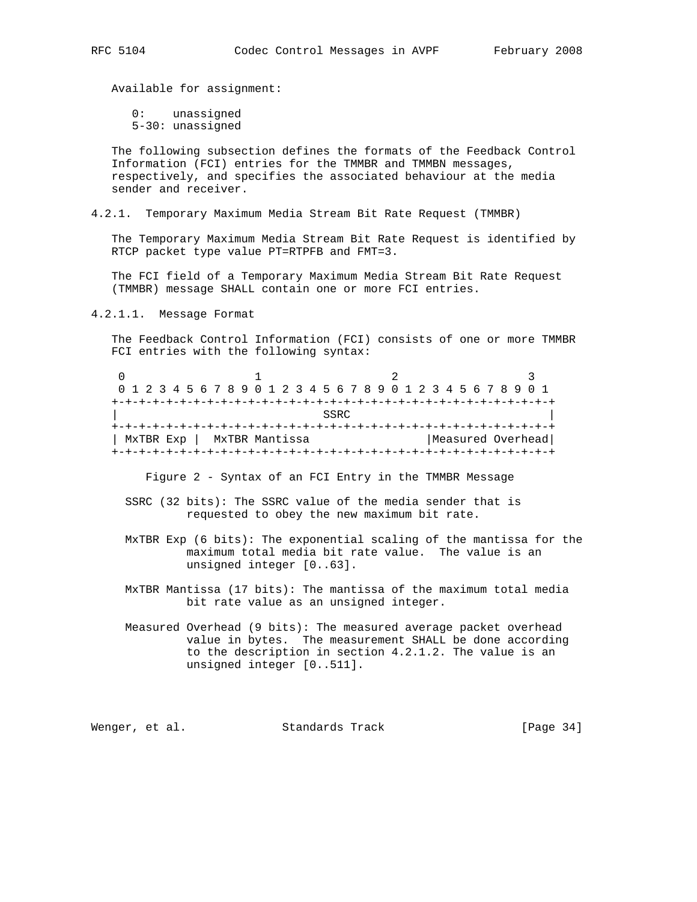Available for assignment:

 0: unassigned 5-30: unassigned

 The following subsection defines the formats of the Feedback Control Information (FCI) entries for the TMMBR and TMMBN messages, respectively, and specifies the associated behaviour at the media sender and receiver.

4.2.1. Temporary Maximum Media Stream Bit Rate Request (TMMBR)

 The Temporary Maximum Media Stream Bit Rate Request is identified by RTCP packet type value PT=RTPFB and FMT=3.

 The FCI field of a Temporary Maximum Media Stream Bit Rate Request (TMMBR) message SHALL contain one or more FCI entries.

4.2.1.1. Message Format

 The Feedback Control Information (FCI) consists of one or more TMMBR FCI entries with the following syntax:

| 0 1 2 3 4 5 6 7 8 9 0 1 2 3 4 5 6 7 8 9 0 1 2 3 4 5 6 7 8 9 0 1 |  |  |                |  |  |  |  |      |  |  |  |  |  |  |  |                   |
|-----------------------------------------------------------------|--|--|----------------|--|--|--|--|------|--|--|--|--|--|--|--|-------------------|
|                                                                 |  |  |                |  |  |  |  |      |  |  |  |  |  |  |  |                   |
|                                                                 |  |  |                |  |  |  |  | SSRC |  |  |  |  |  |  |  |                   |
|                                                                 |  |  |                |  |  |  |  |      |  |  |  |  |  |  |  |                   |
| MxTBR Exp                                                       |  |  | MxTBR Mantissa |  |  |  |  |      |  |  |  |  |  |  |  | Measured Overhead |
|                                                                 |  |  |                |  |  |  |  |      |  |  |  |  |  |  |  |                   |

Figure 2 - Syntax of an FCI Entry in the TMMBR Message

- SSRC (32 bits): The SSRC value of the media sender that is requested to obey the new maximum bit rate.
- MxTBR Exp (6 bits): The exponential scaling of the mantissa for the maximum total media bit rate value. The value is an unsigned integer [0..63].
- MxTBR Mantissa (17 bits): The mantissa of the maximum total media bit rate value as an unsigned integer.
- Measured Overhead (9 bits): The measured average packet overhead value in bytes. The measurement SHALL be done according to the description in section 4.2.1.2. The value is an unsigned integer [0..511].

Wenger, et al. Standards Track [Page 34]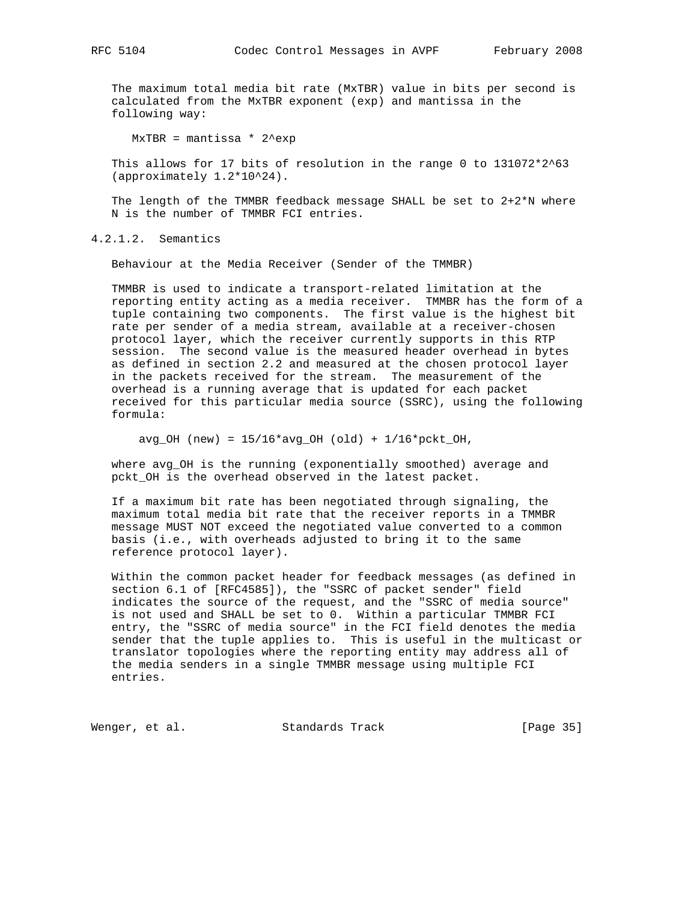The maximum total media bit rate (MxTBR) value in bits per second is calculated from the MxTBR exponent (exp) and mantissa in the following way:

 $MxTBR =$  mantissa \*  $2^e$ exp

This allows for 17 bits of resolution in the range 0 to 131072\*2^63 (approximately 1.2\*10^24).

The length of the TMMBR feedback message SHALL be set to  $2+2*N$  where N is the number of TMMBR FCI entries.

4.2.1.2. Semantics

Behaviour at the Media Receiver (Sender of the TMMBR)

 TMMBR is used to indicate a transport-related limitation at the reporting entity acting as a media receiver. TMMBR has the form of a tuple containing two components. The first value is the highest bit rate per sender of a media stream, available at a receiver-chosen protocol layer, which the receiver currently supports in this RTP session. The second value is the measured header overhead in bytes as defined in section 2.2 and measured at the chosen protocol layer in the packets received for the stream. The measurement of the overhead is a running average that is updated for each packet received for this particular media source (SSRC), using the following formula:

 $avg_OH$  (new) =  $15/16*avg_OH$  (old) +  $1/16*pekt_OH$ ,

 where avg\_OH is the running (exponentially smoothed) average and pckt\_OH is the overhead observed in the latest packet.

 If a maximum bit rate has been negotiated through signaling, the maximum total media bit rate that the receiver reports in a TMMBR message MUST NOT exceed the negotiated value converted to a common basis (i.e., with overheads adjusted to bring it to the same reference protocol layer).

 Within the common packet header for feedback messages (as defined in section 6.1 of [RFC4585]), the "SSRC of packet sender" field indicates the source of the request, and the "SSRC of media source" is not used and SHALL be set to 0. Within a particular TMMBR FCI entry, the "SSRC of media source" in the FCI field denotes the media sender that the tuple applies to. This is useful in the multicast or translator topologies where the reporting entity may address all of the media senders in a single TMMBR message using multiple FCI entries.

Wenger, et al. Standards Track [Page 35]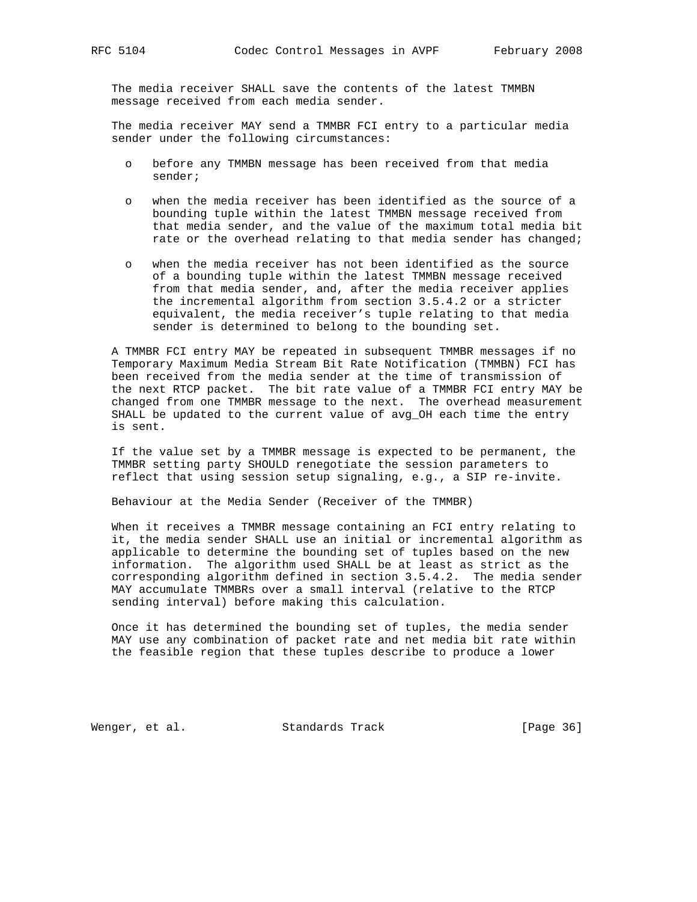The media receiver SHALL save the contents of the latest TMMBN message received from each media sender.

 The media receiver MAY send a TMMBR FCI entry to a particular media sender under the following circumstances:

- o before any TMMBN message has been received from that media sender;
- o when the media receiver has been identified as the source of a bounding tuple within the latest TMMBN message received from that media sender, and the value of the maximum total media bit rate or the overhead relating to that media sender has changed;
- when the media receiver has not been identified as the source of a bounding tuple within the latest TMMBN message received from that media sender, and, after the media receiver applies the incremental algorithm from section 3.5.4.2 or a stricter equivalent, the media receiver's tuple relating to that media sender is determined to belong to the bounding set.

 A TMMBR FCI entry MAY be repeated in subsequent TMMBR messages if no Temporary Maximum Media Stream Bit Rate Notification (TMMBN) FCI has been received from the media sender at the time of transmission of the next RTCP packet. The bit rate value of a TMMBR FCI entry MAY be changed from one TMMBR message to the next. The overhead measurement SHALL be updated to the current value of avg\_OH each time the entry is sent.

 If the value set by a TMMBR message is expected to be permanent, the TMMBR setting party SHOULD renegotiate the session parameters to reflect that using session setup signaling, e.g., a SIP re-invite.

Behaviour at the Media Sender (Receiver of the TMMBR)

 When it receives a TMMBR message containing an FCI entry relating to it, the media sender SHALL use an initial or incremental algorithm as applicable to determine the bounding set of tuples based on the new information. The algorithm used SHALL be at least as strict as the corresponding algorithm defined in section 3.5.4.2. The media sender MAY accumulate TMMBRs over a small interval (relative to the RTCP sending interval) before making this calculation.

 Once it has determined the bounding set of tuples, the media sender MAY use any combination of packet rate and net media bit rate within the feasible region that these tuples describe to produce a lower

Wenger, et al. Standards Track [Page 36]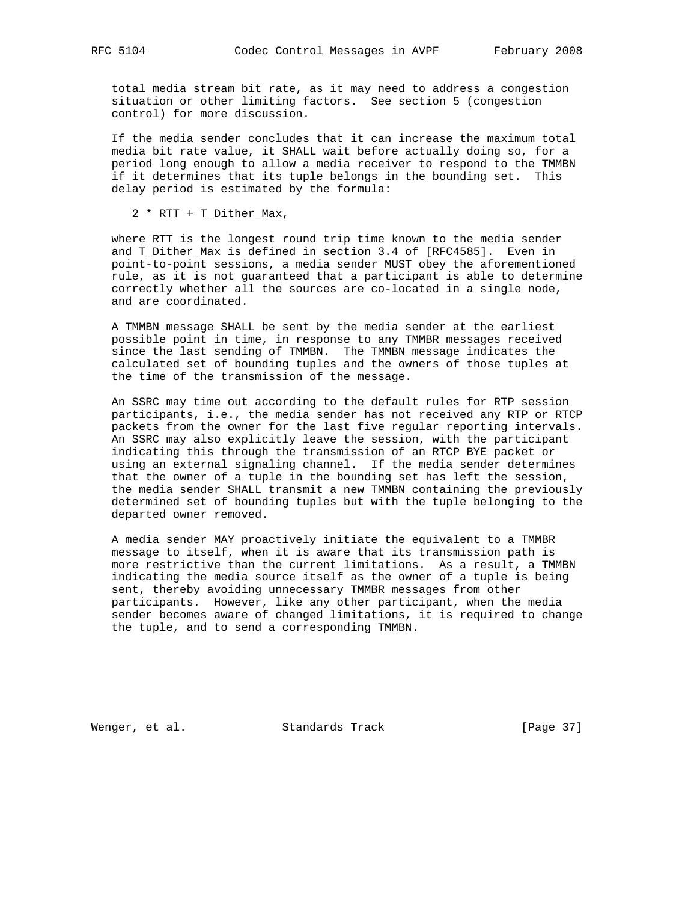total media stream bit rate, as it may need to address a congestion situation or other limiting factors. See section 5 (congestion control) for more discussion.

 If the media sender concludes that it can increase the maximum total media bit rate value, it SHALL wait before actually doing so, for a period long enough to allow a media receiver to respond to the TMMBN if it determines that its tuple belongs in the bounding set. This delay period is estimated by the formula:

2 \* RTT + T\_Dither\_Max,

 where RTT is the longest round trip time known to the media sender and T\_Dither\_Max is defined in section 3.4 of [RFC4585]. Even in point-to-point sessions, a media sender MUST obey the aforementioned rule, as it is not guaranteed that a participant is able to determine correctly whether all the sources are co-located in a single node, and are coordinated.

 A TMMBN message SHALL be sent by the media sender at the earliest possible point in time, in response to any TMMBR messages received since the last sending of TMMBN. The TMMBN message indicates the calculated set of bounding tuples and the owners of those tuples at the time of the transmission of the message.

 An SSRC may time out according to the default rules for RTP session participants, i.e., the media sender has not received any RTP or RTCP packets from the owner for the last five regular reporting intervals. An SSRC may also explicitly leave the session, with the participant indicating this through the transmission of an RTCP BYE packet or using an external signaling channel. If the media sender determines that the owner of a tuple in the bounding set has left the session, the media sender SHALL transmit a new TMMBN containing the previously determined set of bounding tuples but with the tuple belonging to the departed owner removed.

 A media sender MAY proactively initiate the equivalent to a TMMBR message to itself, when it is aware that its transmission path is more restrictive than the current limitations. As a result, a TMMBN indicating the media source itself as the owner of a tuple is being sent, thereby avoiding unnecessary TMMBR messages from other participants. However, like any other participant, when the media sender becomes aware of changed limitations, it is required to change the tuple, and to send a corresponding TMMBN.

Wenger, et al. Standards Track [Page 37]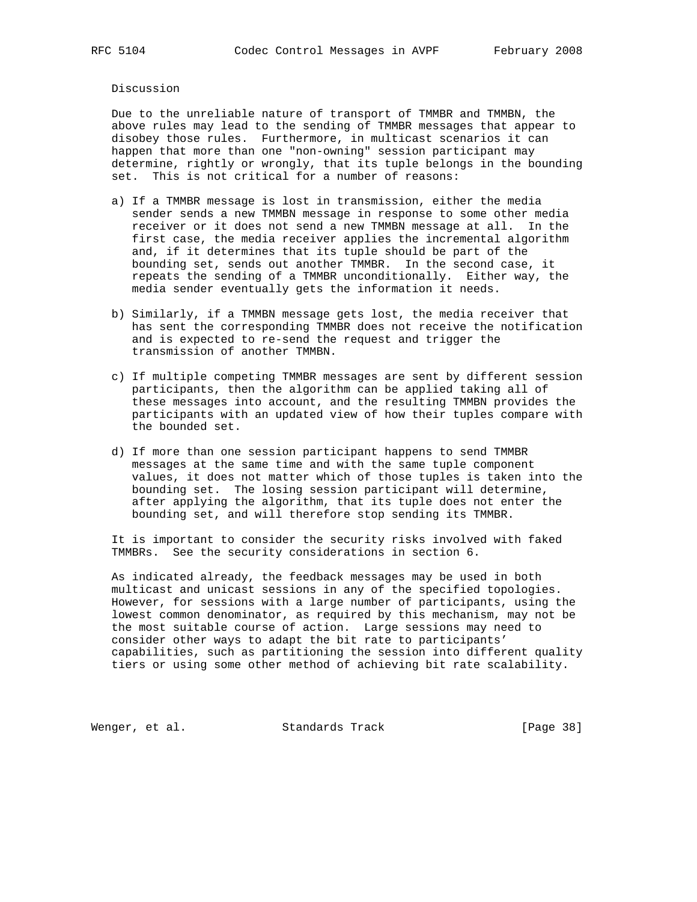Discussion

 Due to the unreliable nature of transport of TMMBR and TMMBN, the above rules may lead to the sending of TMMBR messages that appear to disobey those rules. Furthermore, in multicast scenarios it can happen that more than one "non-owning" session participant may determine, rightly or wrongly, that its tuple belongs in the bounding set. This is not critical for a number of reasons:

- a) If a TMMBR message is lost in transmission, either the media sender sends a new TMMBN message in response to some other media receiver or it does not send a new TMMBN message at all. In the first case, the media receiver applies the incremental algorithm and, if it determines that its tuple should be part of the bounding set, sends out another TMMBR. In the second case, it repeats the sending of a TMMBR unconditionally. Either way, the media sender eventually gets the information it needs.
- b) Similarly, if a TMMBN message gets lost, the media receiver that has sent the corresponding TMMBR does not receive the notification and is expected to re-send the request and trigger the transmission of another TMMBN.
- c) If multiple competing TMMBR messages are sent by different session participants, then the algorithm can be applied taking all of these messages into account, and the resulting TMMBN provides the participants with an updated view of how their tuples compare with the bounded set.
- d) If more than one session participant happens to send TMMBR messages at the same time and with the same tuple component values, it does not matter which of those tuples is taken into the bounding set. The losing session participant will determine, after applying the algorithm, that its tuple does not enter the bounding set, and will therefore stop sending its TMMBR.

 It is important to consider the security risks involved with faked TMMBRs. See the security considerations in section 6.

 As indicated already, the feedback messages may be used in both multicast and unicast sessions in any of the specified topologies. However, for sessions with a large number of participants, using the lowest common denominator, as required by this mechanism, may not be the most suitable course of action. Large sessions may need to consider other ways to adapt the bit rate to participants' capabilities, such as partitioning the session into different quality tiers or using some other method of achieving bit rate scalability.

Wenger, et al. Standards Track [Page 38]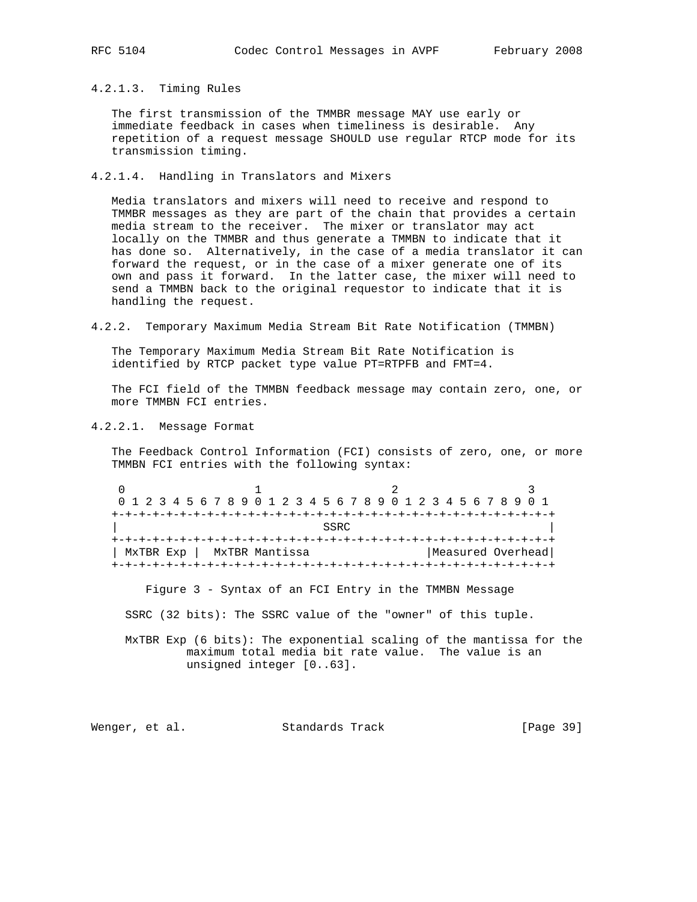4.2.1.3. Timing Rules

 The first transmission of the TMMBR message MAY use early or immediate feedback in cases when timeliness is desirable. Any repetition of a request message SHOULD use regular RTCP mode for its transmission timing.

4.2.1.4. Handling in Translators and Mixers

 Media translators and mixers will need to receive and respond to TMMBR messages as they are part of the chain that provides a certain media stream to the receiver. The mixer or translator may act locally on the TMMBR and thus generate a TMMBN to indicate that it has done so. Alternatively, in the case of a media translator it can forward the request, or in the case of a mixer generate one of its own and pass it forward. In the latter case, the mixer will need to send a TMMBN back to the original requestor to indicate that it is handling the request.

4.2.2. Temporary Maximum Media Stream Bit Rate Notification (TMMBN)

 The Temporary Maximum Media Stream Bit Rate Notification is identified by RTCP packet type value PT=RTPFB and FMT=4.

 The FCI field of the TMMBN feedback message may contain zero, one, or more TMMBN FCI entries.

4.2.2.1. Message Format

 The Feedback Control Information (FCI) consists of zero, one, or more TMMBN FCI entries with the following syntax:

0  $1$  2 3 0 1 2 3 4 5 6 7 8 9 0 1 2 3 4 5 6 7 8 9 0 1 2 3 4 5 6 7 8 9 0 1 +-+-+-+-+-+-+-+-+-+-+-+-+-+-+-+-+-+-+-+-+-+-+-+-+-+-+-+-+-+-+-+-+ | SSRC | SSRC | SSRC | SSRC | SSRC | SSRC | SSRC | SSRC | SSRC | SSRC | SSRC | SSRC | SSRC | SSRC | SSRC | SSRC | SSRC | SSRC | SSRC | SSRC | SSRC | SSRC | SSRC | SSRC | SSRC | SSRC | SSRC | SSRC | SSRC | SSRC | SSRC | SSR +-+-+-+-+-+-+-+-+-+-+-+-+-+-+-+-+-+-+-+-+-+-+-+-+-+-+-+-+-+-+-+-+ | MxTBR Exp | MxTBR Mantissa | Measured Overhead +-+-+-+-+-+-+-+-+-+-+-+-+-+-+-+-+-+-+-+-+-+-+-+-+-+-+-+-+-+-+-+-+

Figure 3 - Syntax of an FCI Entry in the TMMBN Message

SSRC (32 bits): The SSRC value of the "owner" of this tuple.

 MxTBR Exp (6 bits): The exponential scaling of the mantissa for the maximum total media bit rate value. The value is an unsigned integer [0..63].

Wenger, et al. Standards Track [Page 39]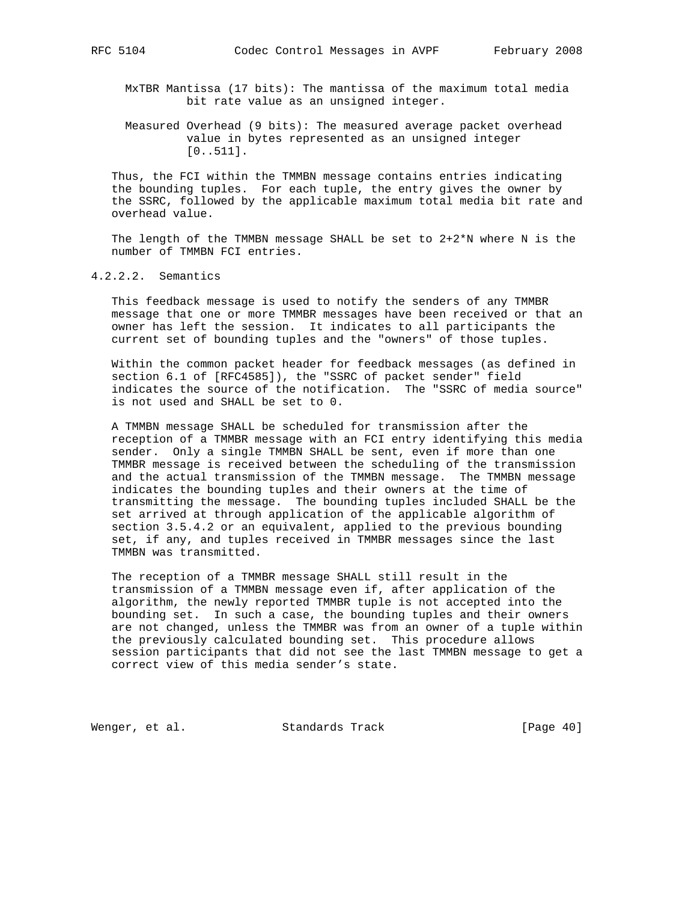MxTBR Mantissa (17 bits): The mantissa of the maximum total media bit rate value as an unsigned integer.

 Measured Overhead (9 bits): The measured average packet overhead value in bytes represented as an unsigned integer [0..511].

 Thus, the FCI within the TMMBN message contains entries indicating the bounding tuples. For each tuple, the entry gives the owner by the SSRC, followed by the applicable maximum total media bit rate and overhead value.

The length of the TMMBN message SHALL be set to  $2+2*N$  where N is the number of TMMBN FCI entries.

4.2.2.2. Semantics

 This feedback message is used to notify the senders of any TMMBR message that one or more TMMBR messages have been received or that an owner has left the session. It indicates to all participants the current set of bounding tuples and the "owners" of those tuples.

 Within the common packet header for feedback messages (as defined in section 6.1 of [RFC4585]), the "SSRC of packet sender" field indicates the source of the notification. The "SSRC of media source" is not used and SHALL be set to 0.

 A TMMBN message SHALL be scheduled for transmission after the reception of a TMMBR message with an FCI entry identifying this media sender. Only a single TMMBN SHALL be sent, even if more than one TMMBR message is received between the scheduling of the transmission and the actual transmission of the TMMBN message. The TMMBN message indicates the bounding tuples and their owners at the time of transmitting the message. The bounding tuples included SHALL be the set arrived at through application of the applicable algorithm of section 3.5.4.2 or an equivalent, applied to the previous bounding set, if any, and tuples received in TMMBR messages since the last TMMBN was transmitted.

 The reception of a TMMBR message SHALL still result in the transmission of a TMMBN message even if, after application of the algorithm, the newly reported TMMBR tuple is not accepted into the bounding set. In such a case, the bounding tuples and their owners are not changed, unless the TMMBR was from an owner of a tuple within the previously calculated bounding set. This procedure allows session participants that did not see the last TMMBN message to get a correct view of this media sender's state.

Wenger, et al. Standards Track [Page 40]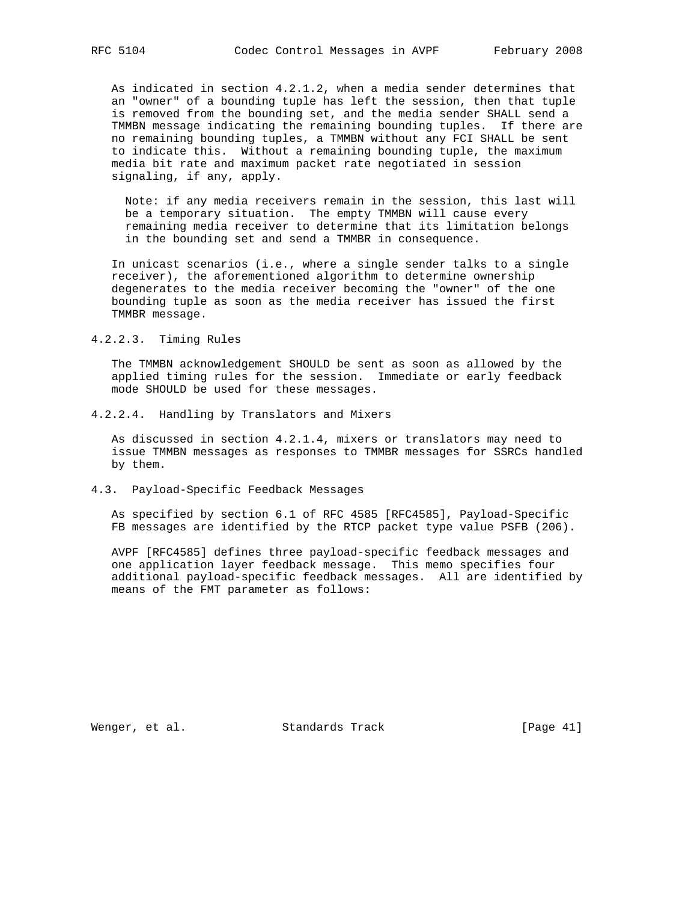As indicated in section 4.2.1.2, when a media sender determines that an "owner" of a bounding tuple has left the session, then that tuple is removed from the bounding set, and the media sender SHALL send a TMMBN message indicating the remaining bounding tuples. If there are no remaining bounding tuples, a TMMBN without any FCI SHALL be sent to indicate this. Without a remaining bounding tuple, the maximum media bit rate and maximum packet rate negotiated in session signaling, if any, apply.

 Note: if any media receivers remain in the session, this last will be a temporary situation. The empty TMMBN will cause every remaining media receiver to determine that its limitation belongs in the bounding set and send a TMMBR in consequence.

 In unicast scenarios (i.e., where a single sender talks to a single receiver), the aforementioned algorithm to determine ownership degenerates to the media receiver becoming the "owner" of the one bounding tuple as soon as the media receiver has issued the first TMMBR message.

#### 4.2.2.3. Timing Rules

 The TMMBN acknowledgement SHOULD be sent as soon as allowed by the applied timing rules for the session. Immediate or early feedback mode SHOULD be used for these messages.

4.2.2.4. Handling by Translators and Mixers

 As discussed in section 4.2.1.4, mixers or translators may need to issue TMMBN messages as responses to TMMBR messages for SSRCs handled by them.

4.3. Payload-Specific Feedback Messages

 As specified by section 6.1 of RFC 4585 [RFC4585], Payload-Specific FB messages are identified by the RTCP packet type value PSFB (206).

 AVPF [RFC4585] defines three payload-specific feedback messages and one application layer feedback message. This memo specifies four additional payload-specific feedback messages. All are identified by means of the FMT parameter as follows:

Wenger, et al. Standards Track [Page 41]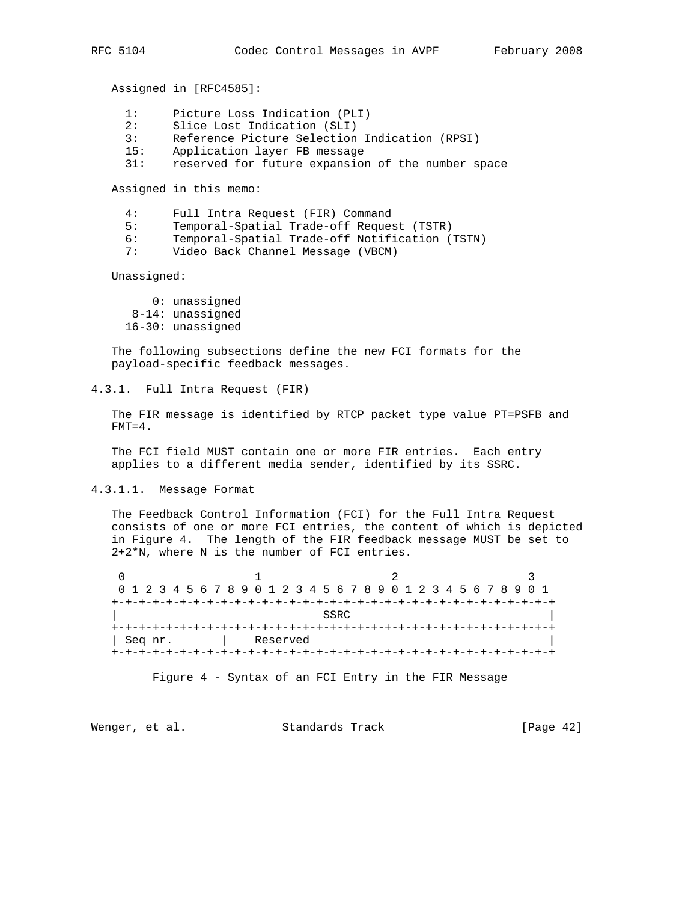Assigned in [RFC4585]:

- 1: Picture Loss Indication (PLI)
- 2: Slice Lost Indication (SLI)
- 3: Reference Picture Selection Indication (RPSI)
- 15: Application layer FB message
- 31: reserved for future expansion of the number space

Assigned in this memo:

- 4: Full Intra Request (FIR) Command
- 5: Temporal-Spatial Trade-off Request (TSTR)
- 6: Temporal-Spatial Trade-off Notification (TSTN)
- 7: Video Back Channel Message (VBCM)

Unassigned:

 0: unassigned 8-14: unassigned 16-30: unassigned

 The following subsections define the new FCI formats for the payload-specific feedback messages.

4.3.1. Full Intra Request (FIR)

 The FIR message is identified by RTCP packet type value PT=PSFB and  $FMT=4$ .

 The FCI field MUST contain one or more FIR entries. Each entry applies to a different media sender, identified by its SSRC.

4.3.1.1. Message Format

 The Feedback Control Information (FCI) for the Full Intra Request consists of one or more FCI entries, the content of which is depicted in Figure 4. The length of the FIR feedback message MUST be set to 2+2\*N, where N is the number of FCI entries.

0  $1$  2 3 0 1 2 3 4 5 6 7 8 9 0 1 2 3 4 5 6 7 8 9 0 1 2 3 4 5 6 7 8 9 0 1 +-+-+-+-+-+-+-+-+-+-+-+-+-+-+-+-+-+-+-+-+-+-+-+-+-+-+-+-+-+-+-+-+ | SSRC | SSRC | SSRC | SSRC | SSRC | SSRC | SSRC | SSRC | SSRC | SSRC | SSRC | SSRC | SSRC | SSRC | SSRC | SSRC | SSRC | SSRC | SSRC | SSRC | SSRC | SSRC | SSRC | SSRC | SSRC | SSRC | SSRC | SSRC | SSRC | SSRC | SSRC | SSR +-+-+-+-+-+-+-+-+-+-+-+-+-+-+-+-+-+-+-+-+-+-+-+-+-+-+-+-+-+-+-+-+ | Seq nr. | Reserved | +-+-+-+-+-+-+-+-+-+-+-+-+-+-+-+-+-+-+-+-+-+-+-+-+-+-+-+-+-+-+-+-+

Figure 4 - Syntax of an FCI Entry in the FIR Message

Wenger, et al. Standards Track [Page 42]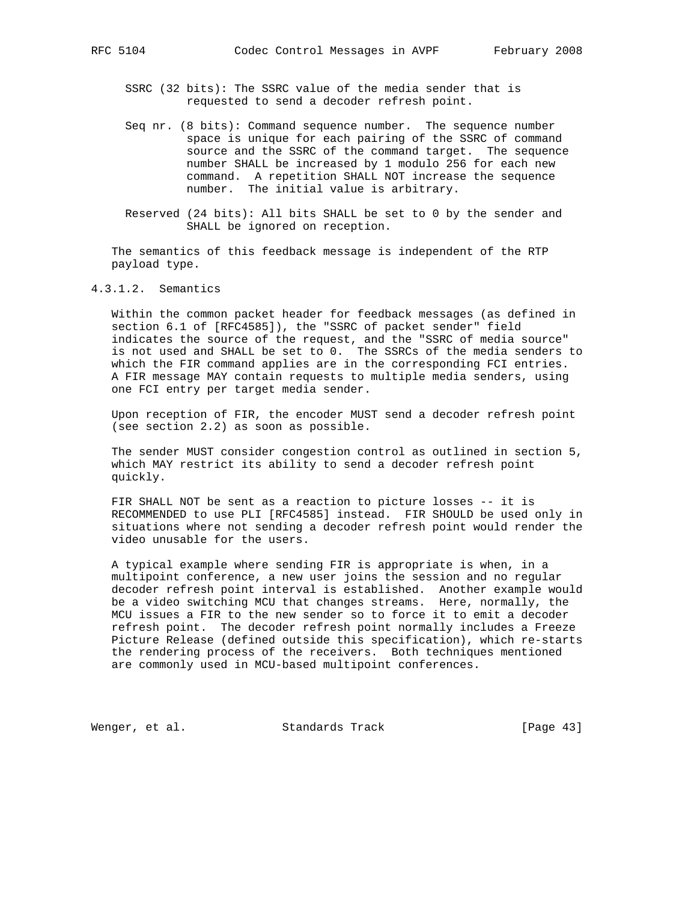- SSRC (32 bits): The SSRC value of the media sender that is requested to send a decoder refresh point.
- Seq nr. (8 bits): Command sequence number. The sequence number space is unique for each pairing of the SSRC of command source and the SSRC of the command target. The sequence number SHALL be increased by 1 modulo 256 for each new command. A repetition SHALL NOT increase the sequence number. The initial value is arbitrary.
- Reserved (24 bits): All bits SHALL be set to 0 by the sender and SHALL be ignored on reception.

 The semantics of this feedback message is independent of the RTP payload type.

4.3.1.2. Semantics

 Within the common packet header for feedback messages (as defined in section 6.1 of [RFC4585]), the "SSRC of packet sender" field indicates the source of the request, and the "SSRC of media source" is not used and SHALL be set to 0. The SSRCs of the media senders to which the FIR command applies are in the corresponding FCI entries. A FIR message MAY contain requests to multiple media senders, using one FCI entry per target media sender.

 Upon reception of FIR, the encoder MUST send a decoder refresh point (see section 2.2) as soon as possible.

 The sender MUST consider congestion control as outlined in section 5, which MAY restrict its ability to send a decoder refresh point quickly.

 FIR SHALL NOT be sent as a reaction to picture losses -- it is RECOMMENDED to use PLI [RFC4585] instead. FIR SHOULD be used only in situations where not sending a decoder refresh point would render the video unusable for the users.

 A typical example where sending FIR is appropriate is when, in a multipoint conference, a new user joins the session and no regular decoder refresh point interval is established. Another example would be a video switching MCU that changes streams. Here, normally, the MCU issues a FIR to the new sender so to force it to emit a decoder refresh point. The decoder refresh point normally includes a Freeze Picture Release (defined outside this specification), which re-starts the rendering process of the receivers. Both techniques mentioned are commonly used in MCU-based multipoint conferences.

Wenger, et al. Standards Track [Page 43]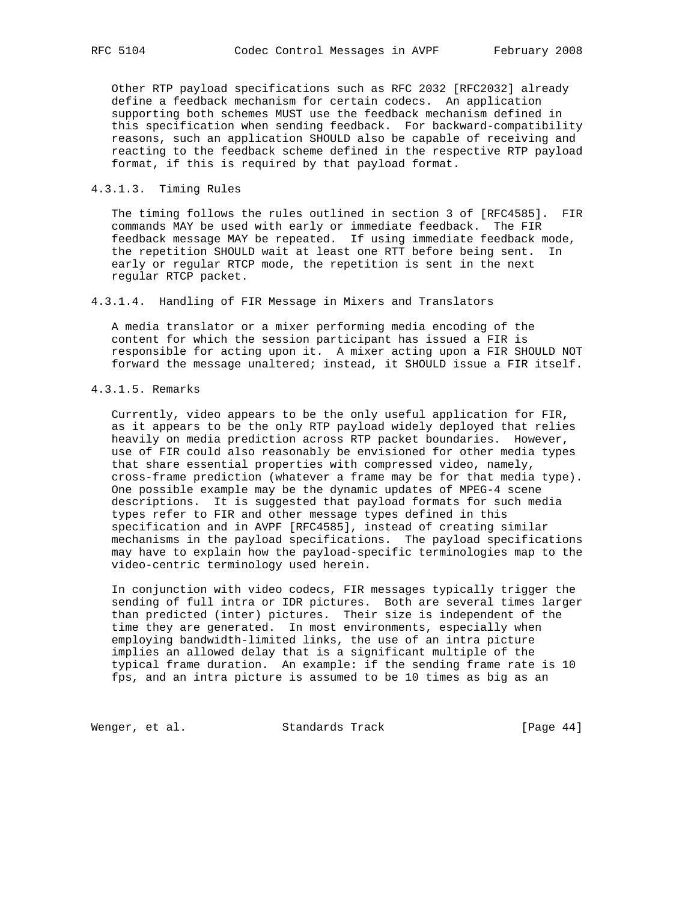Other RTP payload specifications such as RFC 2032 [RFC2032] already define a feedback mechanism for certain codecs. An application supporting both schemes MUST use the feedback mechanism defined in this specification when sending feedback. For backward-compatibility reasons, such an application SHOULD also be capable of receiving and reacting to the feedback scheme defined in the respective RTP payload format, if this is required by that payload format.

# 4.3.1.3. Timing Rules

 The timing follows the rules outlined in section 3 of [RFC4585]. FIR commands MAY be used with early or immediate feedback. The FIR feedback message MAY be repeated. If using immediate feedback mode, the repetition SHOULD wait at least one RTT before being sent. In early or regular RTCP mode, the repetition is sent in the next regular RTCP packet.

4.3.1.4. Handling of FIR Message in Mixers and Translators

 A media translator or a mixer performing media encoding of the content for which the session participant has issued a FIR is responsible for acting upon it. A mixer acting upon a FIR SHOULD NOT forward the message unaltered; instead, it SHOULD issue a FIR itself.

# 4.3.1.5. Remarks

 Currently, video appears to be the only useful application for FIR, as it appears to be the only RTP payload widely deployed that relies heavily on media prediction across RTP packet boundaries. However, use of FIR could also reasonably be envisioned for other media types that share essential properties with compressed video, namely, cross-frame prediction (whatever a frame may be for that media type). One possible example may be the dynamic updates of MPEG-4 scene descriptions. It is suggested that payload formats for such media types refer to FIR and other message types defined in this specification and in AVPF [RFC4585], instead of creating similar mechanisms in the payload specifications. The payload specifications may have to explain how the payload-specific terminologies map to the video-centric terminology used herein.

 In conjunction with video codecs, FIR messages typically trigger the sending of full intra or IDR pictures. Both are several times larger than predicted (inter) pictures. Their size is independent of the time they are generated. In most environments, especially when employing bandwidth-limited links, the use of an intra picture implies an allowed delay that is a significant multiple of the typical frame duration. An example: if the sending frame rate is 10 fps, and an intra picture is assumed to be 10 times as big as an

Wenger, et al. Standards Track [Page 44]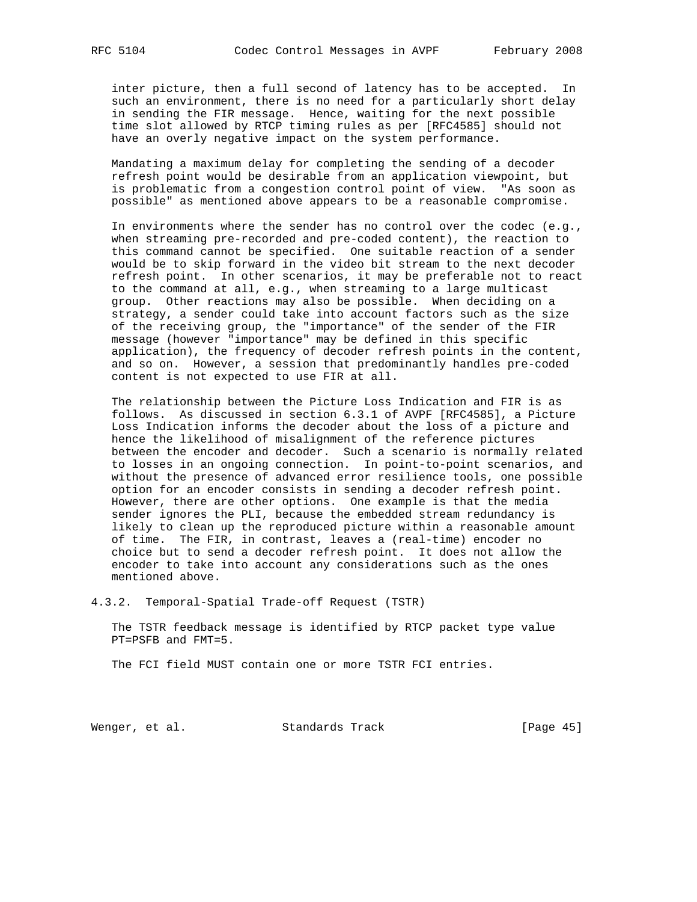inter picture, then a full second of latency has to be accepted. In such an environment, there is no need for a particularly short delay in sending the FIR message. Hence, waiting for the next possible time slot allowed by RTCP timing rules as per [RFC4585] should not have an overly negative impact on the system performance.

 Mandating a maximum delay for completing the sending of a decoder refresh point would be desirable from an application viewpoint, but is problematic from a congestion control point of view. "As soon as possible" as mentioned above appears to be a reasonable compromise.

 In environments where the sender has no control over the codec (e.g., when streaming pre-recorded and pre-coded content), the reaction to this command cannot be specified. One suitable reaction of a sender would be to skip forward in the video bit stream to the next decoder refresh point. In other scenarios, it may be preferable not to react to the command at all, e.g., when streaming to a large multicast group. Other reactions may also be possible. When deciding on a strategy, a sender could take into account factors such as the size of the receiving group, the "importance" of the sender of the FIR message (however "importance" may be defined in this specific application), the frequency of decoder refresh points in the content, and so on. However, a session that predominantly handles pre-coded content is not expected to use FIR at all.

 The relationship between the Picture Loss Indication and FIR is as follows. As discussed in section 6.3.1 of AVPF [RFC4585], a Picture Loss Indication informs the decoder about the loss of a picture and hence the likelihood of misalignment of the reference pictures between the encoder and decoder. Such a scenario is normally related to losses in an ongoing connection. In point-to-point scenarios, and without the presence of advanced error resilience tools, one possible option for an encoder consists in sending a decoder refresh point. However, there are other options. One example is that the media sender ignores the PLI, because the embedded stream redundancy is likely to clean up the reproduced picture within a reasonable amount of time. The FIR, in contrast, leaves a (real-time) encoder no choice but to send a decoder refresh point. It does not allow the encoder to take into account any considerations such as the ones mentioned above.

4.3.2. Temporal-Spatial Trade-off Request (TSTR)

 The TSTR feedback message is identified by RTCP packet type value PT=PSFB and FMT=5.

The FCI field MUST contain one or more TSTR FCI entries.

Wenger, et al. Standards Track [Page 45]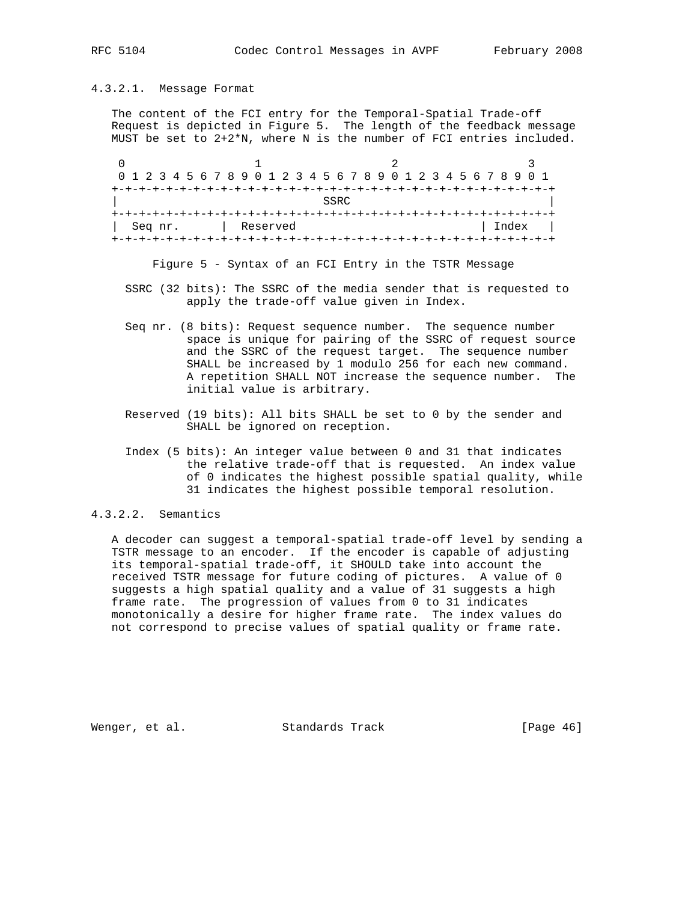# 4.3.2.1. Message Format

 The content of the FCI entry for the Temporal-Spatial Trade-off Request is depicted in Figure 5. The length of the feedback message MUST be set to 2+2\*N, where N is the number of FCI entries included.

0  $1$  2 3 0 1 2 3 4 5 6 7 8 9 0 1 2 3 4 5 6 7 8 9 0 1 2 3 4 5 6 7 8 9 0 1 +-+-+-+-+-+-+-+-+-+-+-+-+-+-+-+-+-+-+-+-+-+-+-+-+-+-+-+-+-+-+-+-+ | SSRC | SSRC | SSRC | SSRC | SSRC | SSRC | SSRC | SSRC | SSRC | SSRC | SSRC | SSRC | SSRC | SSRC | SSRC | SSRC | SSRC | SSRC | SSRC | SSRC | SSRC | SSRC | SSRC | SSRC | SSRC | SSRC | SSRC | SSRC | SSRC | SSRC | SSRC | SSR +-+-+-+-+-+-+-+-+-+-+-+-+-+-+-+-+-+-+-+-+-+-+-+-+-+-+-+-+-+-+-+-+ | Seq nr. | Reserved | Index | +-+-+-+-+-+-+-+-+-+-+-+-+-+-+-+-+-+-+-+-+-+-+-+-+-+-+-+-+-+-+-+-+

Figure 5 - Syntax of an FCI Entry in the TSTR Message

- SSRC (32 bits): The SSRC of the media sender that is requested to apply the trade-off value given in Index.
- Seq nr. (8 bits): Request sequence number. The sequence number space is unique for pairing of the SSRC of request source and the SSRC of the request target. The sequence number SHALL be increased by 1 modulo 256 for each new command. A repetition SHALL NOT increase the sequence number. The initial value is arbitrary.
- Reserved (19 bits): All bits SHALL be set to 0 by the sender and SHALL be ignored on reception.
- Index (5 bits): An integer value between 0 and 31 that indicates the relative trade-off that is requested. An index value of 0 indicates the highest possible spatial quality, while 31 indicates the highest possible temporal resolution.

# 4.3.2.2. Semantics

 A decoder can suggest a temporal-spatial trade-off level by sending a TSTR message to an encoder. If the encoder is capable of adjusting its temporal-spatial trade-off, it SHOULD take into account the received TSTR message for future coding of pictures. A value of 0 suggests a high spatial quality and a value of 31 suggests a high frame rate. The progression of values from 0 to 31 indicates monotonically a desire for higher frame rate. The index values do not correspond to precise values of spatial quality or frame rate.

Wenger, et al. Standards Track [Page 46]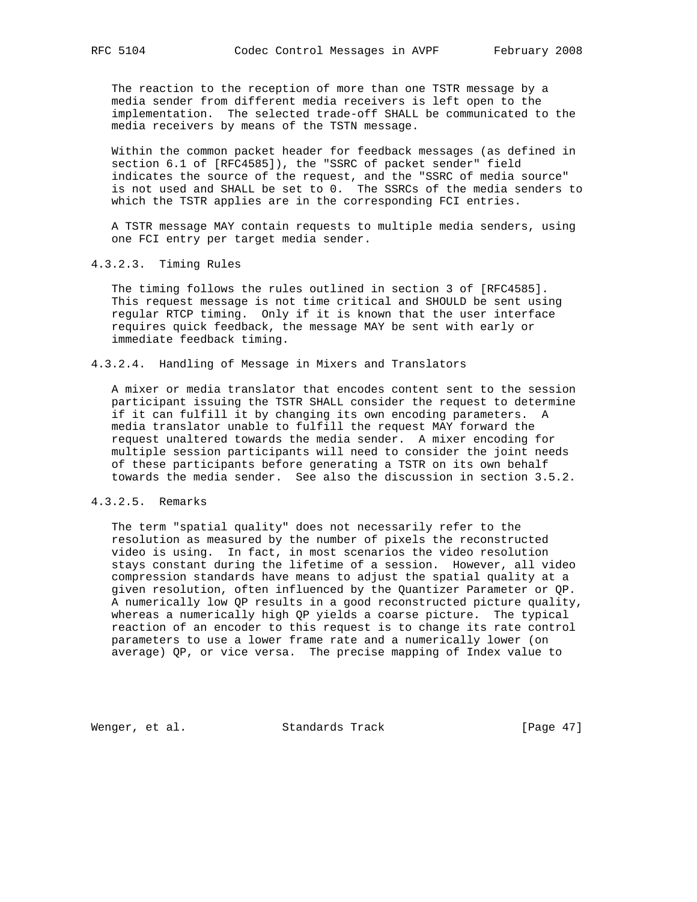The reaction to the reception of more than one TSTR message by a media sender from different media receivers is left open to the implementation. The selected trade-off SHALL be communicated to the media receivers by means of the TSTN message.

 Within the common packet header for feedback messages (as defined in section 6.1 of [RFC4585]), the "SSRC of packet sender" field indicates the source of the request, and the "SSRC of media source" is not used and SHALL be set to 0. The SSRCs of the media senders to which the TSTR applies are in the corresponding FCI entries.

 A TSTR message MAY contain requests to multiple media senders, using one FCI entry per target media sender.

### 4.3.2.3. Timing Rules

 The timing follows the rules outlined in section 3 of [RFC4585]. This request message is not time critical and SHOULD be sent using regular RTCP timing. Only if it is known that the user interface requires quick feedback, the message MAY be sent with early or immediate feedback timing.

# 4.3.2.4. Handling of Message in Mixers and Translators

 A mixer or media translator that encodes content sent to the session participant issuing the TSTR SHALL consider the request to determine if it can fulfill it by changing its own encoding parameters. A media translator unable to fulfill the request MAY forward the request unaltered towards the media sender. A mixer encoding for multiple session participants will need to consider the joint needs of these participants before generating a TSTR on its own behalf towards the media sender. See also the discussion in section 3.5.2.

# 4.3.2.5. Remarks

 The term "spatial quality" does not necessarily refer to the resolution as measured by the number of pixels the reconstructed video is using. In fact, in most scenarios the video resolution stays constant during the lifetime of a session. However, all video compression standards have means to adjust the spatial quality at a given resolution, often influenced by the Quantizer Parameter or QP. A numerically low QP results in a good reconstructed picture quality, whereas a numerically high QP yields a coarse picture. The typical reaction of an encoder to this request is to change its rate control parameters to use a lower frame rate and a numerically lower (on average) QP, or vice versa. The precise mapping of Index value to

Wenger, et al. Standards Track [Page 47]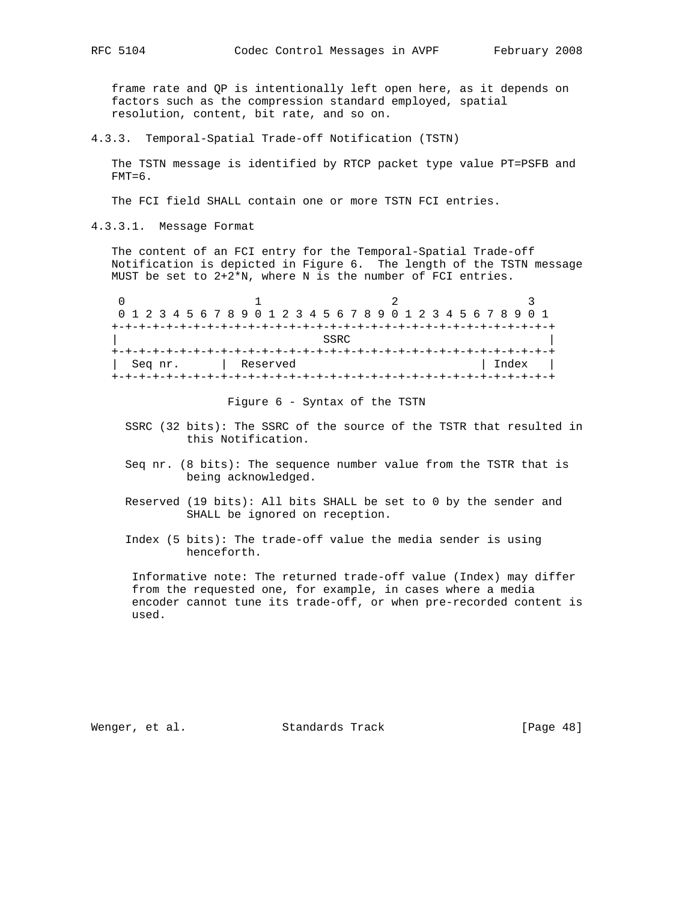frame rate and QP is intentionally left open here, as it depends on factors such as the compression standard employed, spatial resolution, content, bit rate, and so on.

4.3.3. Temporal-Spatial Trade-off Notification (TSTN)

 The TSTN message is identified by RTCP packet type value PT=PSFB and  $FMT=6$ .

The FCI field SHALL contain one or more TSTN FCI entries.

4.3.3.1. Message Format

 The content of an FCI entry for the Temporal-Spatial Trade-off Notification is depicted in Figure 6. The length of the TSTN message MUST be set to  $2+2*N$ , where N is the number of FCI entries.

|  |  |         |  |  | 0 1 2 3 4 5 6 7 8 9 0 1 2 3 4 5 6 7 8 9 0 1 2 3 4 5 6 7 8 9 0 1 |  |  |  |      |  |  |  |  |  |       |  |  |
|--|--|---------|--|--|-----------------------------------------------------------------|--|--|--|------|--|--|--|--|--|-------|--|--|
|  |  |         |  |  |                                                                 |  |  |  |      |  |  |  |  |  |       |  |  |
|  |  |         |  |  |                                                                 |  |  |  | SSRC |  |  |  |  |  |       |  |  |
|  |  |         |  |  |                                                                 |  |  |  |      |  |  |  |  |  |       |  |  |
|  |  | Seq nr. |  |  | Reserved                                                        |  |  |  |      |  |  |  |  |  | Index |  |  |
|  |  |         |  |  |                                                                 |  |  |  |      |  |  |  |  |  |       |  |  |

Figure 6 - Syntax of the TSTN

- SSRC (32 bits): The SSRC of the source of the TSTR that resulted in this Notification.
- Seq nr. (8 bits): The sequence number value from the TSTR that is being acknowledged.
- Reserved (19 bits): All bits SHALL be set to 0 by the sender and SHALL be ignored on reception.
- Index (5 bits): The trade-off value the media sender is using henceforth.

 Informative note: The returned trade-off value (Index) may differ from the requested one, for example, in cases where a media encoder cannot tune its trade-off, or when pre-recorded content is used.

Wenger, et al. Standards Track [Page 48]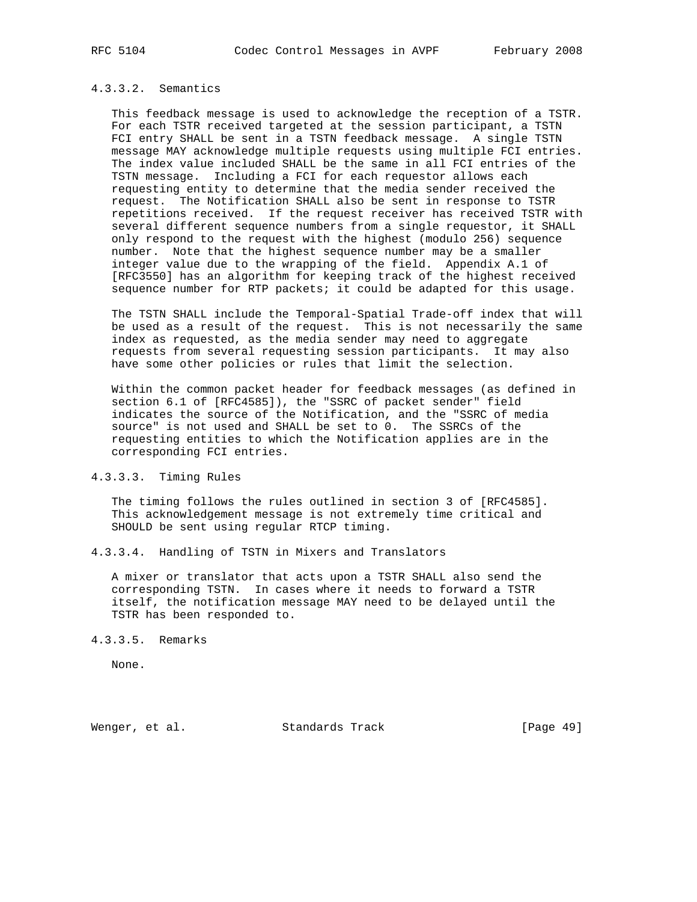# 4.3.3.2. Semantics

 This feedback message is used to acknowledge the reception of a TSTR. For each TSTR received targeted at the session participant, a TSTN FCI entry SHALL be sent in a TSTN feedback message. A single TSTN message MAY acknowledge multiple requests using multiple FCI entries. The index value included SHALL be the same in all FCI entries of the TSTN message. Including a FCI for each requestor allows each requesting entity to determine that the media sender received the request. The Notification SHALL also be sent in response to TSTR repetitions received. If the request receiver has received TSTR with several different sequence numbers from a single requestor, it SHALL only respond to the request with the highest (modulo 256) sequence number. Note that the highest sequence number may be a smaller integer value due to the wrapping of the field. Appendix A.1 of [RFC3550] has an algorithm for keeping track of the highest received sequence number for RTP packets; it could be adapted for this usage.

 The TSTN SHALL include the Temporal-Spatial Trade-off index that will be used as a result of the request. This is not necessarily the same index as requested, as the media sender may need to aggregate requests from several requesting session participants. It may also have some other policies or rules that limit the selection.

 Within the common packet header for feedback messages (as defined in section 6.1 of [RFC4585]), the "SSRC of packet sender" field indicates the source of the Notification, and the "SSRC of media source" is not used and SHALL be set to 0. The SSRCs of the requesting entities to which the Notification applies are in the corresponding FCI entries.

# 4.3.3.3. Timing Rules

 The timing follows the rules outlined in section 3 of [RFC4585]. This acknowledgement message is not extremely time critical and SHOULD be sent using regular RTCP timing.

4.3.3.4. Handling of TSTN in Mixers and Translators

 A mixer or translator that acts upon a TSTR SHALL also send the corresponding TSTN. In cases where it needs to forward a TSTR itself, the notification message MAY need to be delayed until the TSTR has been responded to.

#### 4.3.3.5. Remarks

None.

Wenger, et al. Standards Track [Page 49]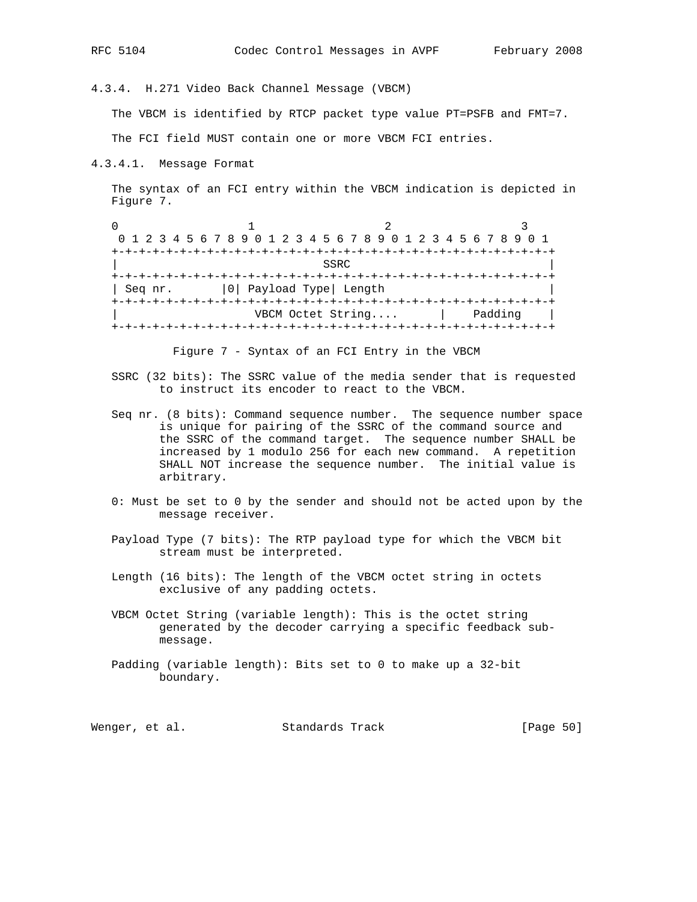4.3.4. H.271 Video Back Channel Message (VBCM)

The VBCM is identified by RTCP packet type value PT=PSFB and FMT=7.

The FCI field MUST contain one or more VBCM FCI entries.

4.3.4.1. Message Format

 The syntax of an FCI entry within the VBCM indication is depicted in Figure 7.

0  $1$  2 3 0 1 2 3 4 5 6 7 8 9 0 1 2 3 4 5 6 7 8 9 0 1 2 3 4 5 6 7 8 9 0 1 +-+-+-+-+-+-+-+-+-+-+-+-+-+-+-+-+-+-+-+-+-+-+-+-+-+-+-+-+-+-+-+-+ | SSRC | SSRC | SSRC | SSRC | SSRC | SSRC | SSRC | SSRC | SSRC | SSRC | SSRC | SSRC | SSRC | SSRC | SSRC | SSRC | SSRC | SSRC | SSRC | SSRC | SSRC | SSRC | SSRC | SSRC | SSRC | SSRC | SSRC | SSRC | SSRC | SSRC | SSRC | SSR +-+-+-+-+-+-+-+-+-+-+-+-+-+-+-+-+-+-+-+-+-+-+-+-+-+-+-+-+-+-+-+-+ | Seq nr. | 0| Payload Type| Length +-+-+-+-+-+-+-+-+-+-+-+-+-+-+-+-+-+-+-+-+-+-+-+-+-+-+-+-+-+-+-+-+ VBCM Octet String.... | Padding | +-+-+-+-+-+-+-+-+-+-+-+-+-+-+-+-+-+-+-+-+-+-+-+-+-+-+-+-+-+-+-+-+

Figure 7 - Syntax of an FCI Entry in the VBCM

- SSRC (32 bits): The SSRC value of the media sender that is requested to instruct its encoder to react to the VBCM.
- Seq nr. (8 bits): Command sequence number. The sequence number space is unique for pairing of the SSRC of the command source and the SSRC of the command target. The sequence number SHALL be increased by 1 modulo 256 for each new command. A repetition SHALL NOT increase the sequence number. The initial value is arbitrary.
- 0: Must be set to 0 by the sender and should not be acted upon by the message receiver.
- Payload Type (7 bits): The RTP payload type for which the VBCM bit stream must be interpreted.
- Length (16 bits): The length of the VBCM octet string in octets exclusive of any padding octets.
- VBCM Octet String (variable length): This is the octet string generated by the decoder carrying a specific feedback sub message.
- Padding (variable length): Bits set to 0 to make up a 32-bit boundary.

Wenger, et al. Standards Track [Page 50]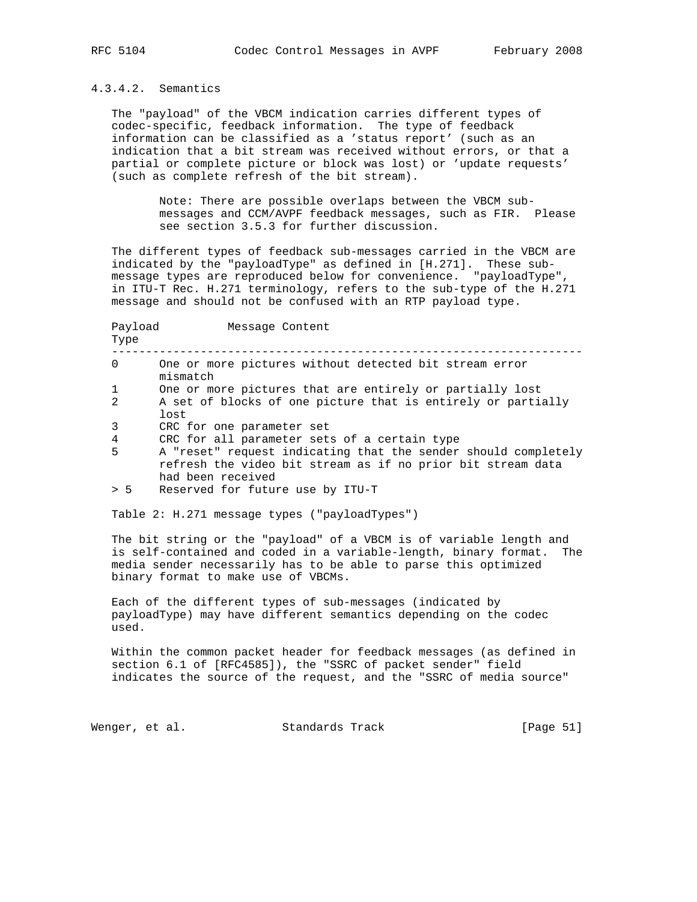# 4.3.4.2. Semantics

 The "payload" of the VBCM indication carries different types of codec-specific, feedback information. The type of feedback information can be classified as a 'status report' (such as an indication that a bit stream was received without errors, or that a partial or complete picture or block was lost) or 'update requests' (such as complete refresh of the bit stream).

> Note: There are possible overlaps between the VBCM sub messages and CCM/AVPF feedback messages, such as FIR. Please see section 3.5.3 for further discussion.

 The different types of feedback sub-messages carried in the VBCM are indicated by the "payloadType" as defined in [H.271]. These sub message types are reproduced below for convenience. "payloadType", in ITU-T Rec. H.271 terminology, refers to the sub-type of the H.271 message and should not be confused with an RTP payload type.

| Payload<br>Type | Message Content                                                                                                                                                                                                                                                 |
|-----------------|-----------------------------------------------------------------------------------------------------------------------------------------------------------------------------------------------------------------------------------------------------------------|
| $\Omega$        | One or more pictures without detected bit stream error<br>mismatch                                                                                                                                                                                              |
| 1               | One or more pictures that are entirely or partially lost                                                                                                                                                                                                        |
| 2               | A set of blocks of one picture that is entirely or partially<br>lost                                                                                                                                                                                            |
| 3               | CRC for one parameter set                                                                                                                                                                                                                                       |
| $\overline{4}$  | CRC for all parameter sets of a certain type                                                                                                                                                                                                                    |
| 5               | A "reset" request indicating that the sender should completely<br>refresh the video bit stream as if no prior bit stream data<br>had been received                                                                                                              |
| > 5             | Reserved for future use by ITU-T                                                                                                                                                                                                                                |
|                 | Table 2: H.271 message types ("payloadTypes")<br>The bit string or the "payload" of a VBCM is of variable length and<br>is self-contained and coded in a variable-length, binary format. The<br>media sender necessarily has to be able to parse this optimized |

 binary format to make use of VBCMs. Each of the different types of sub-messages (indicated by payloadType) may have different semantics depending on the codec

 used. Within the common packet header for feedback messages (as defined in section 6.1 of [RFC4585]), the "SSRC of packet sender" field

indicates the source of the request, and the "SSRC of media source"

Wenger, et al. Standards Track [Page 51]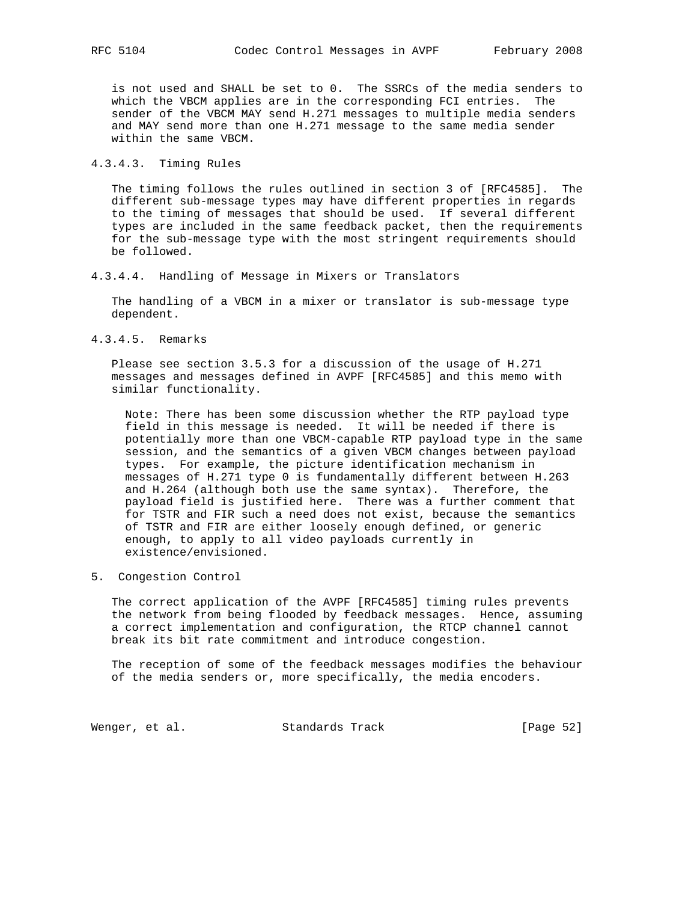is not used and SHALL be set to 0. The SSRCs of the media senders to which the VBCM applies are in the corresponding FCI entries. The sender of the VBCM MAY send H.271 messages to multiple media senders and MAY send more than one H.271 message to the same media sender within the same VBCM.

4.3.4.3. Timing Rules

 The timing follows the rules outlined in section 3 of [RFC4585]. The different sub-message types may have different properties in regards to the timing of messages that should be used. If several different types are included in the same feedback packet, then the requirements for the sub-message type with the most stringent requirements should be followed.

4.3.4.4. Handling of Message in Mixers or Translators

 The handling of a VBCM in a mixer or translator is sub-message type dependent.

4.3.4.5. Remarks

 Please see section 3.5.3 for a discussion of the usage of H.271 messages and messages defined in AVPF [RFC4585] and this memo with similar functionality.

 Note: There has been some discussion whether the RTP payload type field in this message is needed. It will be needed if there is potentially more than one VBCM-capable RTP payload type in the same session, and the semantics of a given VBCM changes between payload types. For example, the picture identification mechanism in messages of H.271 type 0 is fundamentally different between H.263 and H.264 (although both use the same syntax). Therefore, the payload field is justified here. There was a further comment that for TSTR and FIR such a need does not exist, because the semantics of TSTR and FIR are either loosely enough defined, or generic enough, to apply to all video payloads currently in existence/envisioned.

5. Congestion Control

 The correct application of the AVPF [RFC4585] timing rules prevents the network from being flooded by feedback messages. Hence, assuming a correct implementation and configuration, the RTCP channel cannot break its bit rate commitment and introduce congestion.

 The reception of some of the feedback messages modifies the behaviour of the media senders or, more specifically, the media encoders.

Wenger, et al. Standards Track [Page 52]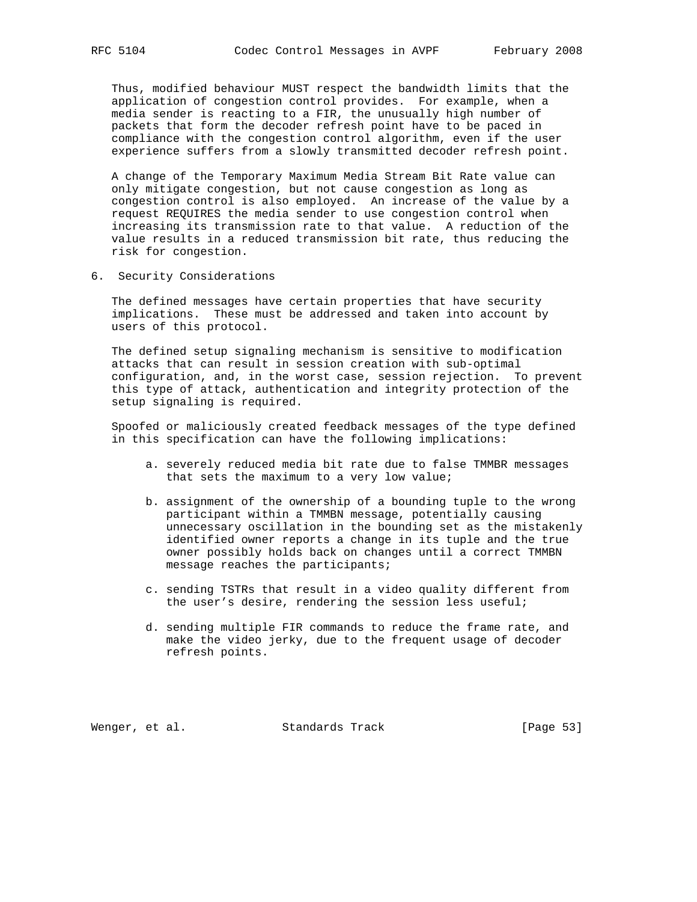Thus, modified behaviour MUST respect the bandwidth limits that the application of congestion control provides. For example, when a media sender is reacting to a FIR, the unusually high number of packets that form the decoder refresh point have to be paced in compliance with the congestion control algorithm, even if the user experience suffers from a slowly transmitted decoder refresh point.

 A change of the Temporary Maximum Media Stream Bit Rate value can only mitigate congestion, but not cause congestion as long as congestion control is also employed. An increase of the value by a request REQUIRES the media sender to use congestion control when increasing its transmission rate to that value. A reduction of the value results in a reduced transmission bit rate, thus reducing the risk for congestion.

6. Security Considerations

 The defined messages have certain properties that have security implications. These must be addressed and taken into account by users of this protocol.

 The defined setup signaling mechanism is sensitive to modification attacks that can result in session creation with sub-optimal configuration, and, in the worst case, session rejection. To prevent this type of attack, authentication and integrity protection of the setup signaling is required.

 Spoofed or maliciously created feedback messages of the type defined in this specification can have the following implications:

- a. severely reduced media bit rate due to false TMMBR messages that sets the maximum to a very low value;
- b. assignment of the ownership of a bounding tuple to the wrong participant within a TMMBN message, potentially causing unnecessary oscillation in the bounding set as the mistakenly identified owner reports a change in its tuple and the true owner possibly holds back on changes until a correct TMMBN message reaches the participants;
- c. sending TSTRs that result in a video quality different from the user's desire, rendering the session less useful;
- d. sending multiple FIR commands to reduce the frame rate, and make the video jerky, due to the frequent usage of decoder refresh points.

Wenger, et al. Standards Track [Page 53]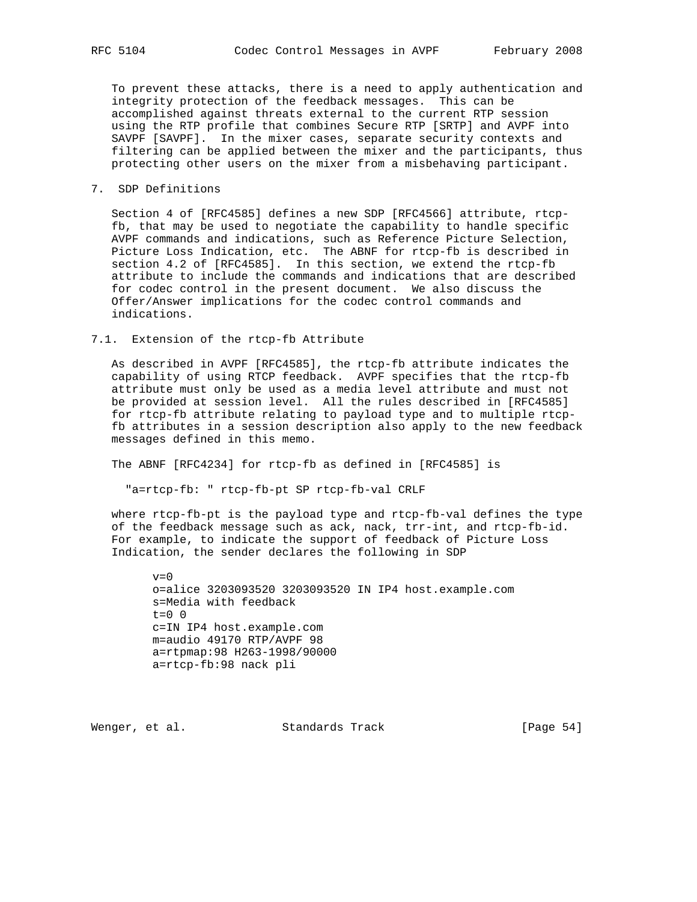To prevent these attacks, there is a need to apply authentication and integrity protection of the feedback messages. This can be accomplished against threats external to the current RTP session using the RTP profile that combines Secure RTP [SRTP] and AVPF into SAVPF [SAVPF]. In the mixer cases, separate security contexts and filtering can be applied between the mixer and the participants, thus protecting other users on the mixer from a misbehaving participant.

# 7. SDP Definitions

 Section 4 of [RFC4585] defines a new SDP [RFC4566] attribute, rtcp fb, that may be used to negotiate the capability to handle specific AVPF commands and indications, such as Reference Picture Selection, Picture Loss Indication, etc. The ABNF for rtcp-fb is described in section 4.2 of [RFC4585]. In this section, we extend the rtcp-fb attribute to include the commands and indications that are described for codec control in the present document. We also discuss the Offer/Answer implications for the codec control commands and indications.

# 7.1. Extension of the rtcp-fb Attribute

 As described in AVPF [RFC4585], the rtcp-fb attribute indicates the capability of using RTCP feedback. AVPF specifies that the rtcp-fb attribute must only be used as a media level attribute and must not be provided at session level. All the rules described in [RFC4585] for rtcp-fb attribute relating to payload type and to multiple rtcp fb attributes in a session description also apply to the new feedback messages defined in this memo.

The ABNF [RFC4234] for rtcp-fb as defined in [RFC4585] is

"a=rtcp-fb: " rtcp-fb-pt SP rtcp-fb-val CRLF

 where rtcp-fb-pt is the payload type and rtcp-fb-val defines the type of the feedback message such as ack, nack, trr-int, and rtcp-fb-id. For example, to indicate the support of feedback of Picture Loss Indication, the sender declares the following in SDP

 $v=0$  o=alice 3203093520 3203093520 IN IP4 host.example.com s=Media with feedback  $t=0$  0 c=IN IP4 host.example.com m=audio 49170 RTP/AVPF 98 a=rtpmap:98 H263-1998/90000 a=rtcp-fb:98 nack pli

Wenger, et al. Standards Track [Page 54]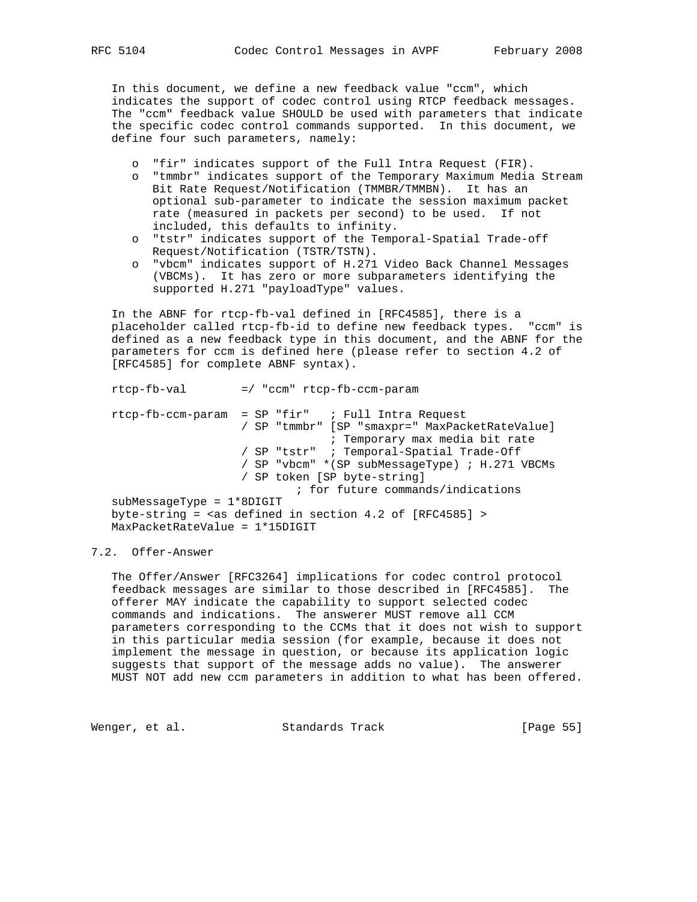In this document, we define a new feedback value "ccm", which indicates the support of codec control using RTCP feedback messages. The "ccm" feedback value SHOULD be used with parameters that indicate the specific codec control commands supported. In this document, we define four such parameters, namely:

- o "fir" indicates support of the Full Intra Request (FIR).
- o "tmmbr" indicates support of the Temporary Maximum Media Stream Bit Rate Request/Notification (TMMBR/TMMBN). It has an optional sub-parameter to indicate the session maximum packet rate (measured in packets per second) to be used. If not included, this defaults to infinity.
- o "tstr" indicates support of the Temporal-Spatial Trade-off Request/Notification (TSTR/TSTN).
- o "vbcm" indicates support of H.271 Video Back Channel Messages (VBCMs). It has zero or more subparameters identifying the supported H.271 "payloadType" values.

 In the ABNF for rtcp-fb-val defined in [RFC4585], there is a placeholder called rtcp-fb-id to define new feedback types. "ccm" is defined as a new feedback type in this document, and the ABNF for the parameters for ccm is defined here (please refer to section 4.2 of [RFC4585] for complete ABNF syntax).

 rtcp-fb-val =/ "ccm" rtcp-fb-ccm-param rtcp-fb-ccm-param = SP "fir" ; Full Intra Request / SP "tmmbr" [SP "smaxpr=" MaxPacketRateValue] ; Temporary max media bit rate / SP "tstr" ; Temporal-Spatial Trade-Off / SP "vbcm" \*(SP subMessageType) ; H.271 VBCMs / SP token [SP byte-string] ; for future commands/indications subMessageType = 1\*8DIGIT byte-string =  $\langle$ as defined in section 4.2 of [RFC4585] > MaxPacketRateValue = 1\*15DIGIT

# 7.2. Offer-Answer

 The Offer/Answer [RFC3264] implications for codec control protocol feedback messages are similar to those described in [RFC4585]. The offerer MAY indicate the capability to support selected codec commands and indications. The answerer MUST remove all CCM parameters corresponding to the CCMs that it does not wish to support in this particular media session (for example, because it does not implement the message in question, or because its application logic suggests that support of the message adds no value). The answerer MUST NOT add new ccm parameters in addition to what has been offered.

Wenger, et al. Standards Track [Page 55]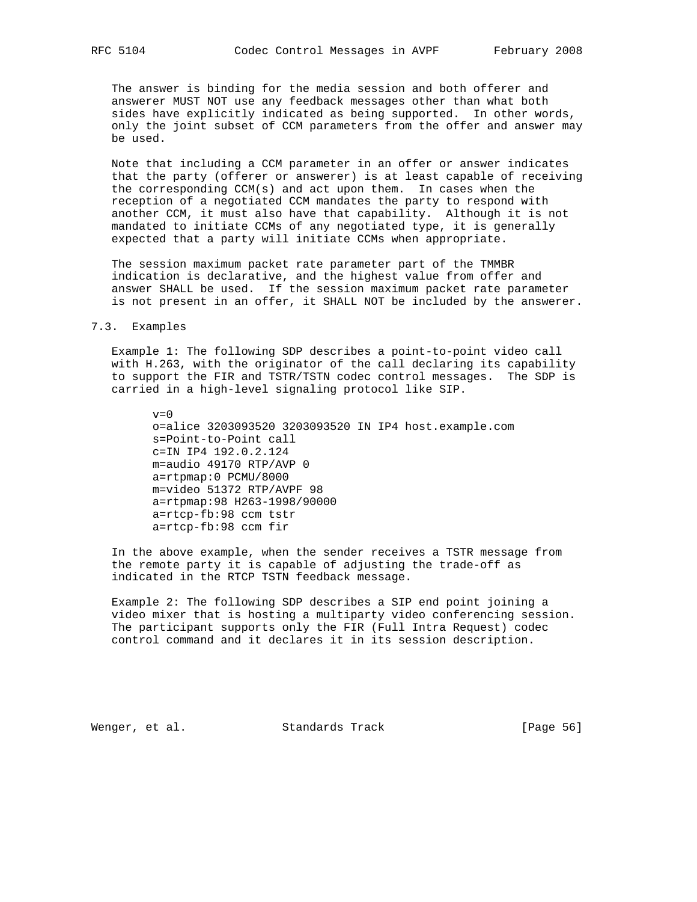The answer is binding for the media session and both offerer and answerer MUST NOT use any feedback messages other than what both sides have explicitly indicated as being supported. In other words, only the joint subset of CCM parameters from the offer and answer may be used.

 Note that including a CCM parameter in an offer or answer indicates that the party (offerer or answerer) is at least capable of receiving the corresponding CCM(s) and act upon them. In cases when the reception of a negotiated CCM mandates the party to respond with another CCM, it must also have that capability. Although it is not mandated to initiate CCMs of any negotiated type, it is generally expected that a party will initiate CCMs when appropriate.

 The session maximum packet rate parameter part of the TMMBR indication is declarative, and the highest value from offer and answer SHALL be used. If the session maximum packet rate parameter is not present in an offer, it SHALL NOT be included by the answerer.

#### 7.3. Examples

 Example 1: The following SDP describes a point-to-point video call with H.263, with the originator of the call declaring its capability to support the FIR and TSTR/TSTN codec control messages. The SDP is carried in a high-level signaling protocol like SIP.

 $v=0$  o=alice 3203093520 3203093520 IN IP4 host.example.com s=Point-to-Point call c=IN IP4 192.0.2.124 m=audio 49170 RTP/AVP 0 a=rtpmap:0 PCMU/8000 m=video 51372 RTP/AVPF 98 a=rtpmap:98 H263-1998/90000 a=rtcp-fb:98 ccm tstr a=rtcp-fb:98 ccm fir

 In the above example, when the sender receives a TSTR message from the remote party it is capable of adjusting the trade-off as indicated in the RTCP TSTN feedback message.

 Example 2: The following SDP describes a SIP end point joining a video mixer that is hosting a multiparty video conferencing session. The participant supports only the FIR (Full Intra Request) codec control command and it declares it in its session description.

Wenger, et al. Standards Track [Page 56]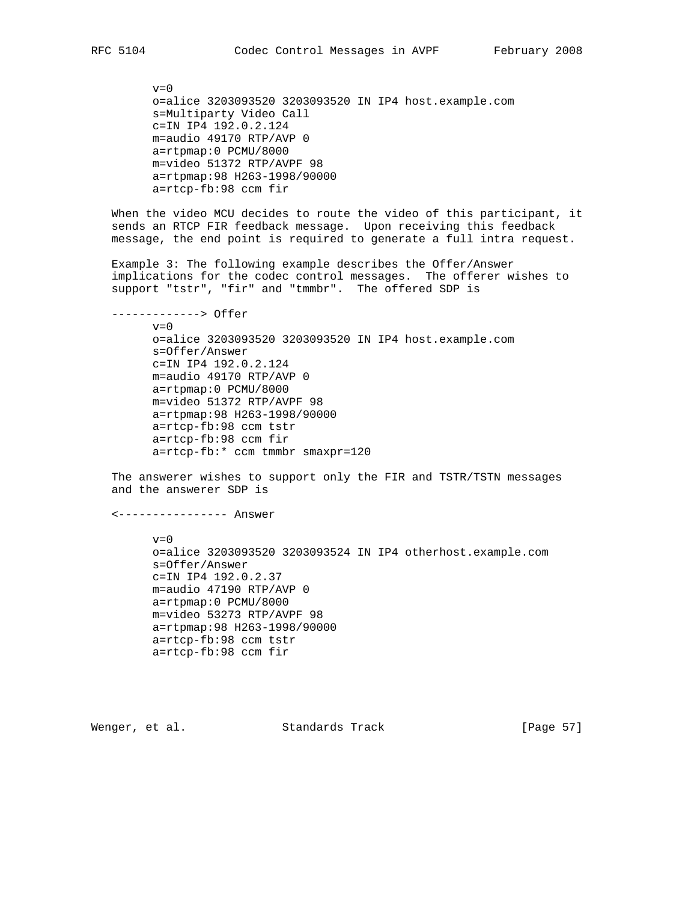$v=0$  o=alice 3203093520 3203093520 IN IP4 host.example.com s=Multiparty Video Call c=IN IP4 192.0.2.124 m=audio 49170 RTP/AVP 0 a=rtpmap:0 PCMU/8000 m=video 51372 RTP/AVPF 98 a=rtpmap:98 H263-1998/90000 a=rtcp-fb:98 ccm fir

 When the video MCU decides to route the video of this participant, it sends an RTCP FIR feedback message. Upon receiving this feedback message, the end point is required to generate a full intra request.

 Example 3: The following example describes the Offer/Answer implications for the codec control messages. The offerer wishes to support "tstr", "fir" and "tmmbr". The offered SDP is

-------------> Offer

 $v=0$  o=alice 3203093520 3203093520 IN IP4 host.example.com s=Offer/Answer c=IN IP4 192.0.2.124 m=audio 49170 RTP/AVP 0 a=rtpmap:0 PCMU/8000 m=video 51372 RTP/AVPF 98 a=rtpmap:98 H263-1998/90000 a=rtcp-fb:98 ccm tstr a=rtcp-fb:98 ccm fir a=rtcp-fb:\* ccm tmmbr smaxpr=120

 The answerer wishes to support only the FIR and TSTR/TSTN messages and the answerer SDP is

<---------------- Answer

 $v=0$  o=alice 3203093520 3203093524 IN IP4 otherhost.example.com s=Offer/Answer c=IN IP4 192.0.2.37 m=audio 47190 RTP/AVP 0 a=rtpmap:0 PCMU/8000 m=video 53273 RTP/AVPF 98 a=rtpmap:98 H263-1998/90000 a=rtcp-fb:98 ccm tstr a=rtcp-fb:98 ccm fir

Wenger, et al. Standards Track [Page 57]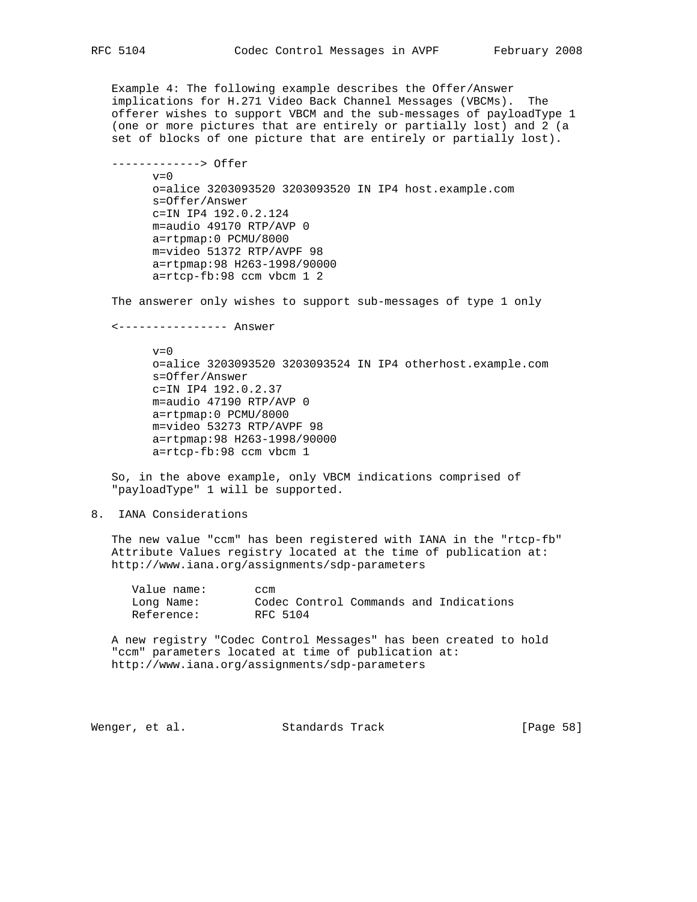Example 4: The following example describes the Offer/Answer implications for H.271 Video Back Channel Messages (VBCMs). The offerer wishes to support VBCM and the sub-messages of payloadType 1 (one or more pictures that are entirely or partially lost) and 2 (a set of blocks of one picture that are entirely or partially lost).

 -------------> Offer  $v=0$  o=alice 3203093520 3203093520 IN IP4 host.example.com s=Offer/Answer c=IN IP4 192.0.2.124 m=audio 49170 RTP/AVP 0 a=rtpmap:0 PCMU/8000 m=video 51372 RTP/AVPF 98 a=rtpmap:98 H263-1998/90000 a=rtcp-fb:98 ccm vbcm 1 2

The answerer only wishes to support sub-messages of type 1 only

<---------------- Answer

 $v=0$  o=alice 3203093520 3203093524 IN IP4 otherhost.example.com s=Offer/Answer c=IN IP4 192.0.2.37 m=audio 47190 RTP/AVP 0 a=rtpmap:0 PCMU/8000 m=video 53273 RTP/AVPF 98 a=rtpmap:98 H263-1998/90000 a=rtcp-fb:98 ccm vbcm 1

 So, in the above example, only VBCM indications comprised of "payloadType" 1 will be supported.

8. IANA Considerations

 The new value "ccm" has been registered with IANA in the "rtcp-fb" Attribute Values registry located at the time of publication at: http://www.iana.org/assignments/sdp-parameters

 Value name: ccm Long Name: Codec Control Commands and Indications Reference: RFC 5104

 A new registry "Codec Control Messages" has been created to hold "ccm" parameters located at time of publication at: http://www.iana.org/assignments/sdp-parameters

Wenger, et al. Standards Track (Page 58)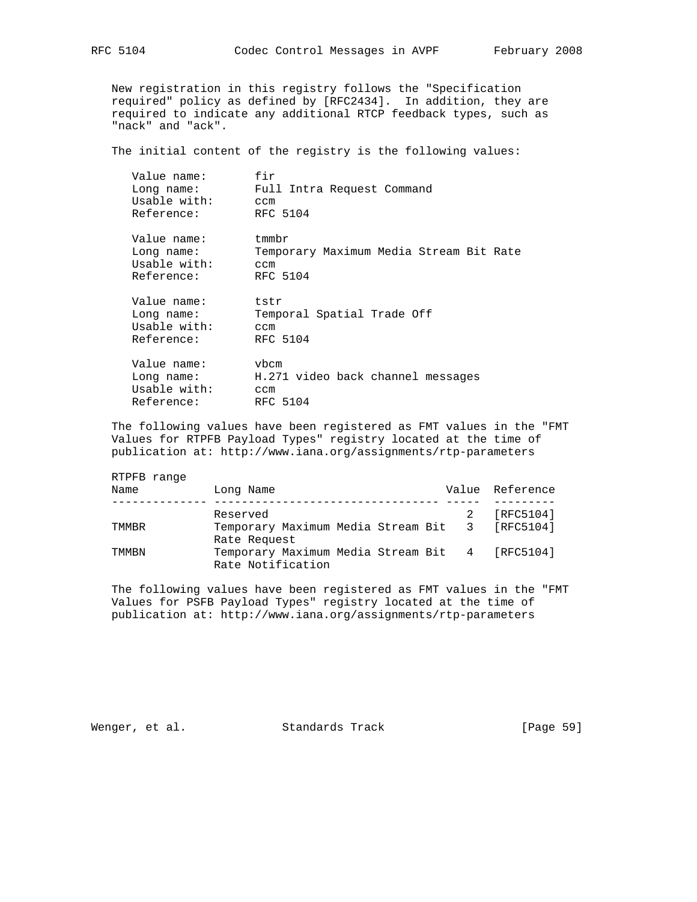New registration in this registry follows the "Specification required" policy as defined by [RFC2434]. In addition, they are required to indicate any additional RTCP feedback types, such as "nack" and "ack".

The initial content of the registry is the following values:

| Value name:<br>Long name:<br>Usable with:<br>Reference: | fir<br>Full Intra Request Command<br>ccm<br>RFC 5104                      |
|---------------------------------------------------------|---------------------------------------------------------------------------|
| Value name:<br>Long name:<br>Usable with:<br>Reference: | $t$ mm $br$<br>Temporary Maximum Media Stream Bit Rate<br>ccm<br>RFC 5104 |
| Value name:<br>Long name:<br>Usable with:<br>Reference: | tstr<br>Temporal Spatial Trade Off<br>ccm<br>RFC 5104                     |
| Value name:<br>Long name:<br>Usable with:<br>Reference: | vbcm<br>H.271 video back channel messages<br>ccm<br>RFC 5104              |

 The following values have been registered as FMT values in the "FMT Values for RTPFB Payload Types" registry located at the time of publication at: http://www.iana.org/assignments/rtp-parameters

| RTPFB range |                                                                     |  |                 |
|-------------|---------------------------------------------------------------------|--|-----------------|
| Name        | Long Name                                                           |  | Value Reference |
|             |                                                                     |  |                 |
|             | Reserved                                                            |  | [RFC5104]       |
| TMMBR       | Temporary Maximum Media Stream Bit 3 [RFC5104]                      |  |                 |
|             | Rate Request                                                        |  |                 |
| TMMRN       | Temporary Maximum Media Stream Bit 4 [RFC5104]<br>Rate Notification |  |                 |
|             |                                                                     |  |                 |

 The following values have been registered as FMT values in the "FMT Values for PSFB Payload Types" registry located at the time of publication at: http://www.iana.org/assignments/rtp-parameters

Wenger, et al. Standards Track [Page 59]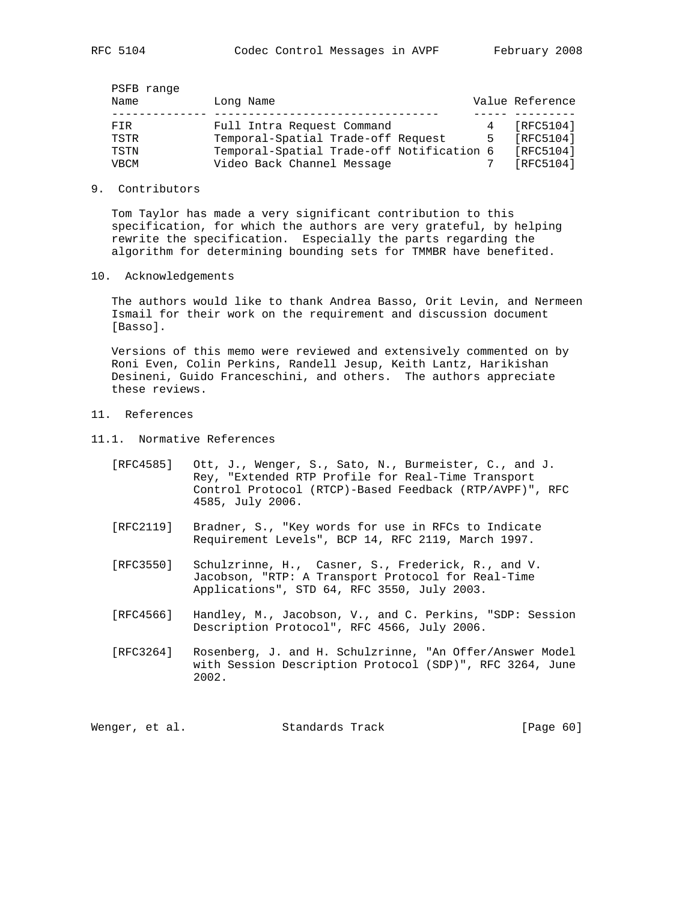| Name        | PSFB range | Long Name                                 |   | Value Reference |
|-------------|------------|-------------------------------------------|---|-----------------|
|             |            |                                           |   |                 |
| FTR         |            | Full Intra Request Command                |   | [RFC5104]       |
| TSTR        |            | Temporal-Spatial Trade-off Request        | 5 | [RFC5104]       |
| TSTN        |            | Temporal-Spatial Trade-off Notification 6 |   | [RFC5104]       |
| <b>VBCM</b> |            | Video Back Channel Message                |   | [RFC5104]       |

#### 9. Contributors

 Tom Taylor has made a very significant contribution to this specification, for which the authors are very grateful, by helping rewrite the specification. Especially the parts regarding the algorithm for determining bounding sets for TMMBR have benefited.

#### 10. Acknowledgements

 The authors would like to thank Andrea Basso, Orit Levin, and Nermeen Ismail for their work on the requirement and discussion document [Basso].

 Versions of this memo were reviewed and extensively commented on by Roni Even, Colin Perkins, Randell Jesup, Keith Lantz, Harikishan Desineni, Guido Franceschini, and others. The authors appreciate these reviews.

- 11. References
- 11.1. Normative References
	- [RFC4585] Ott, J., Wenger, S., Sato, N., Burmeister, C., and J. Rey, "Extended RTP Profile for Real-Time Transport Control Protocol (RTCP)-Based Feedback (RTP/AVPF)", RFC 4585, July 2006.
	- [RFC2119] Bradner, S., "Key words for use in RFCs to Indicate Requirement Levels", BCP 14, RFC 2119, March 1997.
	- [RFC3550] Schulzrinne, H., Casner, S., Frederick, R., and V. Jacobson, "RTP: A Transport Protocol for Real-Time Applications", STD 64, RFC 3550, July 2003.
	- [RFC4566] Handley, M., Jacobson, V., and C. Perkins, "SDP: Session Description Protocol", RFC 4566, July 2006.
	- [RFC3264] Rosenberg, J. and H. Schulzrinne, "An Offer/Answer Model with Session Description Protocol (SDP)", RFC 3264, June 2002.

Wenger, et al. Standards Track [Page 60]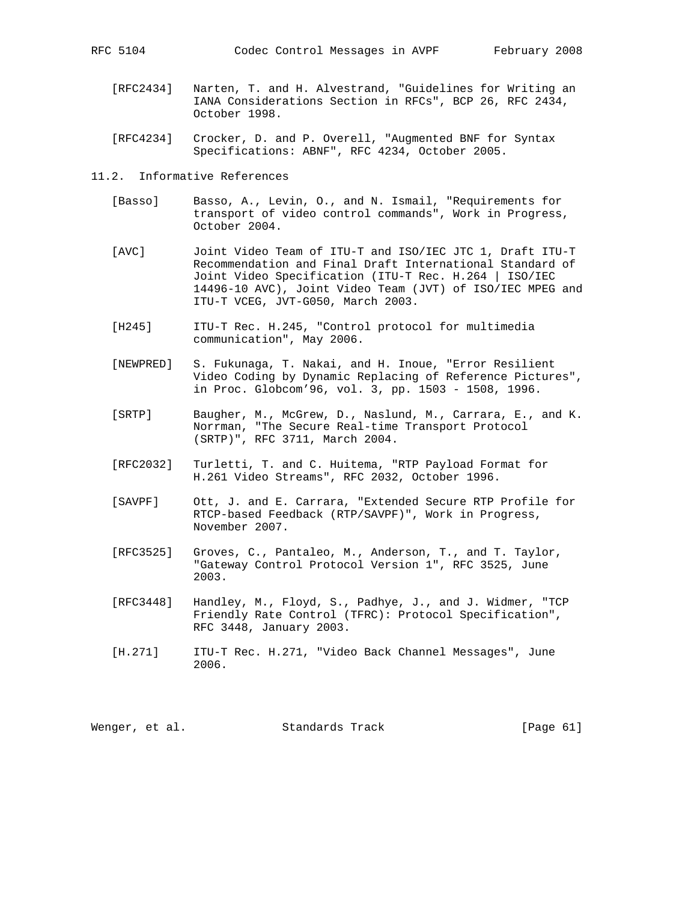- [RFC2434] Narten, T. and H. Alvestrand, "Guidelines for Writing an IANA Considerations Section in RFCs", BCP 26, RFC 2434, October 1998.
- [RFC4234] Crocker, D. and P. Overell, "Augmented BNF for Syntax Specifications: ABNF", RFC 4234, October 2005.
- 11.2. Informative References
	- [Basso] Basso, A., Levin, O., and N. Ismail, "Requirements for transport of video control commands", Work in Progress, October 2004.
	- [AVC] Joint Video Team of ITU-T and ISO/IEC JTC 1, Draft ITU-T Recommendation and Final Draft International Standard of Joint Video Specification (ITU-T Rec. H.264 | ISO/IEC 14496-10 AVC), Joint Video Team (JVT) of ISO/IEC MPEG and ITU-T VCEG, JVT-G050, March 2003.
	- [H245] ITU-T Rec. H.245, "Control protocol for multimedia communication", May 2006.
	- [NEWPRED] S. Fukunaga, T. Nakai, and H. Inoue, "Error Resilient Video Coding by Dynamic Replacing of Reference Pictures", in Proc. Globcom'96, vol. 3, pp. 1503 - 1508, 1996.
	- [SRTP] Baugher, M., McGrew, D., Naslund, M., Carrara, E., and K. Norrman, "The Secure Real-time Transport Protocol (SRTP)", RFC 3711, March 2004.
	- [RFC2032] Turletti, T. and C. Huitema, "RTP Payload Format for H.261 Video Streams", RFC 2032, October 1996.
	- [SAVPF] Ott, J. and E. Carrara, "Extended Secure RTP Profile for RTCP-based Feedback (RTP/SAVPF)", Work in Progress, November 2007.
	- [RFC3525] Groves, C., Pantaleo, M., Anderson, T., and T. Taylor, "Gateway Control Protocol Version 1", RFC 3525, June 2003.
	- [RFC3448] Handley, M., Floyd, S., Padhye, J., and J. Widmer, "TCP Friendly Rate Control (TFRC): Protocol Specification", RFC 3448, January 2003.
	- [H.271] ITU-T Rec. H.271, "Video Back Channel Messages", June 2006.

Wenger, et al. Standards Track [Page 61]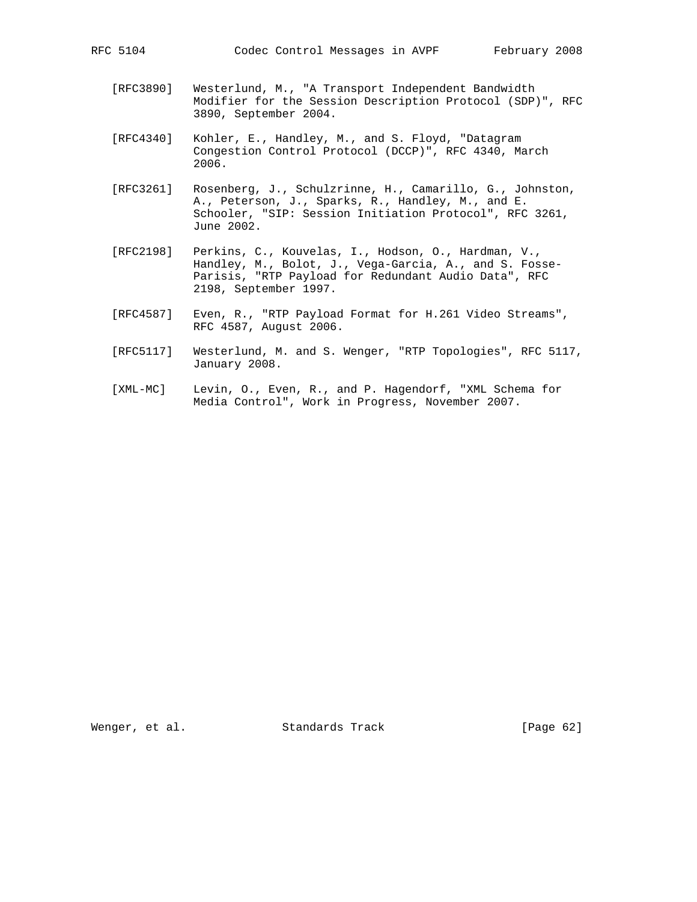- [RFC3890] Westerlund, M., "A Transport Independent Bandwidth Modifier for the Session Description Protocol (SDP)", RFC 3890, September 2004.
- [RFC4340] Kohler, E., Handley, M., and S. Floyd, "Datagram Congestion Control Protocol (DCCP)", RFC 4340, March 2006.
- [RFC3261] Rosenberg, J., Schulzrinne, H., Camarillo, G., Johnston, A., Peterson, J., Sparks, R., Handley, M., and E. Schooler, "SIP: Session Initiation Protocol", RFC 3261, June 2002.
- [RFC2198] Perkins, C., Kouvelas, I., Hodson, O., Hardman, V., Handley, M., Bolot, J., Vega-Garcia, A., and S. Fosse- Parisis, "RTP Payload for Redundant Audio Data", RFC 2198, September 1997.
- [RFC4587] Even, R., "RTP Payload Format for H.261 Video Streams", RFC 4587, August 2006.
- [RFC5117] Westerlund, M. and S. Wenger, "RTP Topologies", RFC 5117, January 2008.
- [XML-MC] Levin, O., Even, R., and P. Hagendorf, "XML Schema for Media Control", Work in Progress, November 2007.

Wenger, et al. Standards Track [Page 62]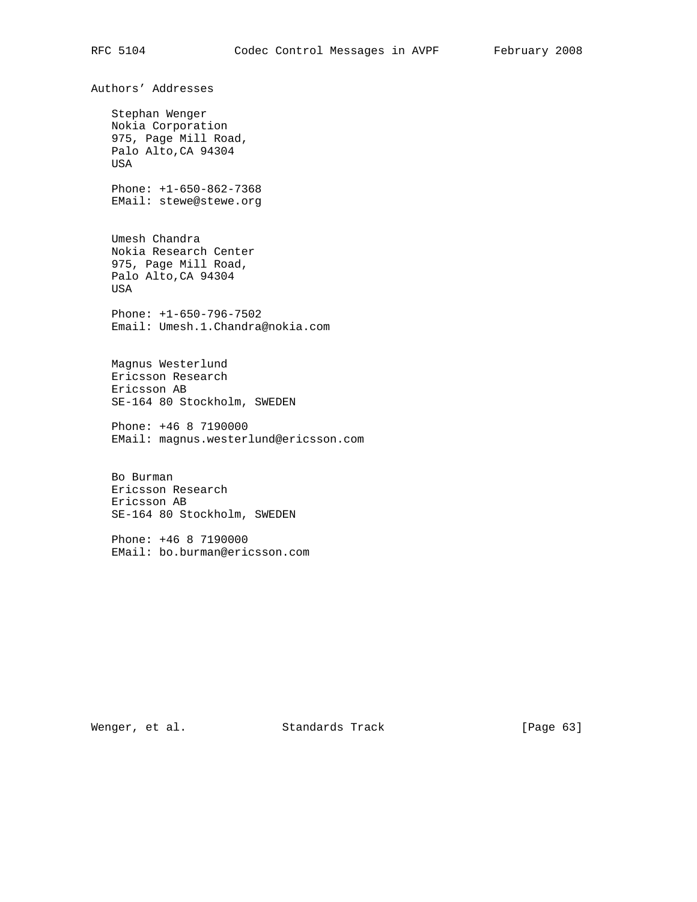Authors' Addresses Stephan Wenger Nokia Corporation 975, Page Mill Road, Palo Alto,CA 94304 USA Phone: +1-650-862-7368 EMail: stewe@stewe.org Umesh Chandra Nokia Research Center 975, Page Mill Road, Palo Alto,CA 94304 USA Phone: +1-650-796-7502 Email: Umesh.1.Chandra@nokia.com Magnus Westerlund Ericsson Research Ericsson AB SE-164 80 Stockholm, SWEDEN Phone: +46 8 7190000 EMail: magnus.westerlund@ericsson.com Bo Burman Ericsson Research Ericsson AB SE-164 80 Stockholm, SWEDEN Phone: +46 8 7190000 EMail: bo.burman@ericsson.com

Wenger, et al. Standards Track [Page 63]